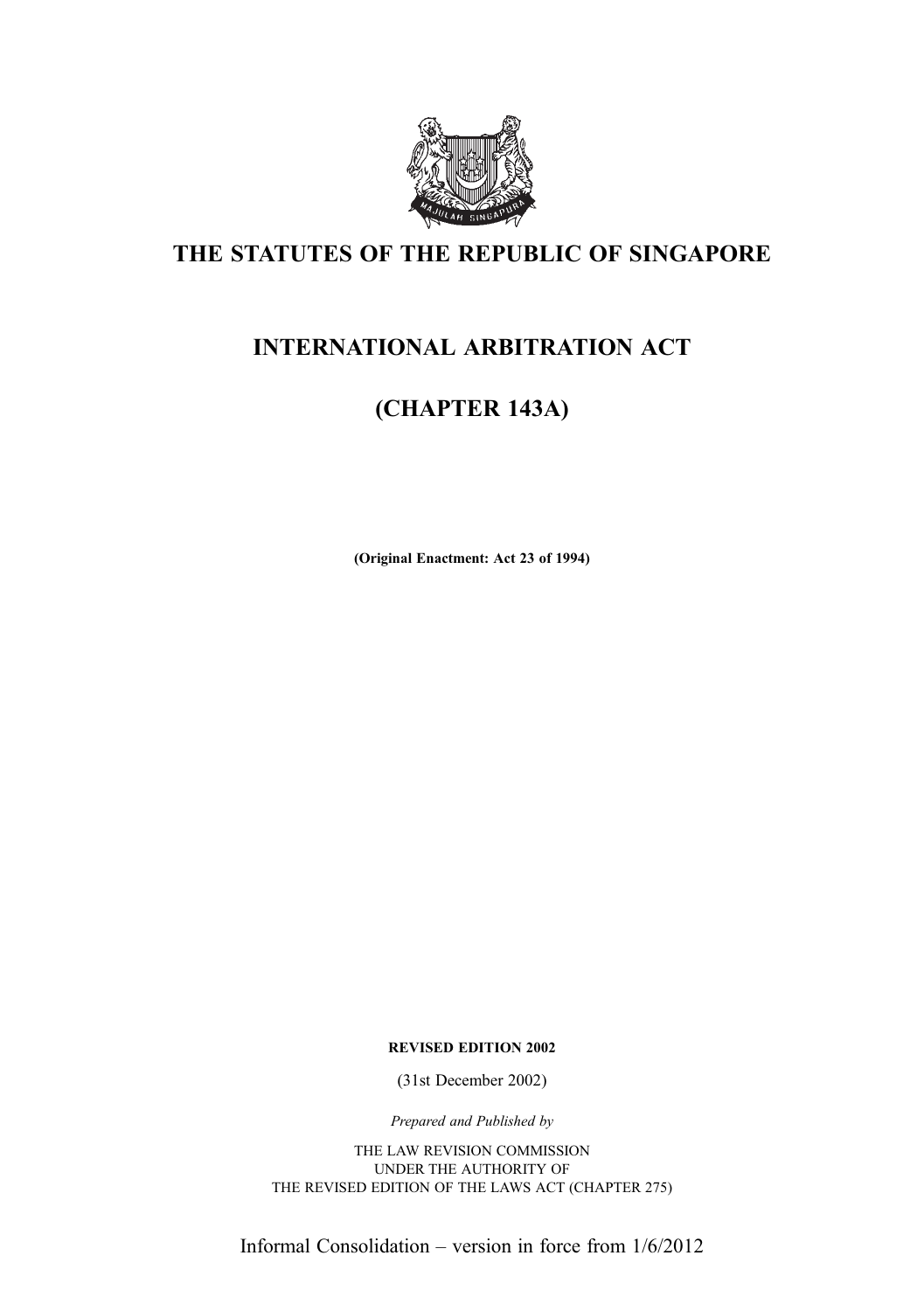

# THE STATUTES OF THE REPUBLIC OF SINGAPORE

# INTERNATIONAL ARBITRATION ACT

# (CHAPTER 143A)

(Original Enactment: Act 23 of 1994)

#### REVISED EDITION 2002

(31st December 2002)

Prepared and Published by

THE LAW REVISION COMMISSION UNDER THE AUTHORITY OF THE REVISED EDITION OF THE LAWS ACT (CHAPTER 275)

Informal Consolidation – version in force from 1/6/2012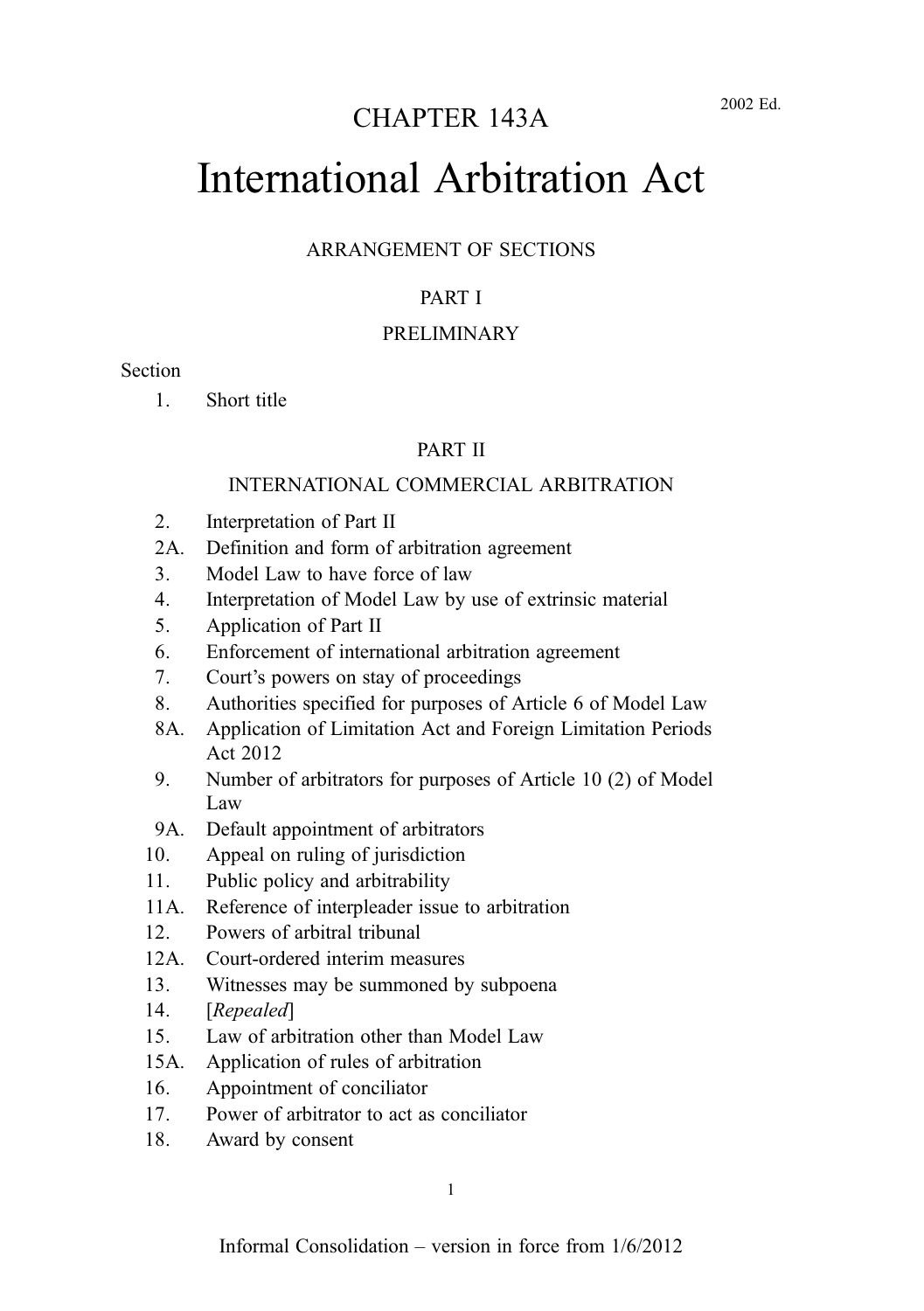# CHAPTER 143A

# International Arbitration Act

#### ARRANGEMENT OF SECTIONS

### PART I

### PRELIMINARY

#### **Section**

1. Short title

#### PART II

### INTERNATIONAL COMMERCIAL ARBITRATION

- 2. Interpretation of Part II
- 2A. Definition and form of arbitration agreement
- 3. Model Law to have force of law
- 4. Interpretation of Model Law by use of extrinsic material
- 5. Application of Part II
- 6. Enforcement of international arbitration agreement
- 7. Court's powers on stay of proceedings
- 8. Authorities specified for purposes of Article 6 of Model Law
- 8A. Application of Limitation Act and Foreign Limitation Periods Act 2012
- 9. Number of arbitrators for purposes of Article 10 (2) of Model Law
- 9A. Default appointment of arbitrators
- 10. Appeal on ruling of jurisdiction
- 11. Public policy and arbitrability
- 11A. Reference of interpleader issue to arbitration
- 12. Powers of arbitral tribunal
- 12A. Court-ordered interim measures
- 13. Witnesses may be summoned by subpoena
- 14. [Repealed]
- 15. Law of arbitration other than Model Law
- 15A. Application of rules of arbitration
- 16. Appointment of conciliator
- 17. Power of arbitrator to act as conciliator
- 18. Award by consent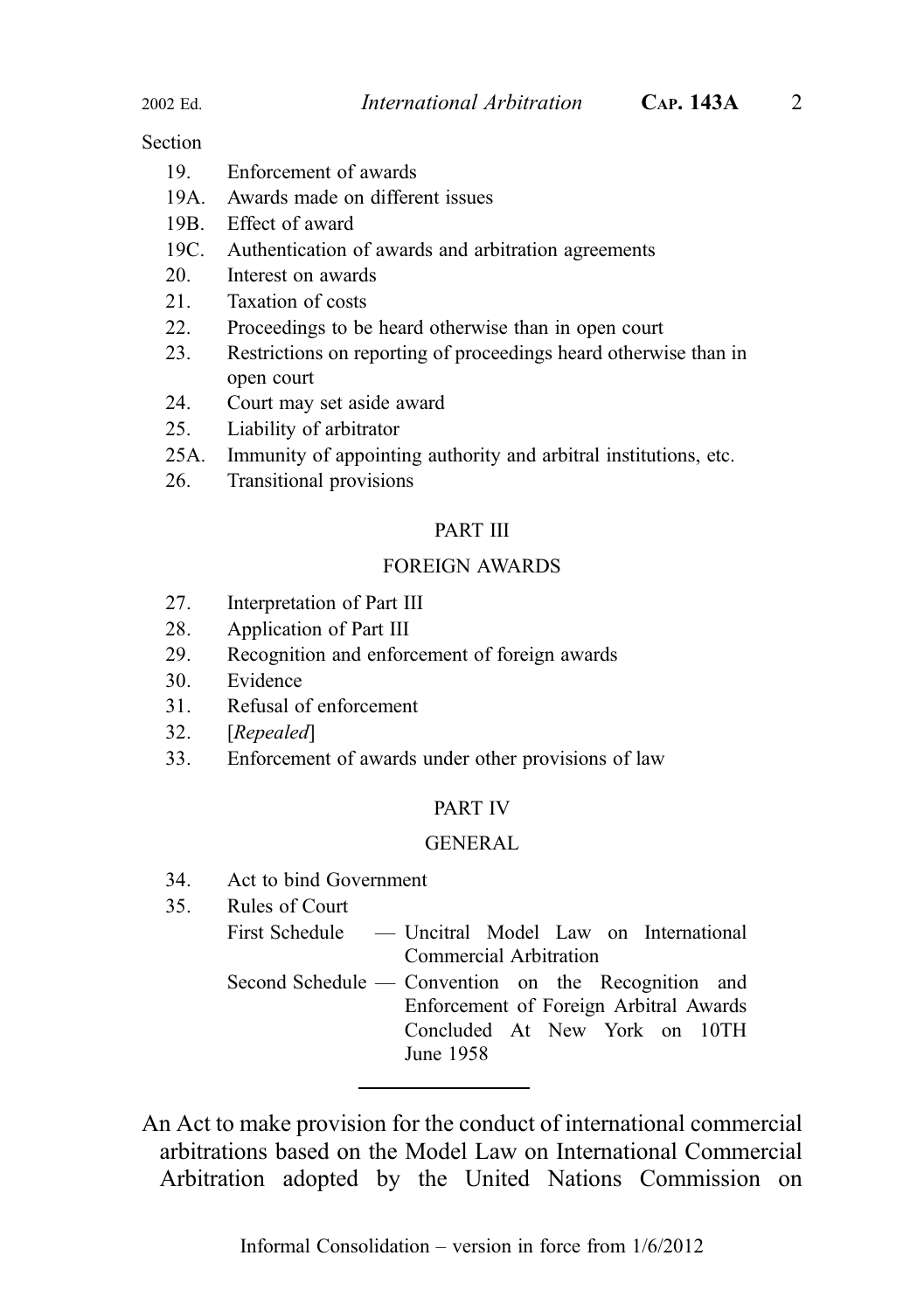Section

| Enforcement of awards |
|-----------------------|
|                       |

- 19A. Awards made on different issues
- 19B. Effect of award
- 19C. Authentication of awards and arbitration agreements
- 20. Interest on awards
- 21. Taxation of costs
- 22. Proceedings to be heard otherwise than in open court
- 23. Restrictions on reporting of proceedings heard otherwise than in open court
- 24. Court may set aside award
- 25. Liability of arbitrator
- 25A. Immunity of appointing authority and arbitral institutions, etc.
- 26. Transitional provisions

### PART III

### FOREIGN AWARDS

- 27. Interpretation of Part III
- 28. Application of Part III
- 29. Recognition and enforcement of foreign awards
- 30. Evidence
- 31. Refusal of enforcement
- 32. [Repealed]
- 33. Enforcement of awards under other provisions of law

### PART IV

### GENERAL

- 34. Act to bind Government
- 35. Rules of Court First Schedule — Uncitral Model Law on International Commercial Arbitration Second Schedule — Convention on the Recognition and Enforcement of Foreign Arbitral Awards Concluded At New York on 10TH June 1958
- An Act to make provision for the conduct of international commercial arbitrations based on the Model Law on International Commercial Arbitration adopted by the United Nations Commission on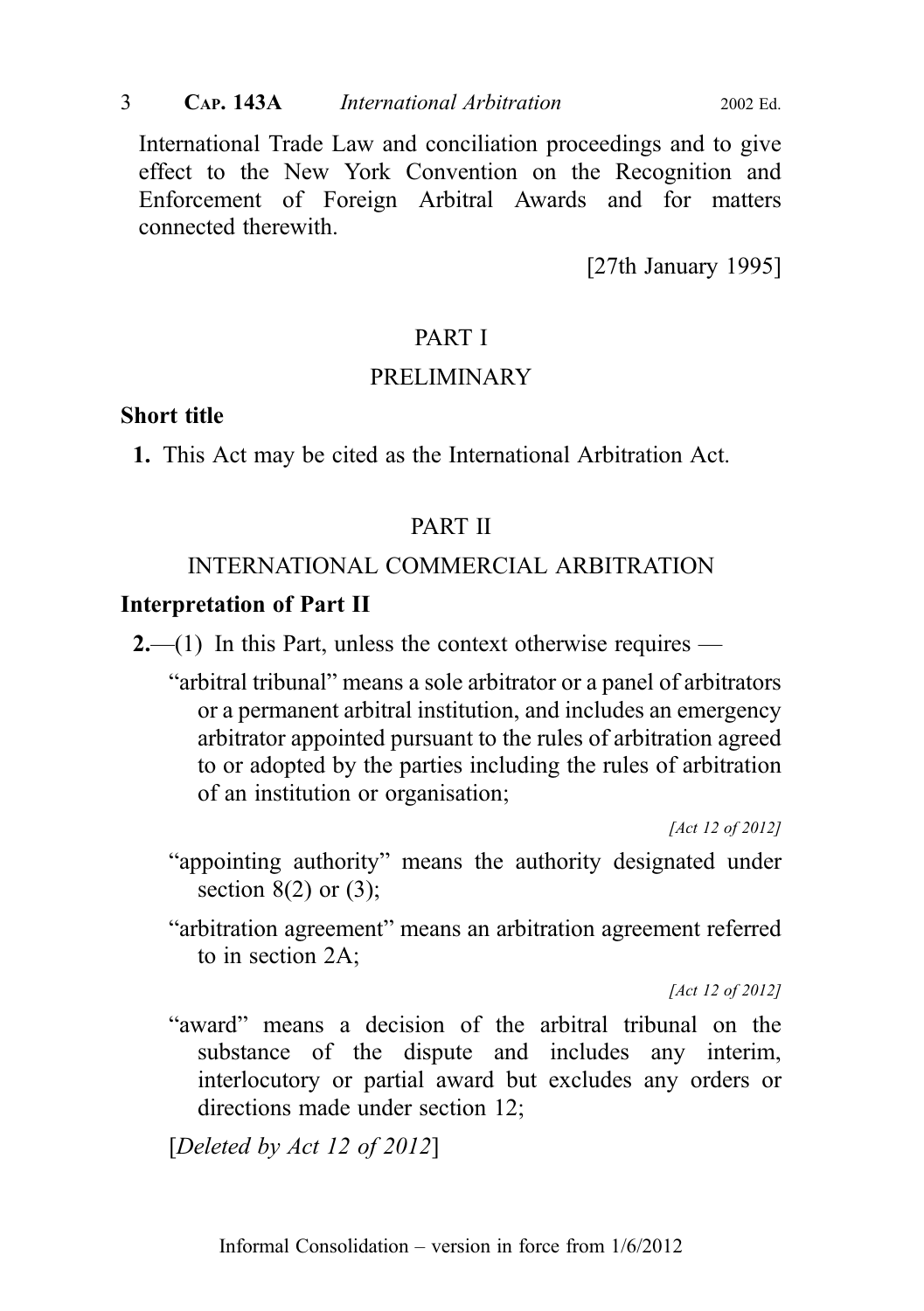### 3 CAP. 143A International Arbitration 2002 Ed.

International Trade Law and conciliation proceedings and to give effect to the New York Convention on the Recognition and Enforcement of Foreign Arbitral Awards and for matters connected therewith.

[27th January 1995]

### PART I

### PRELIMINARY

### Short title

1. This Act may be cited as the International Arbitration Act.

### PART II

### INTERNATIONAL COMMERCIAL ARBITRATION

### Interpretation of Part II

2.—(1) In this Part, unless the context otherwise requires —

"arbitral tribunal" means a sole arbitrator or a panel of arbitrators or a permanent arbitral institution, and includes an emergency arbitrator appointed pursuant to the rules of arbitration agreed to or adopted by the parties including the rules of arbitration of an institution or organisation;

[Act 12 of 2012]

- "appointing authority" means the authority designated under section  $8(2)$  or  $(3)$ ;
- "arbitration agreement" means an arbitration agreement referred to in section 2A;

[Act 12 of 2012]

"award" means a decision of the arbitral tribunal on the substance of the dispute and includes any interim, interlocutory or partial award but excludes any orders or directions made under section 12;

[Deleted by Act 12 of 2012]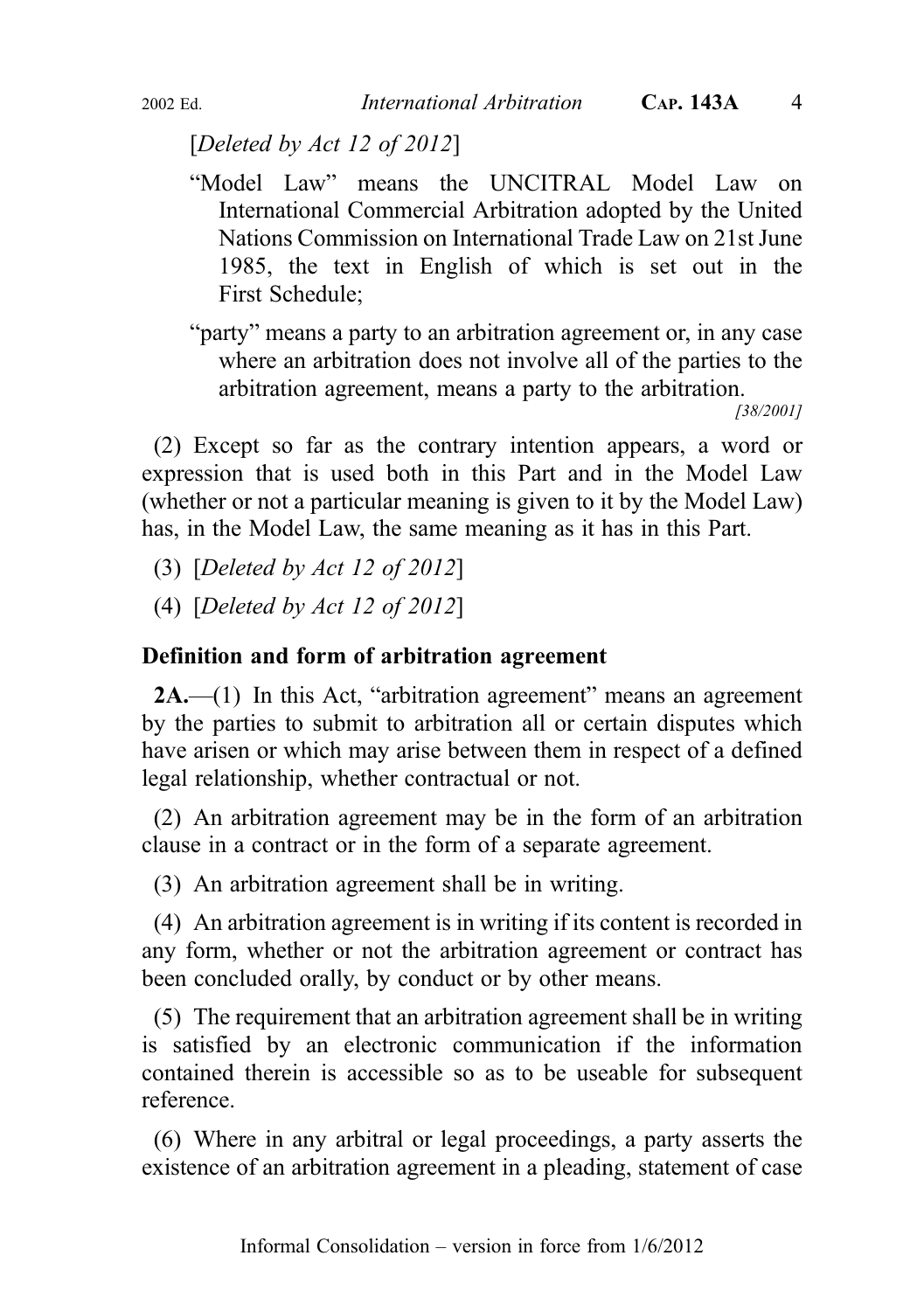[Deleted by Act 12 of 2012]

- "Model Law" means the UNCITRAL Model Law on International Commercial Arbitration adopted by the United Nations Commission on International Trade Law on 21st June 1985, the text in English of which is set out in the First Schedule;
- "party" means a party to an arbitration agreement or, in any case where an arbitration does not involve all of the parties to the arbitration agreement, means a party to the arbitration.

[38/2001]

(2) Except so far as the contrary intention appears, a word or expression that is used both in this Part and in the Model Law (whether or not a particular meaning is given to it by the Model Law) has, in the Model Law, the same meaning as it has in this Part.

- (3) [Deleted by Act 12 of 2012]
- (4) [Deleted by Act 12 of 2012]

### Definition and form of arbitration agreement

2A.—(1) In this Act, "arbitration agreement" means an agreement by the parties to submit to arbitration all or certain disputes which have arisen or which may arise between them in respect of a defined legal relationship, whether contractual or not.

(2) An arbitration agreement may be in the form of an arbitration clause in a contract or in the form of a separate agreement.

(3) An arbitration agreement shall be in writing.

(4) An arbitration agreement is in writing if its content is recorded in any form, whether or not the arbitration agreement or contract has been concluded orally, by conduct or by other means.

(5) The requirement that an arbitration agreement shall be in writing is satisfied by an electronic communication if the information contained therein is accessible so as to be useable for subsequent reference.

(6) Where in any arbitral or legal proceedings, a party asserts the existence of an arbitration agreement in a pleading, statement of case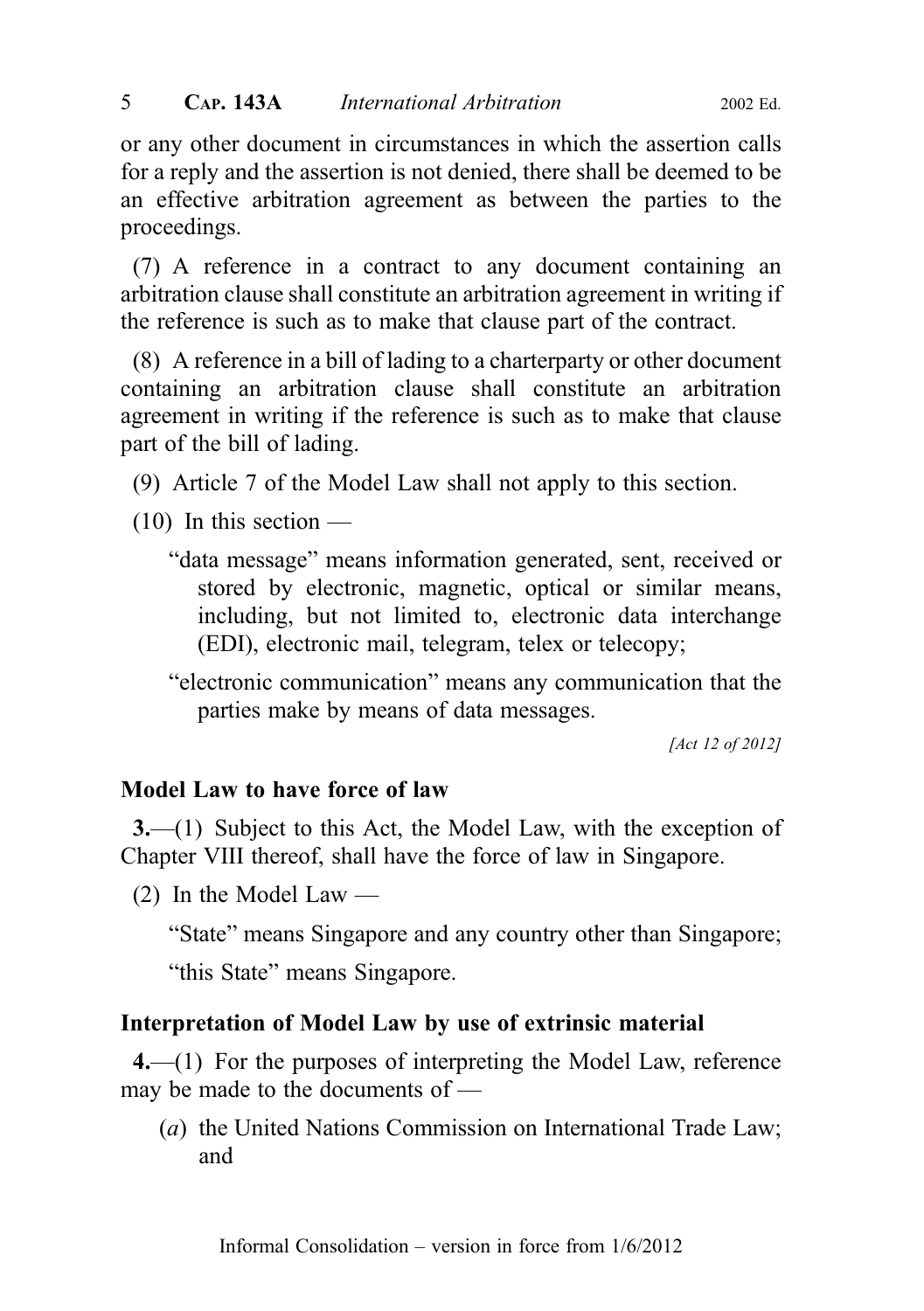or any other document in circumstances in which the assertion calls for a reply and the assertion is not denied, there shall be deemed to be an effective arbitration agreement as between the parties to the proceedings.

(7) A reference in a contract to any document containing an arbitration clause shall constitute an arbitration agreement in writing if the reference is such as to make that clause part of the contract.

(8) A reference in a bill of lading to a charterparty or other document containing an arbitration clause shall constitute an arbitration agreement in writing if the reference is such as to make that clause part of the bill of lading.

(9) Article 7 of the Model Law shall not apply to this section.

 $(10)$  In this section —

- "data message" means information generated, sent, received or stored by electronic, magnetic, optical or similar means, including, but not limited to, electronic data interchange (EDI), electronic mail, telegram, telex or telecopy;
- "electronic communication" means any communication that the parties make by means of data messages.

[Act 12 of 2012]

### Model Law to have force of law

3.—(1) Subject to this Act, the Model Law, with the exception of Chapter VIII thereof, shall have the force of law in Singapore.

 $(2)$  In the Model Law —

"State" means Singapore and any country other than Singapore;

"this State" means Singapore.

### Interpretation of Model Law by use of extrinsic material

4.—(1) For the purposes of interpreting the Model Law, reference may be made to the documents of —

(a) the United Nations Commission on International Trade Law; and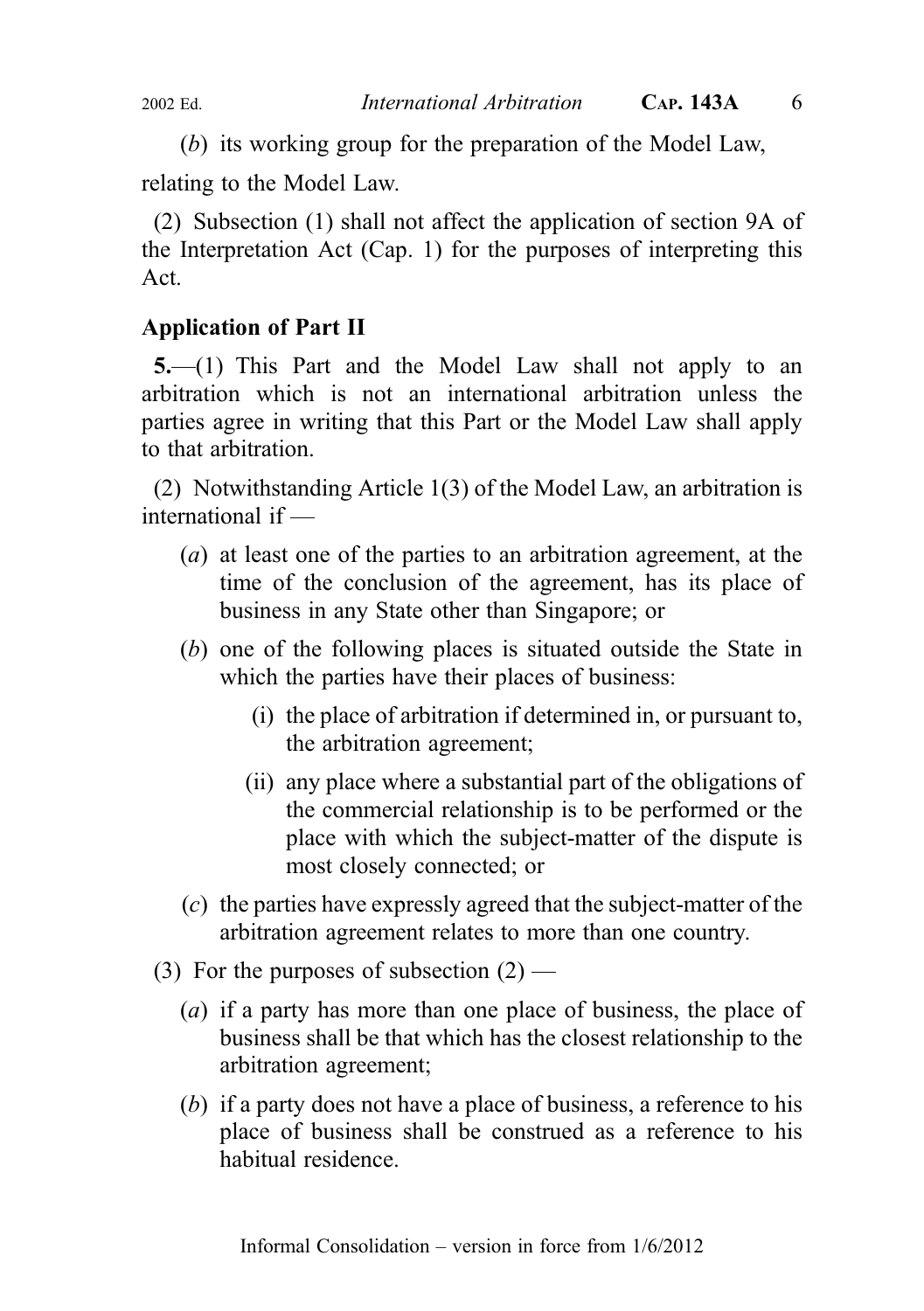(b) its working group for the preparation of the Model Law,

relating to the Model Law.

(2) Subsection (1) shall not affect the application of section 9A of the Interpretation Act (Cap. 1) for the purposes of interpreting this Act.

## Application of Part II

5.—(1) This Part and the Model Law shall not apply to an arbitration which is not an international arbitration unless the parties agree in writing that this Part or the Model Law shall apply to that arbitration.

(2) Notwithstanding Article 1(3) of the Model Law, an arbitration is international if —

- (a) at least one of the parties to an arbitration agreement, at the time of the conclusion of the agreement, has its place of business in any State other than Singapore; or
- (b) one of the following places is situated outside the State in which the parties have their places of business:
	- (i) the place of arbitration if determined in, or pursuant to, the arbitration agreement;
	- (ii) any place where a substantial part of the obligations of the commercial relationship is to be performed or the place with which the subject-matter of the dispute is most closely connected; or
- (c) the parties have expressly agreed that the subject-matter of the arbitration agreement relates to more than one country.
- (3) For the purposes of subsection  $(2)$ 
	- (a) if a party has more than one place of business, the place of business shall be that which has the closest relationship to the arbitration agreement;
	- (b) if a party does not have a place of business, a reference to his place of business shall be construed as a reference to his habitual residence.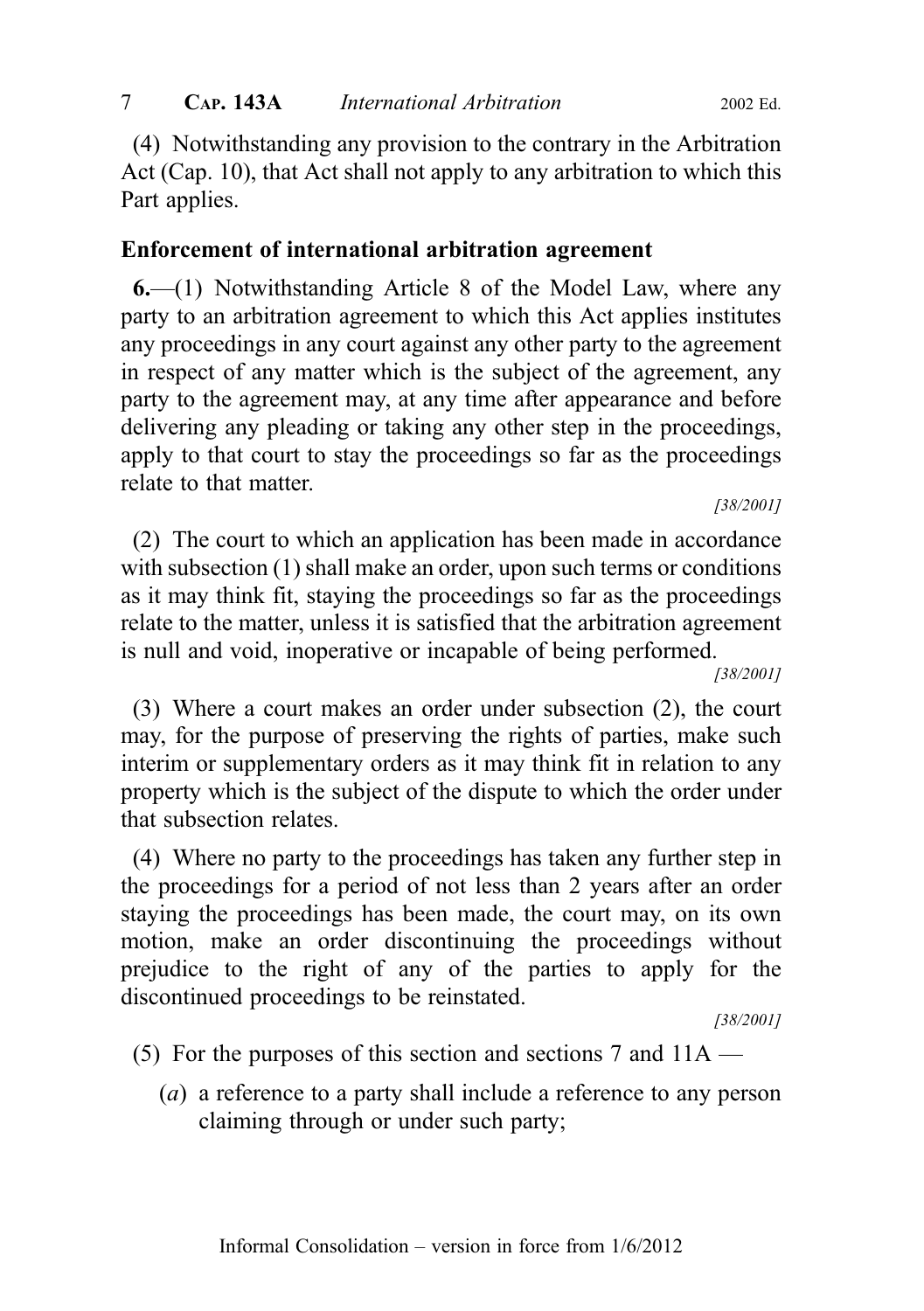(4) Notwithstanding any provision to the contrary in the Arbitration Act (Cap. 10), that Act shall not apply to any arbitration to which this Part applies.

### Enforcement of international arbitration agreement

6.—(1) Notwithstanding Article 8 of the Model Law, where any party to an arbitration agreement to which this Act applies institutes any proceedings in any court against any other party to the agreement in respect of any matter which is the subject of the agreement, any party to the agreement may, at any time after appearance and before delivering any pleading or taking any other step in the proceedings, apply to that court to stay the proceedings so far as the proceedings relate to that matter.

[38/2001]

(2) The court to which an application has been made in accordance with subsection (1) shall make an order, upon such terms or conditions as it may think fit, staying the proceedings so far as the proceedings relate to the matter, unless it is satisfied that the arbitration agreement is null and void, inoperative or incapable of being performed.

[38/2001]

(3) Where a court makes an order under subsection (2), the court may, for the purpose of preserving the rights of parties, make such interim or supplementary orders as it may think fit in relation to any property which is the subject of the dispute to which the order under that subsection relates.

(4) Where no party to the proceedings has taken any further step in the proceedings for a period of not less than 2 years after an order staying the proceedings has been made, the court may, on its own motion, make an order discontinuing the proceedings without prejudice to the right of any of the parties to apply for the discontinued proceedings to be reinstated.

[38/2001]

(5) For the purposes of this section and sections 7 and  $11A$  —

(a) a reference to a party shall include a reference to any person claiming through or under such party;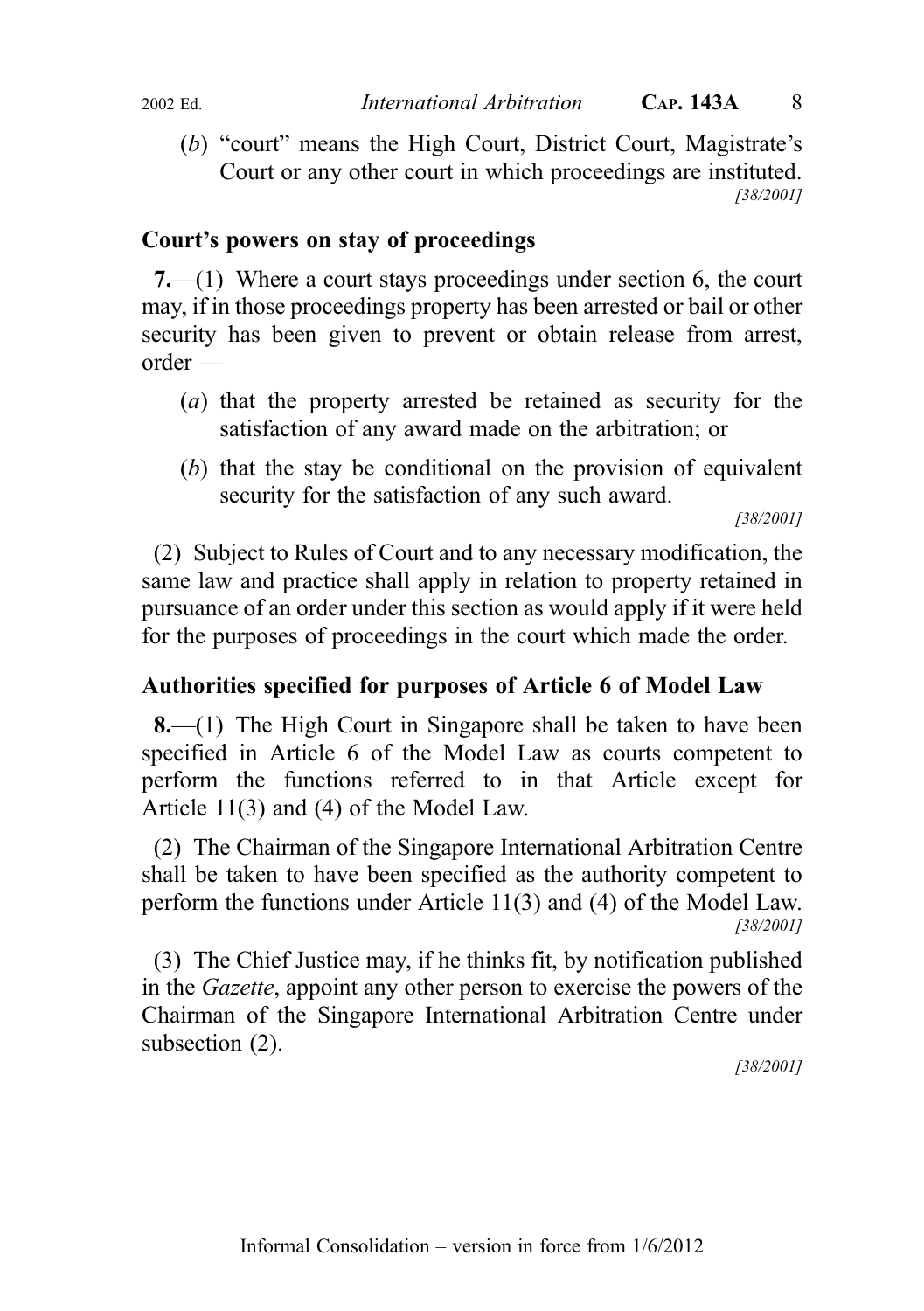(b) "court" means the High Court, District Court, Magistrate's Court or any other court in which proceedings are instituted. [38/2001]

### Court's powers on stay of proceedings

7.—(1) Where a court stays proceedings under section 6, the court may, if in those proceedings property has been arrested or bail or other security has been given to prevent or obtain release from arrest, order —

- (a) that the property arrested be retained as security for the satisfaction of any award made on the arbitration; or
- (b) that the stay be conditional on the provision of equivalent security for the satisfaction of any such award.

[38/2001]

(2) Subject to Rules of Court and to any necessary modification, the same law and practice shall apply in relation to property retained in pursuance of an order under this section as would apply if it were held for the purposes of proceedings in the court which made the order.

## Authorities specified for purposes of Article 6 of Model Law

8.—(1) The High Court in Singapore shall be taken to have been specified in Article 6 of the Model Law as courts competent to perform the functions referred to in that Article except for Article 11(3) and (4) of the Model Law.

(2) The Chairman of the Singapore International Arbitration Centre shall be taken to have been specified as the authority competent to perform the functions under Article 11(3) and (4) of the Model Law. [38/2001]

(3) The Chief Justice may, if he thinks fit, by notification published in the Gazette, appoint any other person to exercise the powers of the Chairman of the Singapore International Arbitration Centre under subsection (2).

[38/2001]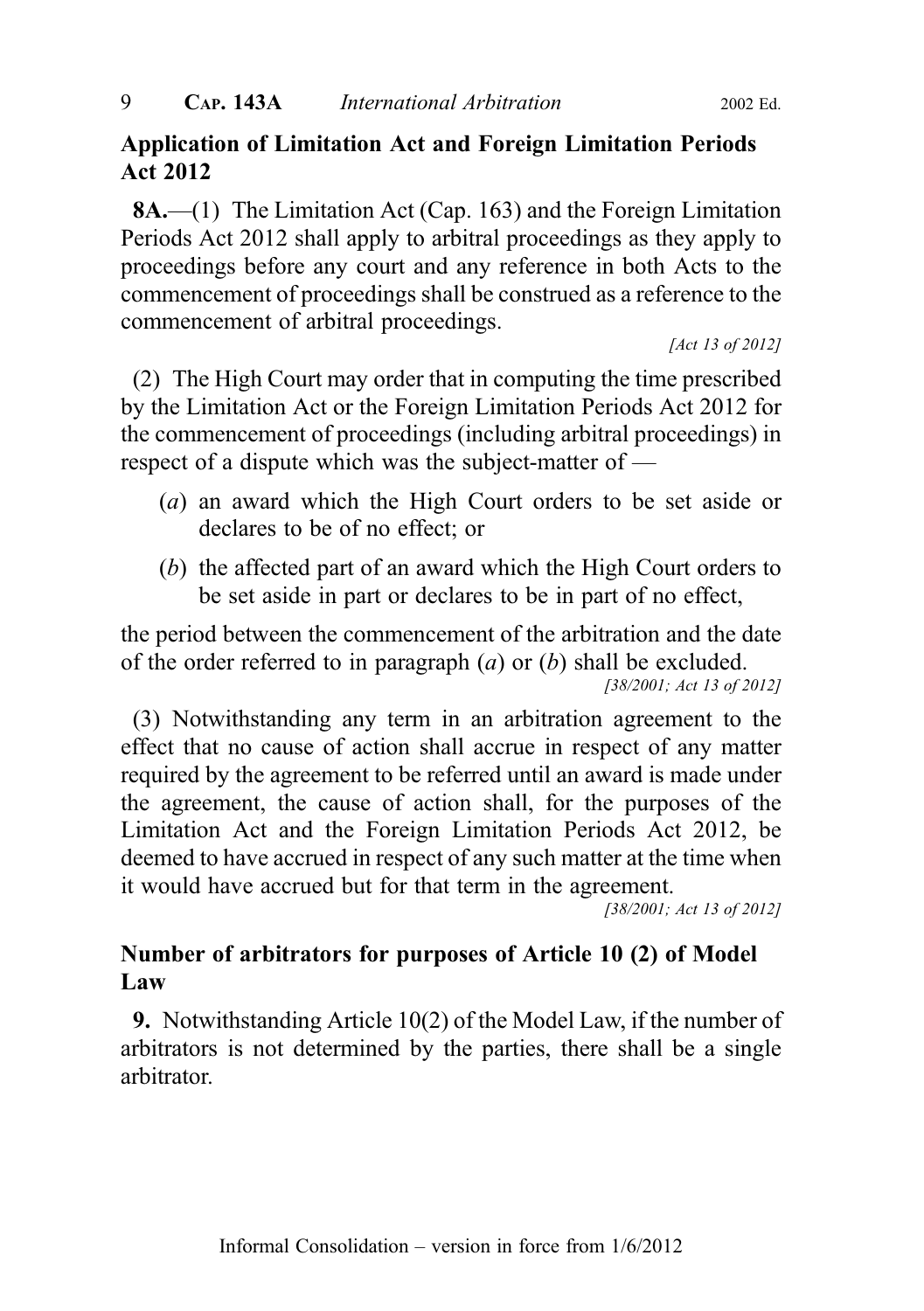### Application of Limitation Act and Foreign Limitation Periods Act 2012

8A.—(1) The Limitation Act (Cap. 163) and the Foreign Limitation Periods Act 2012 shall apply to arbitral proceedings as they apply to proceedings before any court and any reference in both Acts to the commencement of proceedings shall be construed as a reference to the commencement of arbitral proceedings.

[Act 13 of 2012]

(2) The High Court may order that in computing the time prescribed by the Limitation Act or the Foreign Limitation Periods Act 2012 for the commencement of proceedings (including arbitral proceedings) in respect of a dispute which was the subject-matter of —

- (a) an award which the High Court orders to be set aside or declares to be of no effect; or
- (b) the affected part of an award which the High Court orders to be set aside in part or declares to be in part of no effect,

the period between the commencement of the arbitration and the date of the order referred to in paragraph  $(a)$  or  $(b)$  shall be excluded.

[38/2001; Act 13 of 2012]

(3) Notwithstanding any term in an arbitration agreement to the effect that no cause of action shall accrue in respect of any matter required by the agreement to be referred until an award is made under the agreement, the cause of action shall, for the purposes of the Limitation Act and the Foreign Limitation Periods Act 2012, be deemed to have accrued in respect of any such matter at the time when it would have accrued but for that term in the agreement.

[38/2001; Act 13 of 2012]

## Number of arbitrators for purposes of Article 10 (2) of Model Law

9. Notwithstanding Article 10(2) of the Model Law, if the number of arbitrators is not determined by the parties, there shall be a single arbitrator.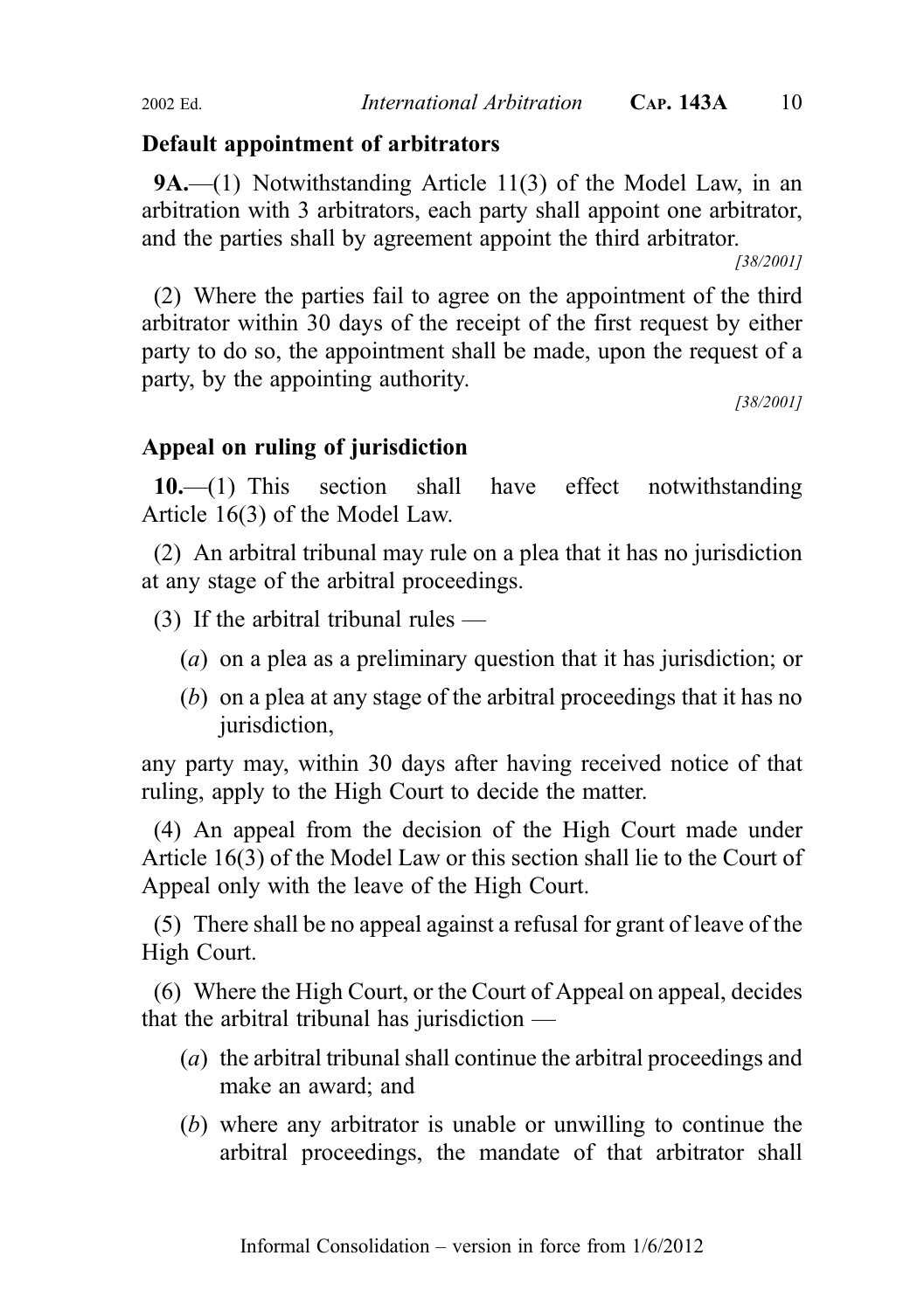### Default appointment of arbitrators

9A.—(1) Notwithstanding Article 11(3) of the Model Law, in an arbitration with 3 arbitrators, each party shall appoint one arbitrator, and the parties shall by agreement appoint the third arbitrator.

[38/2001]

(2) Where the parties fail to agree on the appointment of the third arbitrator within 30 days of the receipt of the first request by either party to do so, the appointment shall be made, upon the request of a party, by the appointing authority.

[38/2001]

## Appeal on ruling of jurisdiction

10.—(1) This section shall have effect notwithstanding Article 16(3) of the Model Law.

(2) An arbitral tribunal may rule on a plea that it has no jurisdiction at any stage of the arbitral proceedings.

(3) If the arbitral tribunal rules —

- (a) on a plea as a preliminary question that it has jurisdiction; or
- (b) on a plea at any stage of the arbitral proceedings that it has no jurisdiction,

any party may, within 30 days after having received notice of that ruling, apply to the High Court to decide the matter.

(4) An appeal from the decision of the High Court made under Article 16(3) of the Model Law or this section shall lie to the Court of Appeal only with the leave of the High Court.

(5) There shall be no appeal against a refusal for grant of leave of the High Court.

(6) Where the High Court, or the Court of Appeal on appeal, decides that the arbitral tribunal has jurisdiction —

- (a) the arbitral tribunal shall continue the arbitral proceedings and make an award; and
- (b) where any arbitrator is unable or unwilling to continue the arbitral proceedings, the mandate of that arbitrator shall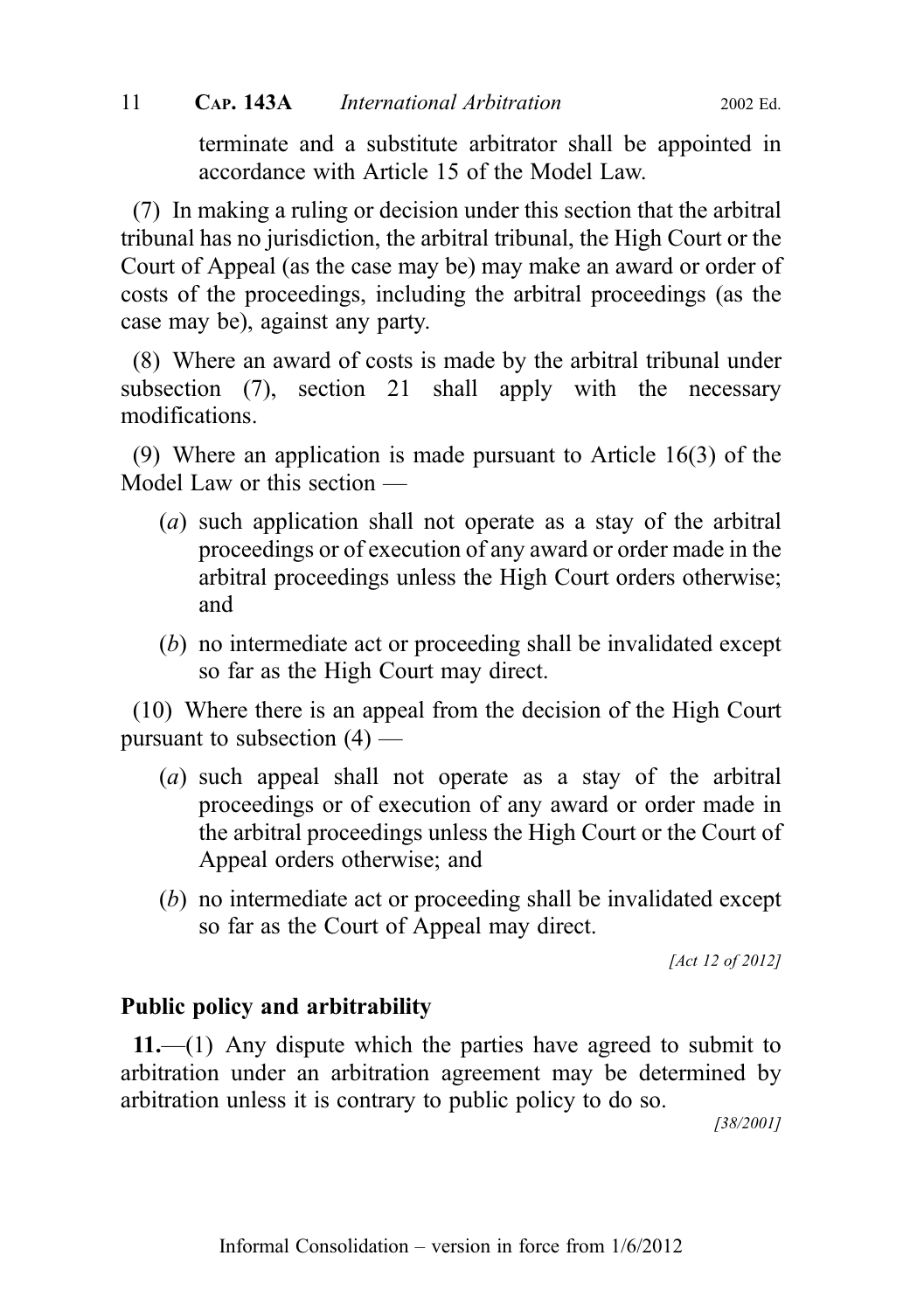terminate and a substitute arbitrator shall be appointed in accordance with Article 15 of the Model Law.

(7) In making a ruling or decision under this section that the arbitral tribunal has no jurisdiction, the arbitral tribunal, the High Court or the Court of Appeal (as the case may be) may make an award or order of costs of the proceedings, including the arbitral proceedings (as the case may be), against any party.

(8) Where an award of costs is made by the arbitral tribunal under subsection (7), section 21 shall apply with the necessary modifications.

(9) Where an application is made pursuant to Article 16(3) of the Model Law or this section —

- (a) such application shall not operate as a stay of the arbitral proceedings or of execution of any award or order made in the arbitral proceedings unless the High Court orders otherwise; and
- (b) no intermediate act or proceeding shall be invalidated except so far as the High Court may direct.

(10) Where there is an appeal from the decision of the High Court pursuant to subsection (4) —

- (a) such appeal shall not operate as a stay of the arbitral proceedings or of execution of any award or order made in the arbitral proceedings unless the High Court or the Court of Appeal orders otherwise; and
- (b) no intermediate act or proceeding shall be invalidated except so far as the Court of Appeal may direct.

[Act 12 of 2012]

### Public policy and arbitrability

 $11.$ —(1) Any dispute which the parties have agreed to submit to arbitration under an arbitration agreement may be determined by arbitration unless it is contrary to public policy to do so.

[38/2001]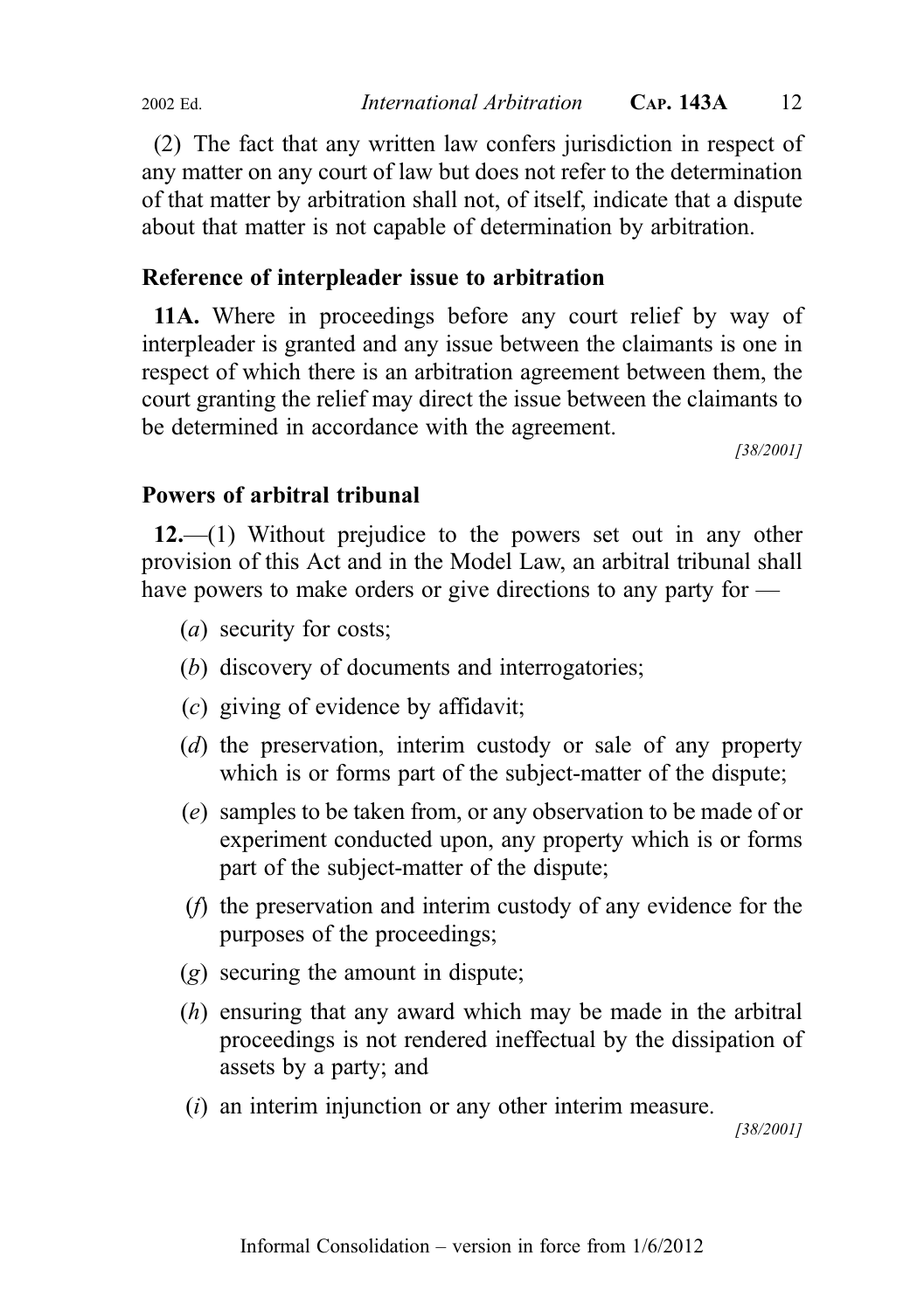(2) The fact that any written law confers jurisdiction in respect of any matter on any court of law but does not refer to the determination of that matter by arbitration shall not, of itself, indicate that a dispute about that matter is not capable of determination by arbitration.

### Reference of interpleader issue to arbitration

11A. Where in proceedings before any court relief by way of interpleader is granted and any issue between the claimants is one in respect of which there is an arbitration agreement between them, the court granting the relief may direct the issue between the claimants to be determined in accordance with the agreement.

[38/2001]

### Powers of arbitral tribunal

12.—(1) Without prejudice to the powers set out in any other provision of this Act and in the Model Law, an arbitral tribunal shall have powers to make orders or give directions to any party for —

- (a) security for costs;
- (b) discovery of documents and interrogatories;
- $(c)$  giving of evidence by affidavit;
- (d) the preservation, interim custody or sale of any property which is or forms part of the subject-matter of the dispute;
- (e) samples to be taken from, or any observation to be made of or experiment conducted upon, any property which is or forms part of the subject-matter of the dispute;
- (f) the preservation and interim custody of any evidence for the purposes of the proceedings;
- (g) securing the amount in dispute;
- (h) ensuring that any award which may be made in the arbitral proceedings is not rendered ineffectual by the dissipation of assets by a party; and
- (i) an interim injunction or any other interim measure.

[38/2001]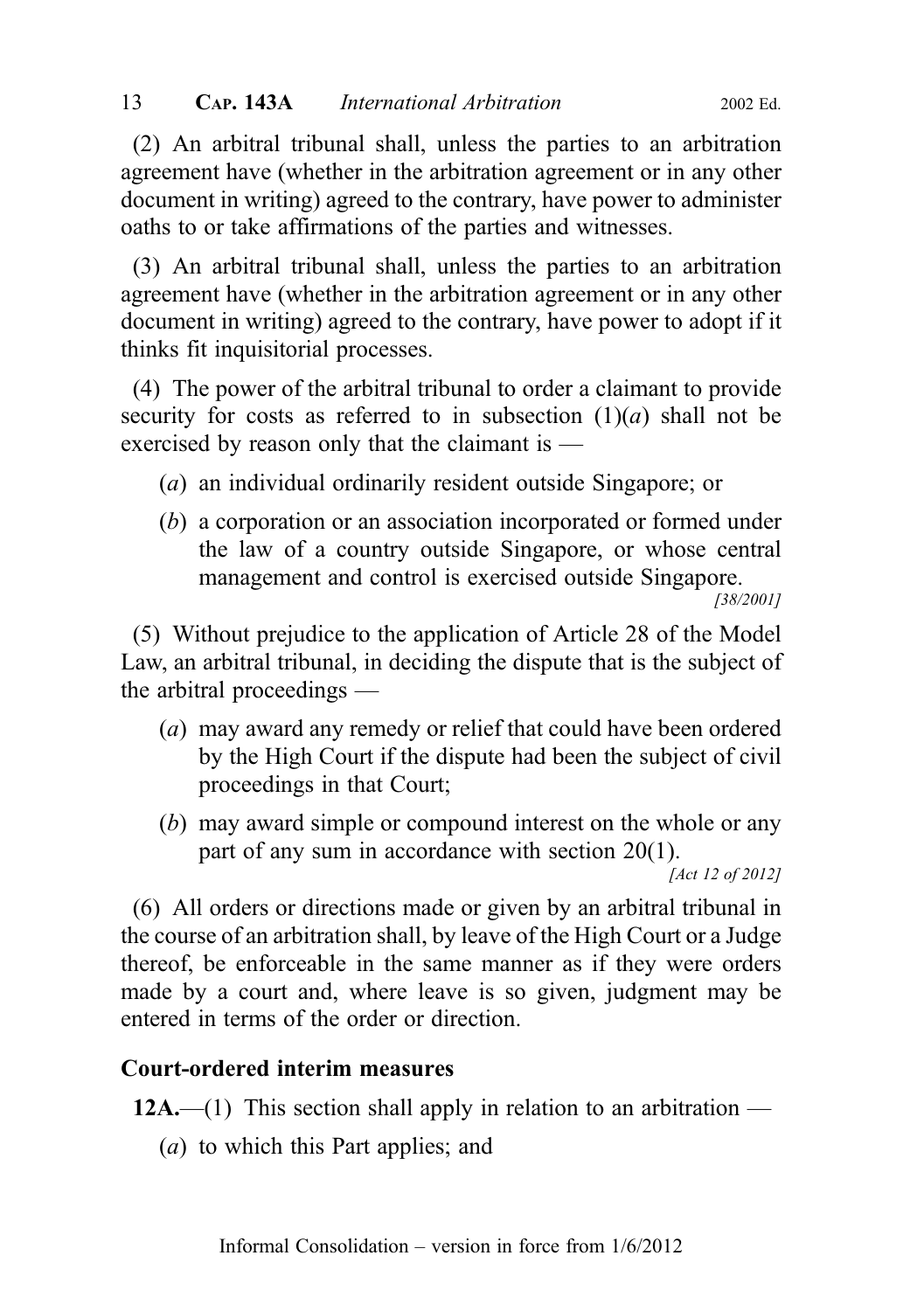(2) An arbitral tribunal shall, unless the parties to an arbitration agreement have (whether in the arbitration agreement or in any other document in writing) agreed to the contrary, have power to administer oaths to or take affirmations of the parties and witnesses.

(3) An arbitral tribunal shall, unless the parties to an arbitration agreement have (whether in the arbitration agreement or in any other document in writing) agreed to the contrary, have power to adopt if it thinks fit inquisitorial processes.

(4) The power of the arbitral tribunal to order a claimant to provide security for costs as referred to in subsection  $(1)(a)$  shall not be exercised by reason only that the claimant is —

- (a) an individual ordinarily resident outside Singapore; or
- (b) a corporation or an association incorporated or formed under the law of a country outside Singapore, or whose central management and control is exercised outside Singapore.

[38/2001]

(5) Without prejudice to the application of Article 28 of the Model Law, an arbitral tribunal, in deciding the dispute that is the subject of the arbitral proceedings —

- (a) may award any remedy or relief that could have been ordered by the High Court if the dispute had been the subject of civil proceedings in that Court;
- (b) may award simple or compound interest on the whole or any part of any sum in accordance with section 20(1).

[Act 12 of 2012]

(6) All orders or directions made or given by an arbitral tribunal in the course of an arbitration shall, by leave of the High Court or a Judge thereof, be enforceable in the same manner as if they were orders made by a court and, where leave is so given, judgment may be entered in terms of the order or direction.

### Court-ordered interim measures

12A.—(1) This section shall apply in relation to an arbitration —

(a) to which this Part applies; and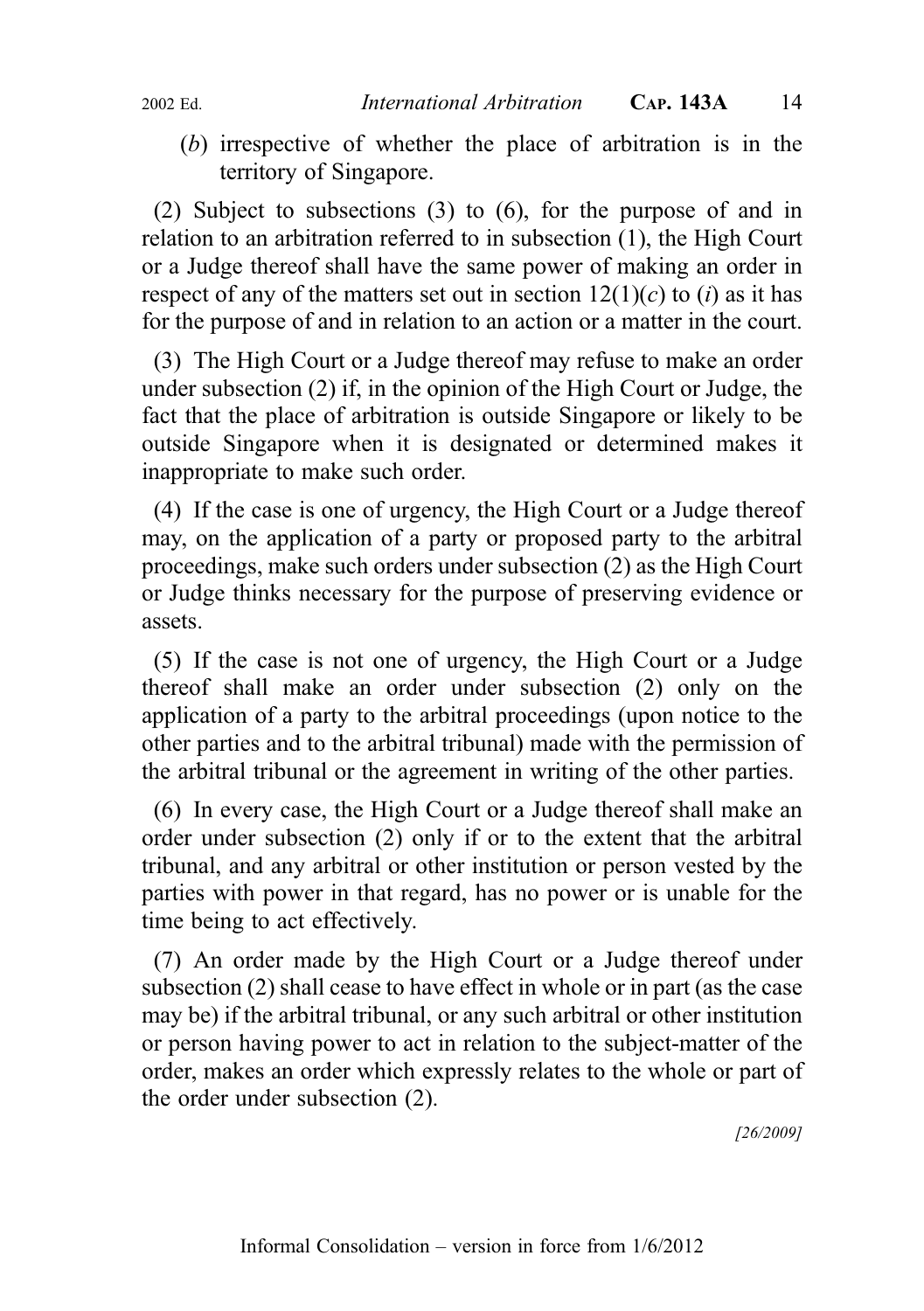- - (b) irrespective of whether the place of arbitration is in the territory of Singapore.

(2) Subject to subsections (3) to (6), for the purpose of and in relation to an arbitration referred to in subsection (1), the High Court or a Judge thereof shall have the same power of making an order in respect of any of the matters set out in section  $12(1)(c)$  to (*i*) as it has for the purpose of and in relation to an action or a matter in the court.

(3) The High Court or a Judge thereof may refuse to make an order under subsection (2) if, in the opinion of the High Court or Judge, the fact that the place of arbitration is outside Singapore or likely to be outside Singapore when it is designated or determined makes it inappropriate to make such order.

(4) If the case is one of urgency, the High Court or a Judge thereof may, on the application of a party or proposed party to the arbitral proceedings, make such orders under subsection (2) as the High Court or Judge thinks necessary for the purpose of preserving evidence or assets.

(5) If the case is not one of urgency, the High Court or a Judge thereof shall make an order under subsection (2) only on the application of a party to the arbitral proceedings (upon notice to the other parties and to the arbitral tribunal) made with the permission of the arbitral tribunal or the agreement in writing of the other parties.

(6) In every case, the High Court or a Judge thereof shall make an order under subsection (2) only if or to the extent that the arbitral tribunal, and any arbitral or other institution or person vested by the parties with power in that regard, has no power or is unable for the time being to act effectively.

(7) An order made by the High Court or a Judge thereof under subsection (2) shall cease to have effect in whole or in part (as the case may be) if the arbitral tribunal, or any such arbitral or other institution or person having power to act in relation to the subject-matter of the order, makes an order which expressly relates to the whole or part of the order under subsection (2).

[26/2009]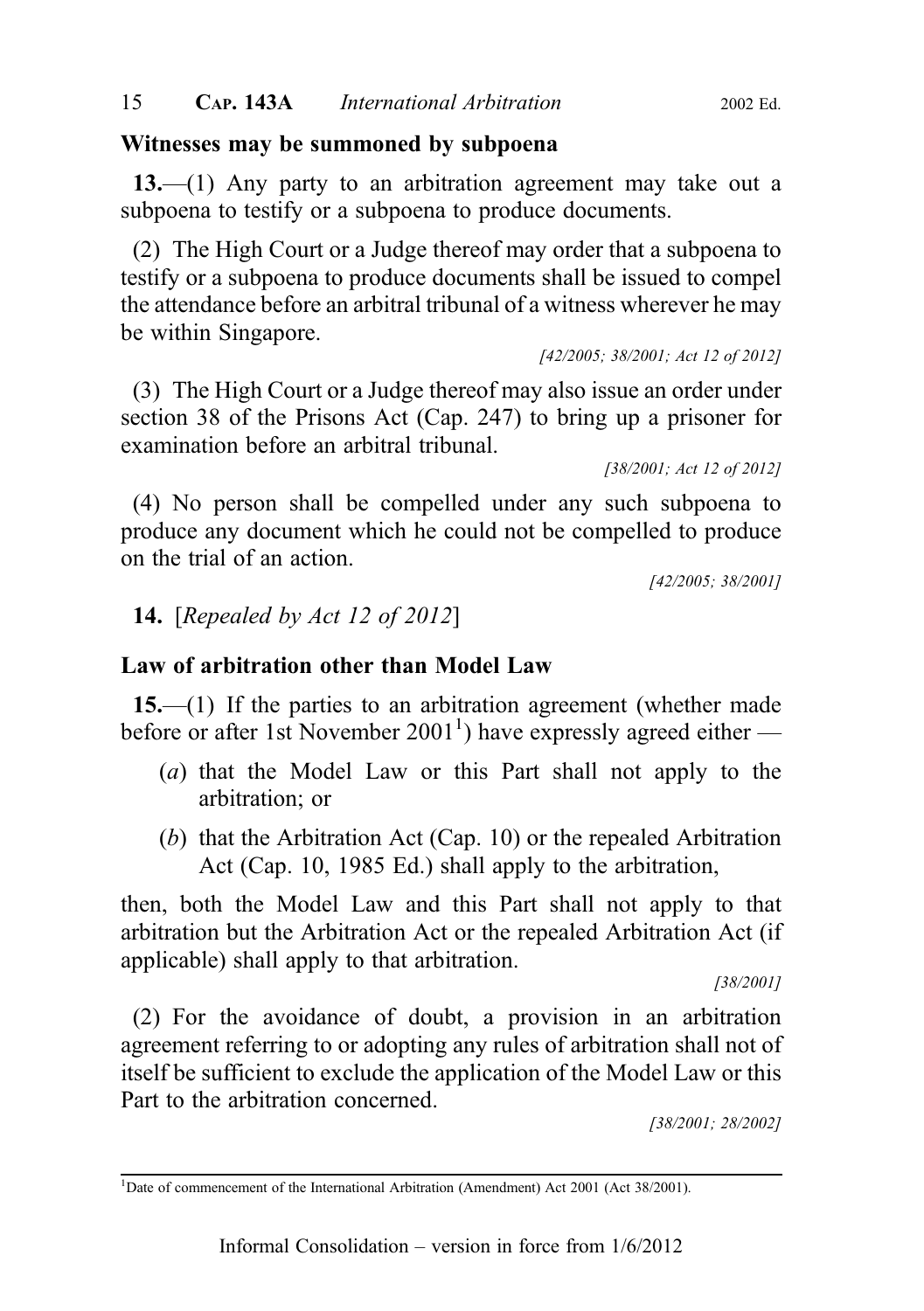### Witnesses may be summoned by subpoena

13.—(1) Any party to an arbitration agreement may take out a subpoena to testify or a subpoena to produce documents.

(2) The High Court or a Judge thereof may order that a subpoena to testify or a subpoena to produce documents shall be issued to compel the attendance before an arbitral tribunal of a witness wherever he may be within Singapore.

[42/2005; 38/2001; Act 12 of 2012]

(3) The High Court or a Judge thereof may also issue an order under section 38 of the Prisons Act (Cap. 247) to bring up a prisoner for examination before an arbitral tribunal.

[38/2001; Act 12 of 2012]

(4) No person shall be compelled under any such subpoena to produce any document which he could not be compelled to produce on the trial of an action.

[42/2005; 38/2001]

14. [Repealed by Act 12 of 2012]

### Law of arbitration other than Model Law

15.—(1) If the parties to an arbitration agreement (whether made before or after 1st November 2001<sup>1</sup>) have expressly agreed either —

- (a) that the Model Law or this Part shall not apply to the arbitration; or
- (b) that the Arbitration Act (Cap. 10) or the repealed Arbitration Act (Cap. 10, 1985 Ed.) shall apply to the arbitration,

then, both the Model Law and this Part shall not apply to that arbitration but the Arbitration Act or the repealed Arbitration Act (if applicable) shall apply to that arbitration.

[38/2001]

(2) For the avoidance of doubt, a provision in an arbitration agreement referring to or adopting any rules of arbitration shall not of itself be sufficient to exclude the application of the Model Law or this Part to the arbitration concerned.

[38/2001; 28/2002]

<sup>&</sup>lt;sup>1</sup>Date of commencement of the International Arbitration (Amendment) Act 2001 (Act 38/2001).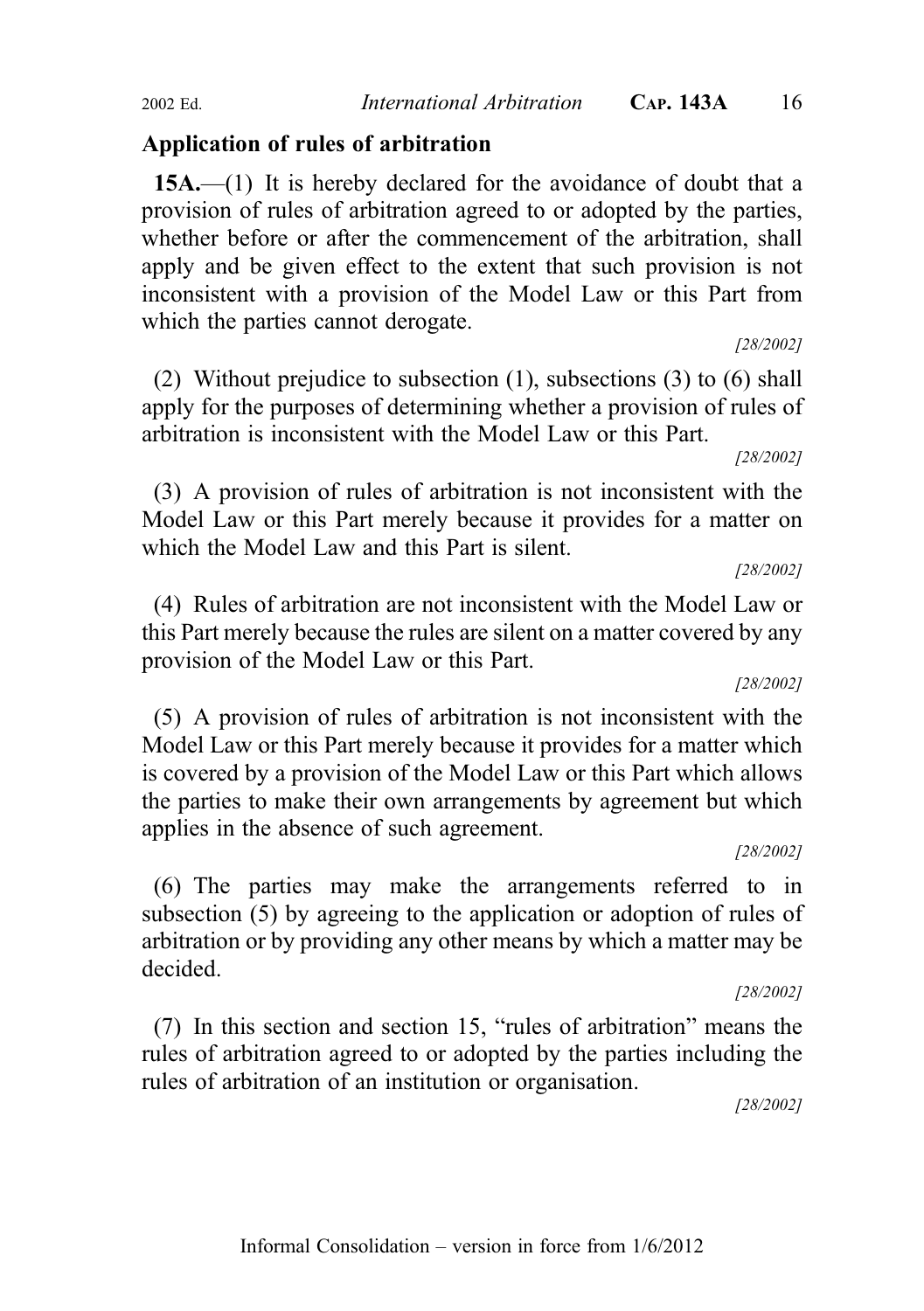Informal Consolidation – version in force from 1/6/2012

## Application of rules of arbitration

15A.—(1) It is hereby declared for the avoidance of doubt that a provision of rules of arbitration agreed to or adopted by the parties, whether before or after the commencement of the arbitration, shall apply and be given effect to the extent that such provision is not inconsistent with a provision of the Model Law or this Part from which the parties cannot derogate.

[28/2002]

(2) Without prejudice to subsection (1), subsections (3) to (6) shall apply for the purposes of determining whether a provision of rules of arbitration is inconsistent with the Model Law or this Part.

[28/2002]

(3) A provision of rules of arbitration is not inconsistent with the Model Law or this Part merely because it provides for a matter on which the Model Law and this Part is silent.

[28/2002]

(4) Rules of arbitration are not inconsistent with the Model Law or this Part merely because the rules are silent on a matter covered by any provision of the Model Law or this Part.

[28/2002]

(5) A provision of rules of arbitration is not inconsistent with the Model Law or this Part merely because it provides for a matter which is covered by a provision of the Model Law or this Part which allows the parties to make their own arrangements by agreement but which applies in the absence of such agreement.

[28/2002]

(6) The parties may make the arrangements referred to in subsection (5) by agreeing to the application or adoption of rules of arbitration or by providing any other means by which a matter may be decided.

#### [28/2002]

(7) In this section and section 15, "rules of arbitration" means the rules of arbitration agreed to or adopted by the parties including the rules of arbitration of an institution or organisation.

[28/2002]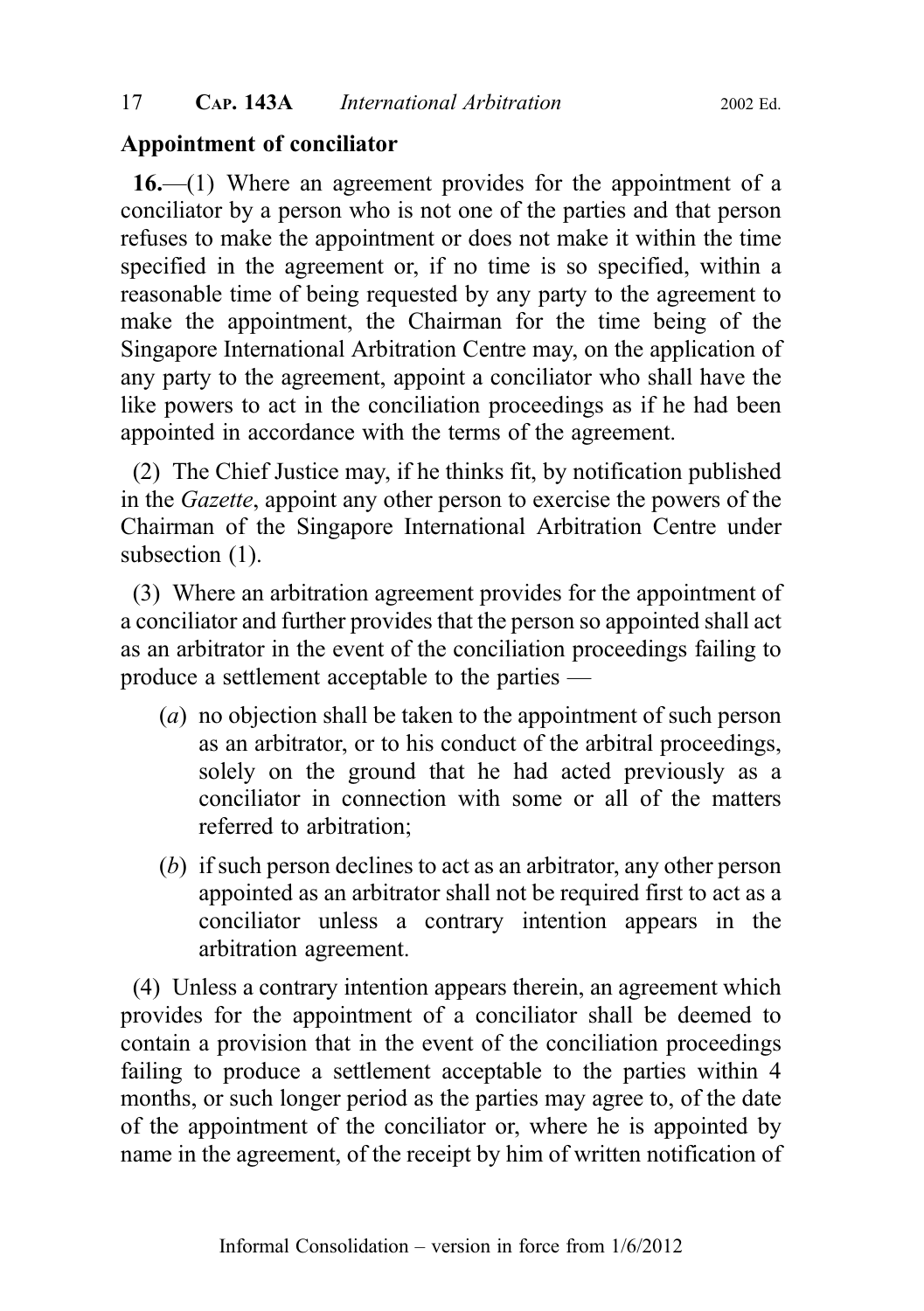### Appointment of conciliator

16.—(1) Where an agreement provides for the appointment of a conciliator by a person who is not one of the parties and that person refuses to make the appointment or does not make it within the time specified in the agreement or, if no time is so specified, within a reasonable time of being requested by any party to the agreement to make the appointment, the Chairman for the time being of the Singapore International Arbitration Centre may, on the application of any party to the agreement, appoint a conciliator who shall have the like powers to act in the conciliation proceedings as if he had been appointed in accordance with the terms of the agreement.

(2) The Chief Justice may, if he thinks fit, by notification published in the Gazette, appoint any other person to exercise the powers of the Chairman of the Singapore International Arbitration Centre under subsection  $(1)$ .

(3) Where an arbitration agreement provides for the appointment of a conciliator and further provides that the person so appointed shall act as an arbitrator in the event of the conciliation proceedings failing to produce a settlement acceptable to the parties —

- (a) no objection shall be taken to the appointment of such person as an arbitrator, or to his conduct of the arbitral proceedings, solely on the ground that he had acted previously as a conciliator in connection with some or all of the matters referred to arbitration;
- (b) if such person declines to act as an arbitrator, any other person appointed as an arbitrator shall not be required first to act as a conciliator unless a contrary intention appears in the arbitration agreement.

(4) Unless a contrary intention appears therein, an agreement which provides for the appointment of a conciliator shall be deemed to contain a provision that in the event of the conciliation proceedings failing to produce a settlement acceptable to the parties within 4 months, or such longer period as the parties may agree to, of the date of the appointment of the conciliator or, where he is appointed by name in the agreement, of the receipt by him of written notification of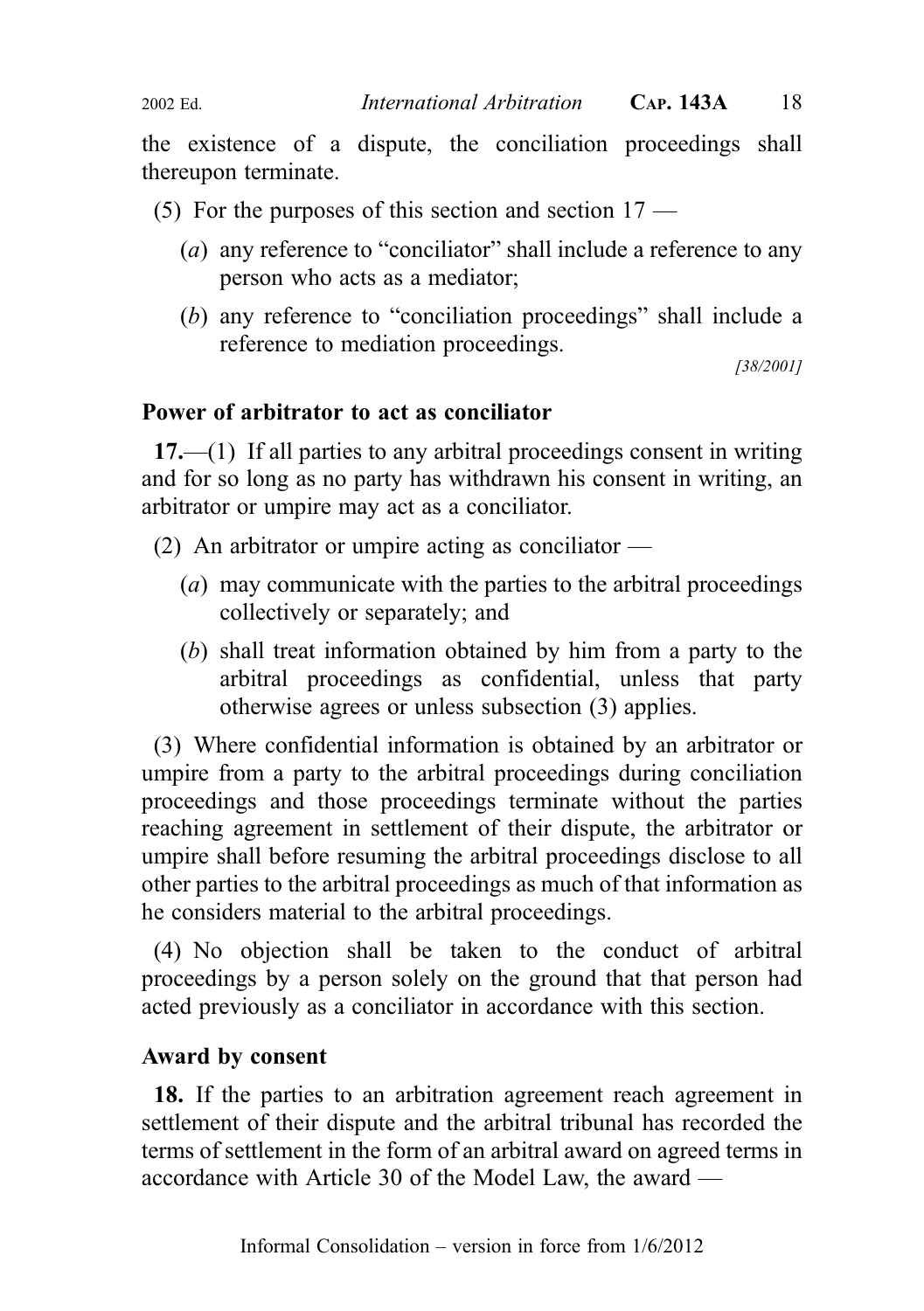the existence of a dispute, the conciliation proceedings shall thereupon terminate.

- (5) For the purposes of this section and section  $17 -$ 
	- (a) any reference to "conciliator" shall include a reference to any person who acts as a mediator;
	- (b) any reference to "conciliation proceedings" shall include a reference to mediation proceedings.

[38/2001]

### Power of arbitrator to act as conciliator

17.—(1) If all parties to any arbitral proceedings consent in writing and for so long as no party has withdrawn his consent in writing, an arbitrator or umpire may act as a conciliator.

(2) An arbitrator or umpire acting as conciliator  $-$ 

- (a) may communicate with the parties to the arbitral proceedings collectively or separately; and
- (b) shall treat information obtained by him from a party to the arbitral proceedings as confidential, unless that party otherwise agrees or unless subsection (3) applies.

(3) Where confidential information is obtained by an arbitrator or umpire from a party to the arbitral proceedings during conciliation proceedings and those proceedings terminate without the parties reaching agreement in settlement of their dispute, the arbitrator or umpire shall before resuming the arbitral proceedings disclose to all other parties to the arbitral proceedings as much of that information as he considers material to the arbitral proceedings.

(4) No objection shall be taken to the conduct of arbitral proceedings by a person solely on the ground that that person had acted previously as a conciliator in accordance with this section.

### Award by consent

18. If the parties to an arbitration agreement reach agreement in settlement of their dispute and the arbitral tribunal has recorded the terms of settlement in the form of an arbitral award on agreed terms in accordance with Article 30 of the Model Law, the award —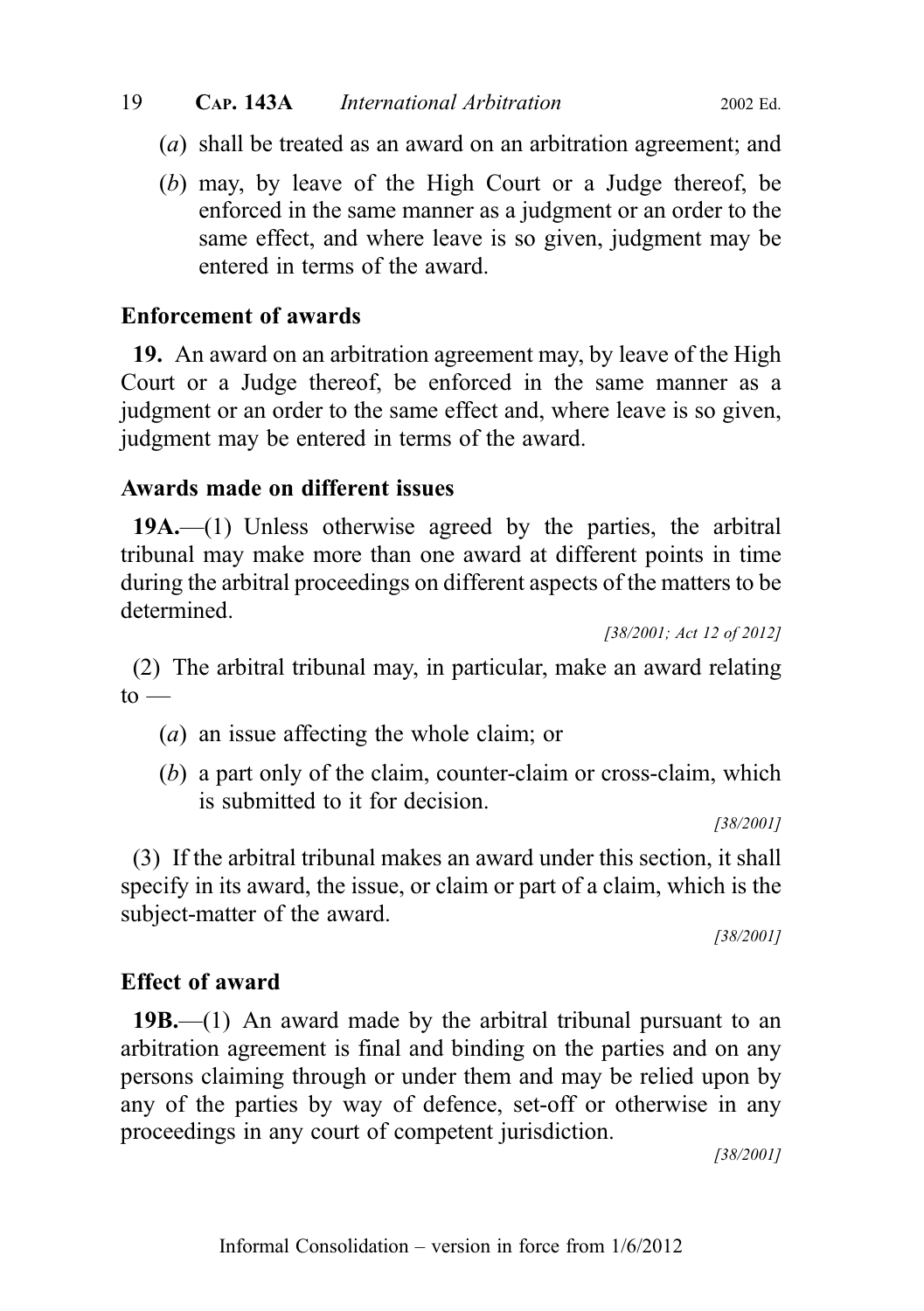- (a) shall be treated as an award on an arbitration agreement; and
- (b) may, by leave of the High Court or a Judge thereof, be enforced in the same manner as a judgment or an order to the same effect, and where leave is so given, judgment may be entered in terms of the award.

### Enforcement of awards

19. An award on an arbitration agreement may, by leave of the High Court or a Judge thereof, be enforced in the same manner as a judgment or an order to the same effect and, where leave is so given, judgment may be entered in terms of the award.

### Awards made on different issues

19A.—(1) Unless otherwise agreed by the parties, the arbitral tribunal may make more than one award at different points in time during the arbitral proceedings on different aspects of the matters to be determined.

[38/2001; Act 12 of 2012]

(2) The arbitral tribunal may, in particular, make an award relating  $to -$ 

- (a) an issue affecting the whole claim; or
- (b) a part only of the claim, counter-claim or cross-claim, which is submitted to it for decision.

[38/2001]

(3) If the arbitral tribunal makes an award under this section, it shall specify in its award, the issue, or claim or part of a claim, which is the subject-matter of the award.

[38/2001]

## Effect of award

19B.—(1) An award made by the arbitral tribunal pursuant to an arbitration agreement is final and binding on the parties and on any persons claiming through or under them and may be relied upon by any of the parties by way of defence, set-off or otherwise in any proceedings in any court of competent jurisdiction.

[38/2001]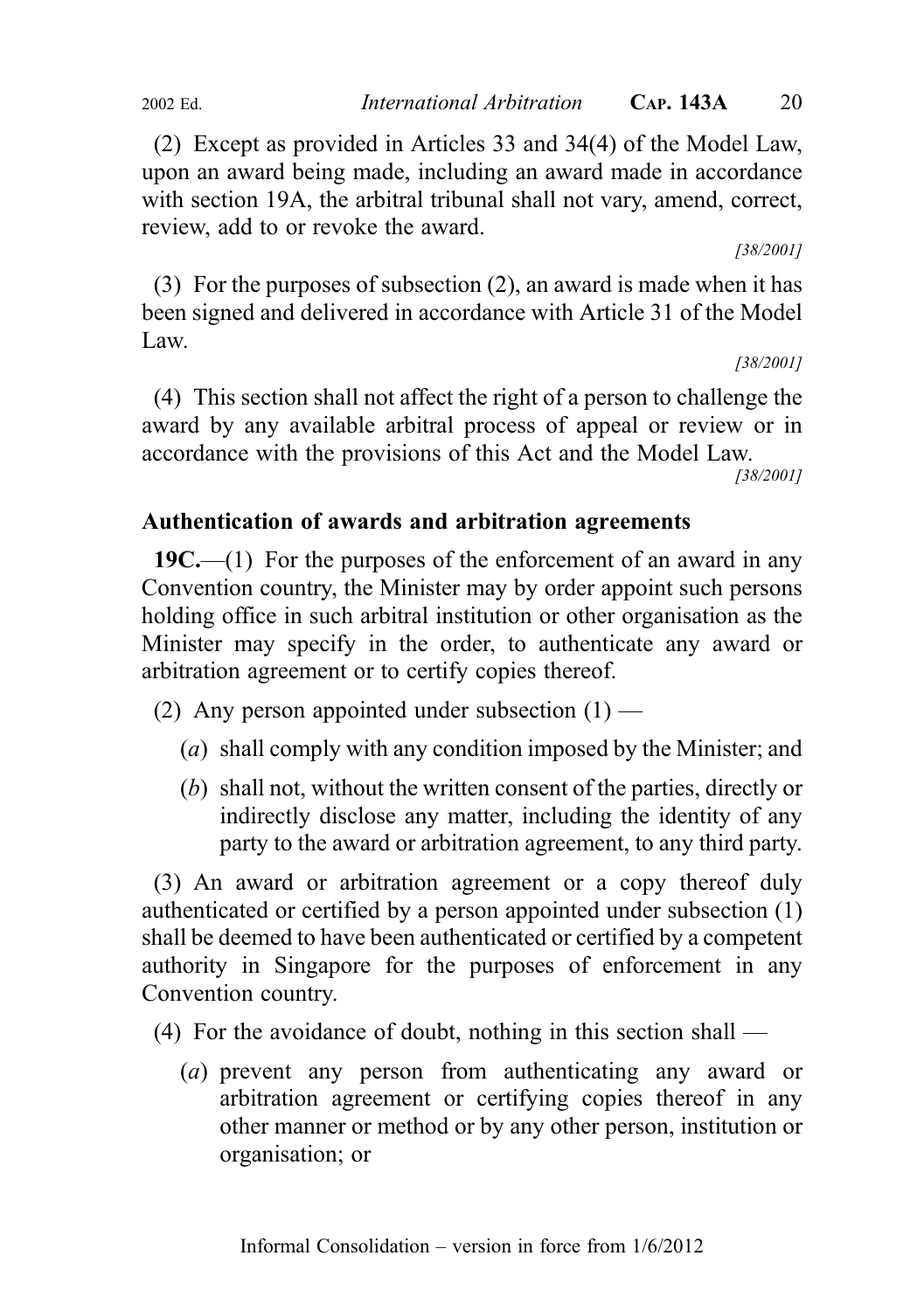(2) Except as provided in Articles 33 and 34(4) of the Model Law, upon an award being made, including an award made in accordance with section 19A, the arbitral tribunal shall not vary, amend, correct, review, add to or revoke the award.

[38/2001]

(3) For the purposes of subsection (2), an award is made when it has been signed and delivered in accordance with Article 31 of the Model Law.

[38/2001]

(4) This section shall not affect the right of a person to challenge the award by any available arbitral process of appeal or review or in accordance with the provisions of this Act and the Model Law.

[38/2001]

### Authentication of awards and arbitration agreements

19C.—(1) For the purposes of the enforcement of an award in any Convention country, the Minister may by order appoint such persons holding office in such arbitral institution or other organisation as the Minister may specify in the order, to authenticate any award or arbitration agreement or to certify copies thereof.

- (2) Any person appointed under subsection  $(1)$ 
	- (a) shall comply with any condition imposed by the Minister; and
	- (b) shall not, without the written consent of the parties, directly or indirectly disclose any matter, including the identity of any party to the award or arbitration agreement, to any third party.

(3) An award or arbitration agreement or a copy thereof duly authenticated or certified by a person appointed under subsection (1) shall be deemed to have been authenticated or certified by a competent authority in Singapore for the purposes of enforcement in any Convention country.

(4) For the avoidance of doubt, nothing in this section shall —

(a) prevent any person from authenticating any award or arbitration agreement or certifying copies thereof in any other manner or method or by any other person, institution or organisation; or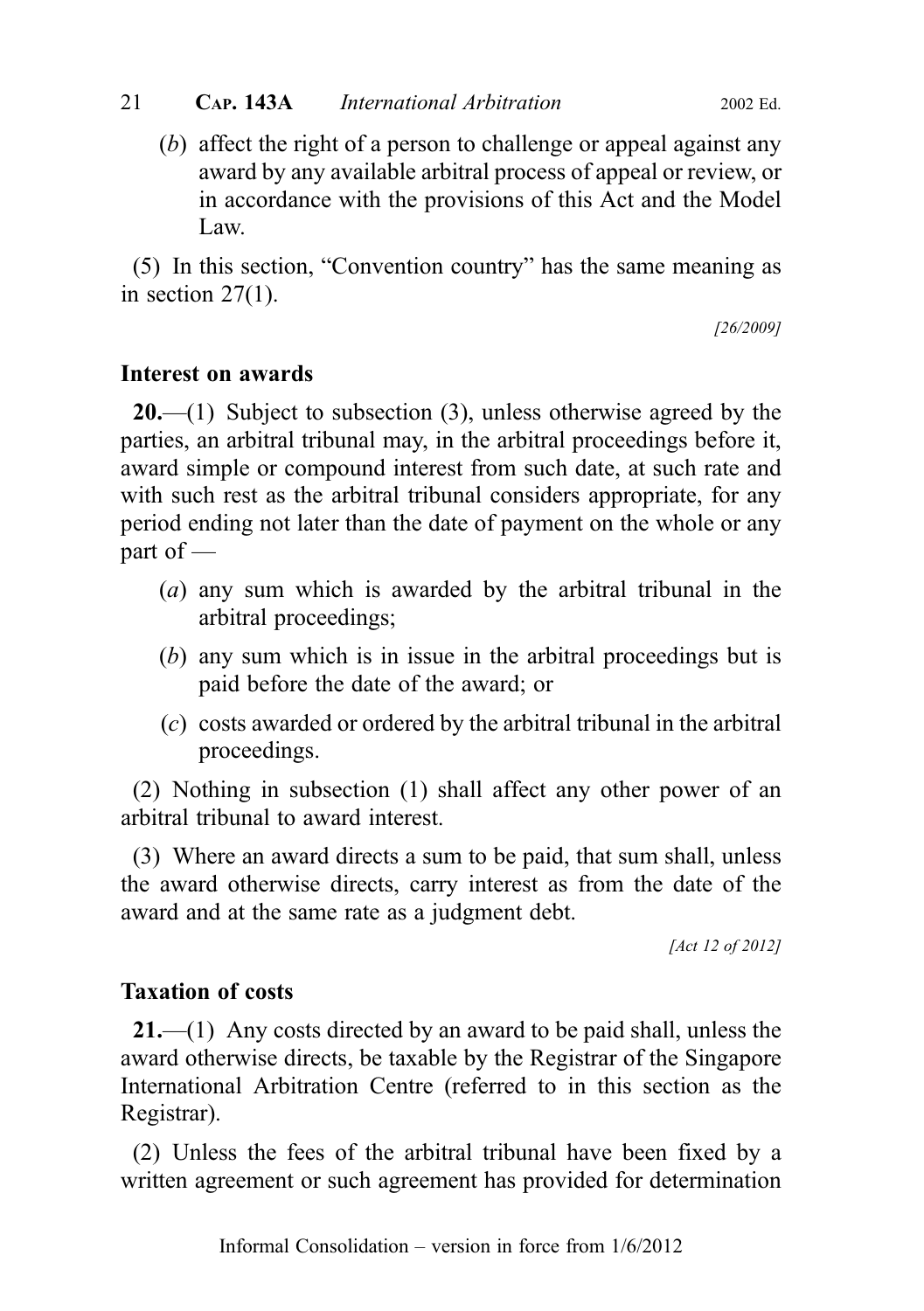(b) affect the right of a person to challenge or appeal against any award by any available arbitral process of appeal or review, or in accordance with the provisions of this Act and the Model Law.

(5) In this section, "Convention country" has the same meaning as in section 27(1).

[26/2009]

### Interest on awards

**20.**—(1) Subject to subsection  $(3)$ , unless otherwise agreed by the parties, an arbitral tribunal may, in the arbitral proceedings before it, award simple or compound interest from such date, at such rate and with such rest as the arbitral tribunal considers appropriate, for any period ending not later than the date of payment on the whole or any part of  $-$ 

- (a) any sum which is awarded by the arbitral tribunal in the arbitral proceedings;
- (b) any sum which is in issue in the arbitral proceedings but is paid before the date of the award; or
- (c) costs awarded or ordered by the arbitral tribunal in the arbitral proceedings.

(2) Nothing in subsection (1) shall affect any other power of an arbitral tribunal to award interest.

(3) Where an award directs a sum to be paid, that sum shall, unless the award otherwise directs, carry interest as from the date of the award and at the same rate as a judgment debt.

[Act 12 of 2012]

### Taxation of costs

21.—(1) Any costs directed by an award to be paid shall, unless the award otherwise directs, be taxable by the Registrar of the Singapore International Arbitration Centre (referred to in this section as the Registrar).

(2) Unless the fees of the arbitral tribunal have been fixed by a written agreement or such agreement has provided for determination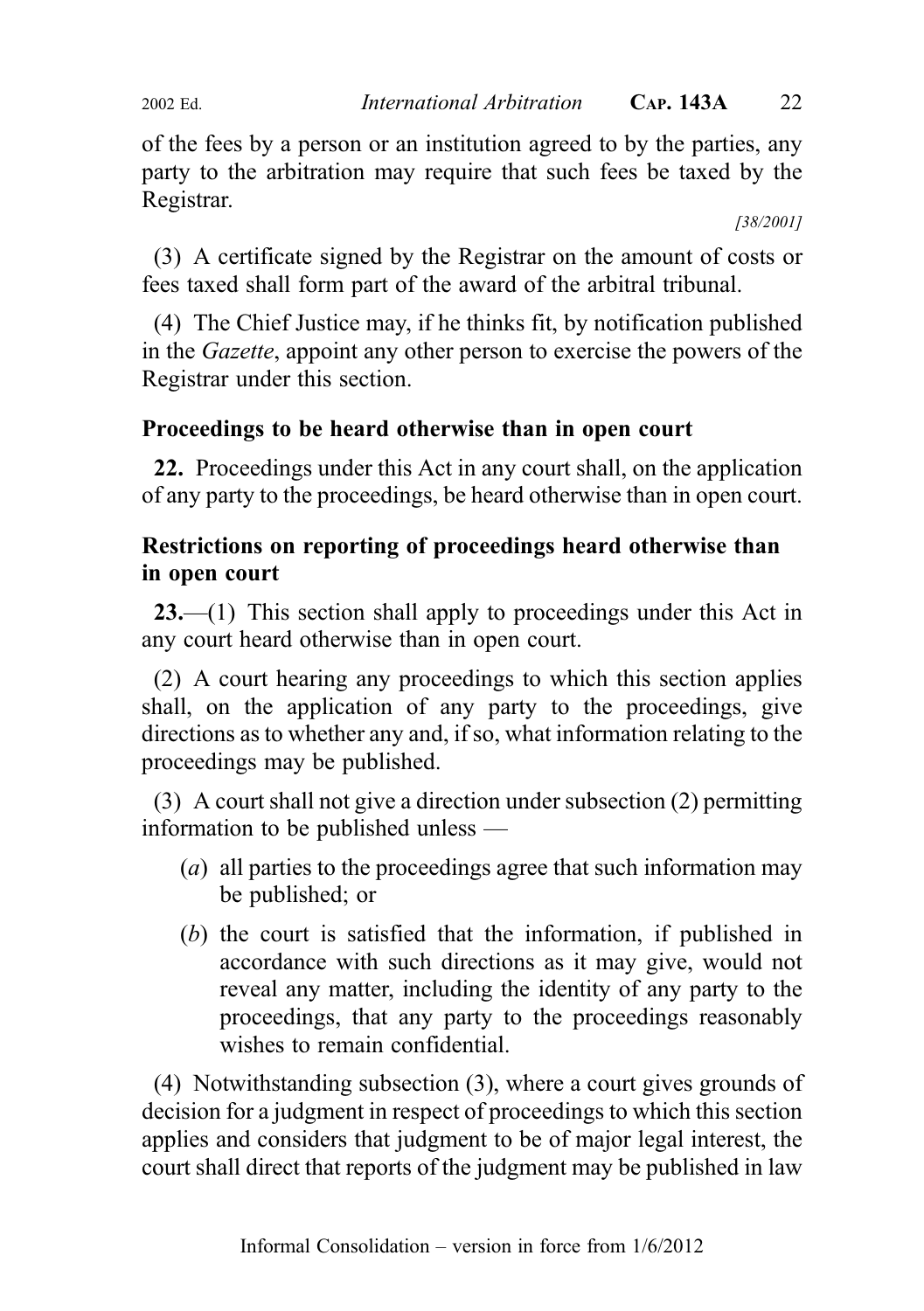of the fees by a person or an institution agreed to by the parties, any party to the arbitration may require that such fees be taxed by the Registrar.

[38/2001]

(3) A certificate signed by the Registrar on the amount of costs or fees taxed shall form part of the award of the arbitral tribunal.

(4) The Chief Justice may, if he thinks fit, by notification published in the Gazette, appoint any other person to exercise the powers of the Registrar under this section.

# Proceedings to be heard otherwise than in open court

22. Proceedings under this Act in any court shall, on the application of any party to the proceedings, be heard otherwise than in open court.

# Restrictions on reporting of proceedings heard otherwise than in open court

23.—(1) This section shall apply to proceedings under this Act in any court heard otherwise than in open court.

(2) A court hearing any proceedings to which this section applies shall, on the application of any party to the proceedings, give directions as to whether any and, if so, what information relating to the proceedings may be published.

(3) A court shall not give a direction under subsection (2) permitting information to be published unless —

- (a) all parties to the proceedings agree that such information may be published; or
- (b) the court is satisfied that the information, if published in accordance with such directions as it may give, would not reveal any matter, including the identity of any party to the proceedings, that any party to the proceedings reasonably wishes to remain confidential.

(4) Notwithstanding subsection (3), where a court gives grounds of decision for a judgment in respect of proceedings to which this section applies and considers that judgment to be of major legal interest, the court shall direct that reports of the judgment may be published in law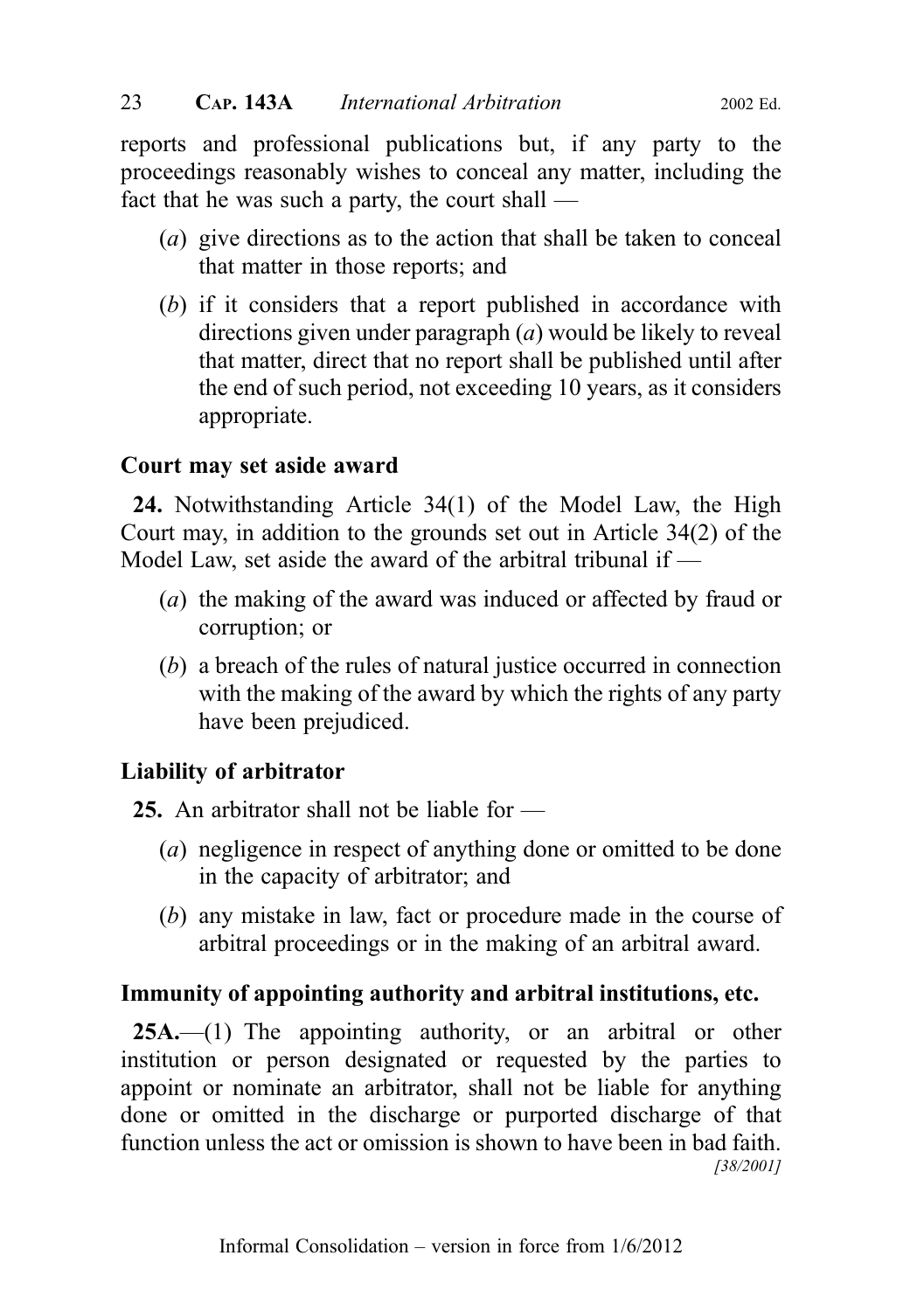reports and professional publications but, if any party to the proceedings reasonably wishes to conceal any matter, including the fact that he was such a party, the court shall —

- (a) give directions as to the action that shall be taken to conceal that matter in those reports; and
- (b) if it considers that a report published in accordance with directions given under paragraph (*a*) would be likely to reveal that matter, direct that no report shall be published until after the end of such period, not exceeding 10 years, as it considers appropriate.

### Court may set aside award

24. Notwithstanding Article 34(1) of the Model Law, the High Court may, in addition to the grounds set out in Article 34(2) of the Model Law, set aside the award of the arbitral tribunal if —

- (a) the making of the award was induced or affected by fraud or corruption; or
- (b) a breach of the rules of natural justice occurred in connection with the making of the award by which the rights of any party have been prejudiced.

## Liability of arbitrator

25. An arbitrator shall not be liable for —

- (a) negligence in respect of anything done or omitted to be done in the capacity of arbitrator; and
- (b) any mistake in law, fact or procedure made in the course of arbitral proceedings or in the making of an arbitral award.

## Immunity of appointing authority and arbitral institutions, etc.

25A.—(1) The appointing authority, or an arbitral or other institution or person designated or requested by the parties to appoint or nominate an arbitrator, shall not be liable for anything done or omitted in the discharge or purported discharge of that function unless the act or omission is shown to have been in bad faith. [38/2001]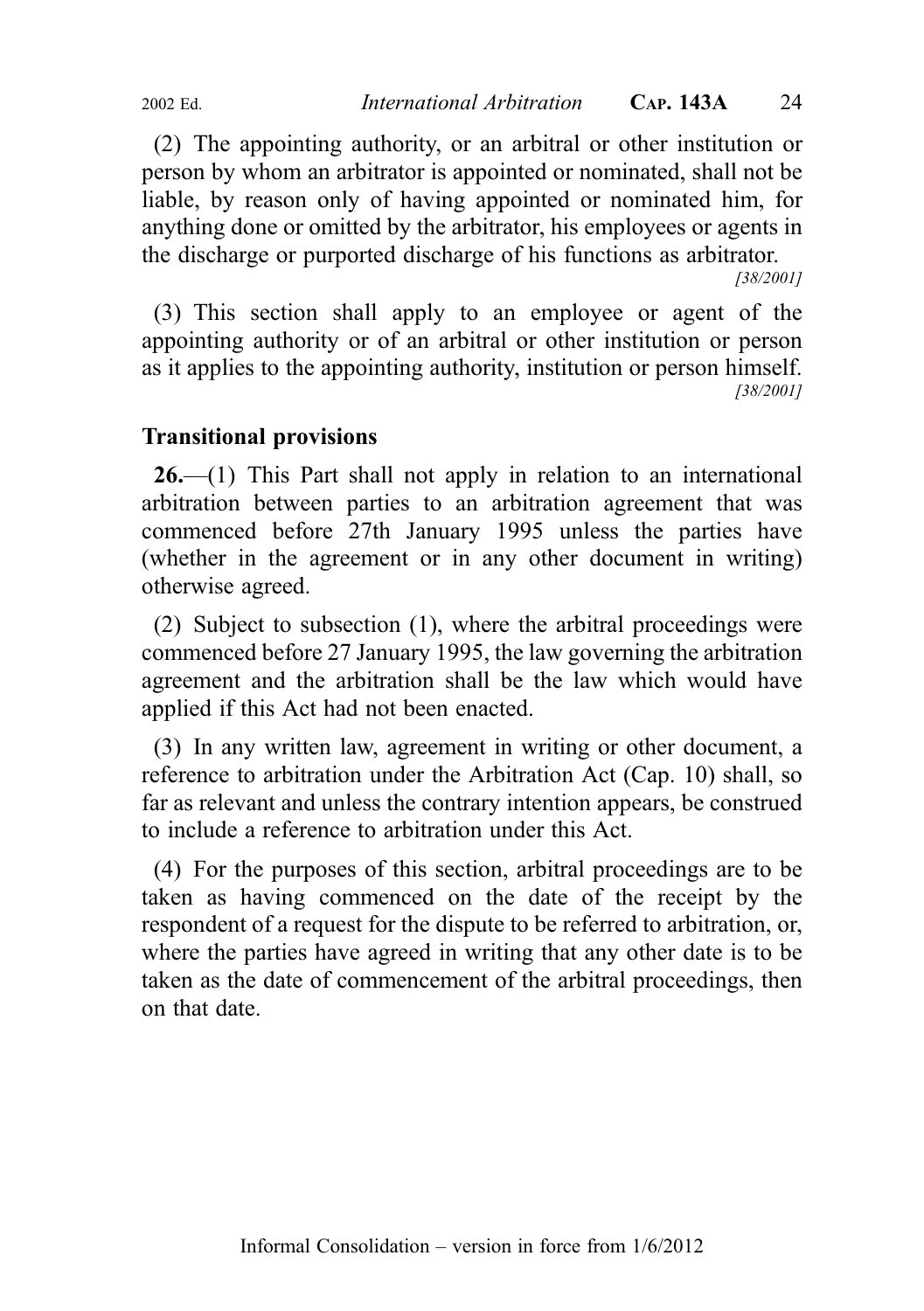2002 Ed. International Arbitration CAP. 143A 24

(2) The appointing authority, or an arbitral or other institution or person by whom an arbitrator is appointed or nominated, shall not be liable, by reason only of having appointed or nominated him, for anything done or omitted by the arbitrator, his employees or agents in the discharge or purported discharge of his functions as arbitrator.

[38/2001]

(3) This section shall apply to an employee or agent of the appointing authority or of an arbitral or other institution or person as it applies to the appointing authority, institution or person himself. [38/2001]

### Transitional provisions

26.—(1) This Part shall not apply in relation to an international arbitration between parties to an arbitration agreement that was commenced before 27th January 1995 unless the parties have (whether in the agreement or in any other document in writing) otherwise agreed.

(2) Subject to subsection (1), where the arbitral proceedings were commenced before 27 January 1995, the law governing the arbitration agreement and the arbitration shall be the law which would have applied if this Act had not been enacted.

(3) In any written law, agreement in writing or other document, a reference to arbitration under the Arbitration Act (Cap. 10) shall, so far as relevant and unless the contrary intention appears, be construed to include a reference to arbitration under this Act.

(4) For the purposes of this section, arbitral proceedings are to be taken as having commenced on the date of the receipt by the respondent of a request for the dispute to be referred to arbitration, or, where the parties have agreed in writing that any other date is to be taken as the date of commencement of the arbitral proceedings, then on that date.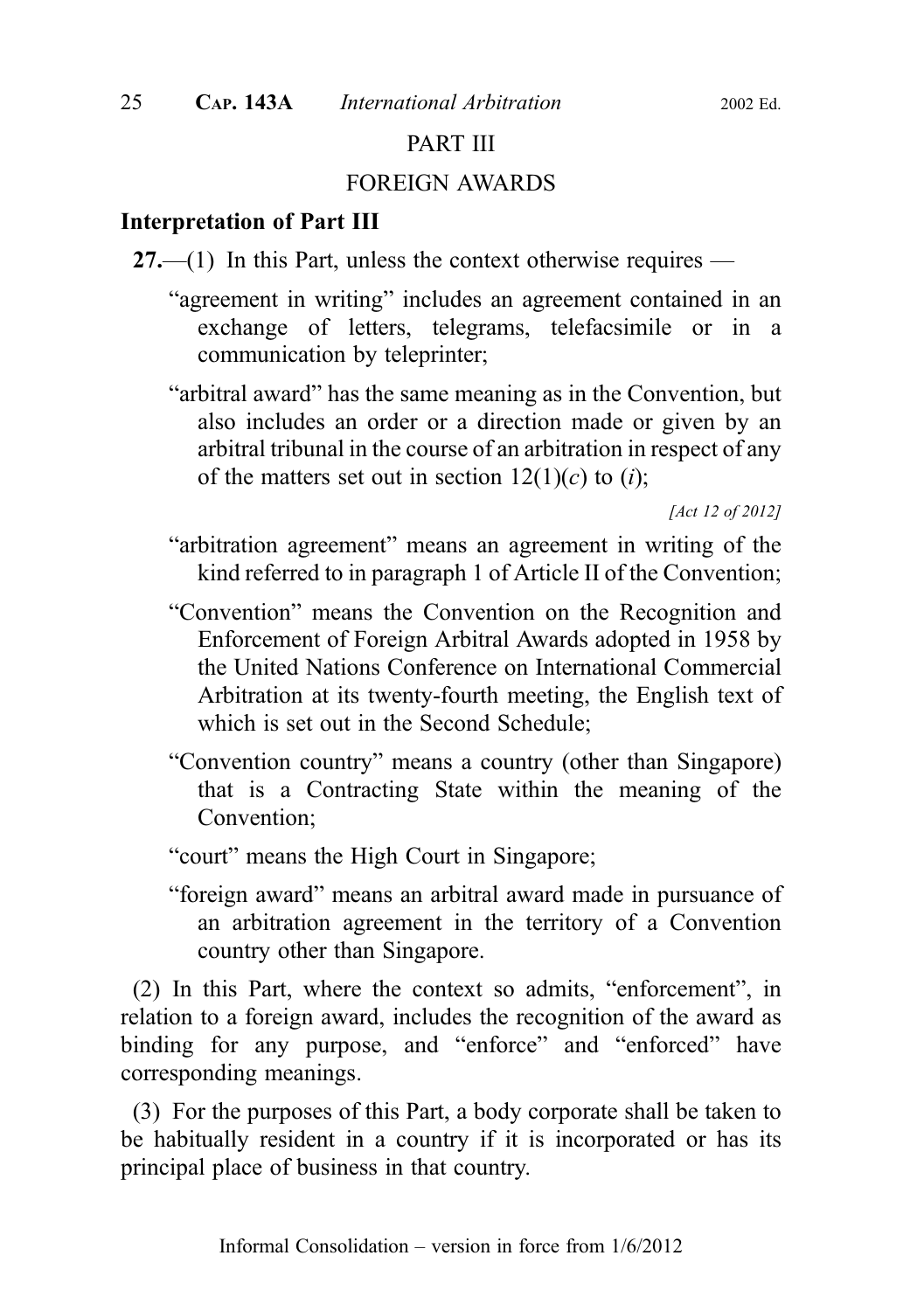### PART III

### FOREIGN AWARDS

### Interpretation of Part III

- $27$ —(1) In this Part, unless the context otherwise requires
	- "agreement in writing" includes an agreement contained in an exchange of letters, telegrams, telefacsimile or in a communication by teleprinter;
	- "arbitral award" has the same meaning as in the Convention, but also includes an order or a direction made or given by an arbitral tribunal in the course of an arbitration in respect of any of the matters set out in section  $12(1)(c)$  to  $(i)$ ;

[Act 12 of 2012]

- "arbitration agreement" means an agreement in writing of the kind referred to in paragraph 1 of Article II of the Convention;
- "Convention" means the Convention on the Recognition and Enforcement of Foreign Arbitral Awards adopted in 1958 by the United Nations Conference on International Commercial Arbitration at its twenty-fourth meeting, the English text of which is set out in the Second Schedule;
- "Convention country" means a country (other than Singapore) that is a Contracting State within the meaning of the Convention;
- "court" means the High Court in Singapore;
- "foreign award" means an arbitral award made in pursuance of an arbitration agreement in the territory of a Convention country other than Singapore.

(2) In this Part, where the context so admits, "enforcement", in relation to a foreign award, includes the recognition of the award as binding for any purpose, and "enforce" and "enforced" have corresponding meanings.

(3) For the purposes of this Part, a body corporate shall be taken to be habitually resident in a country if it is incorporated or has its principal place of business in that country.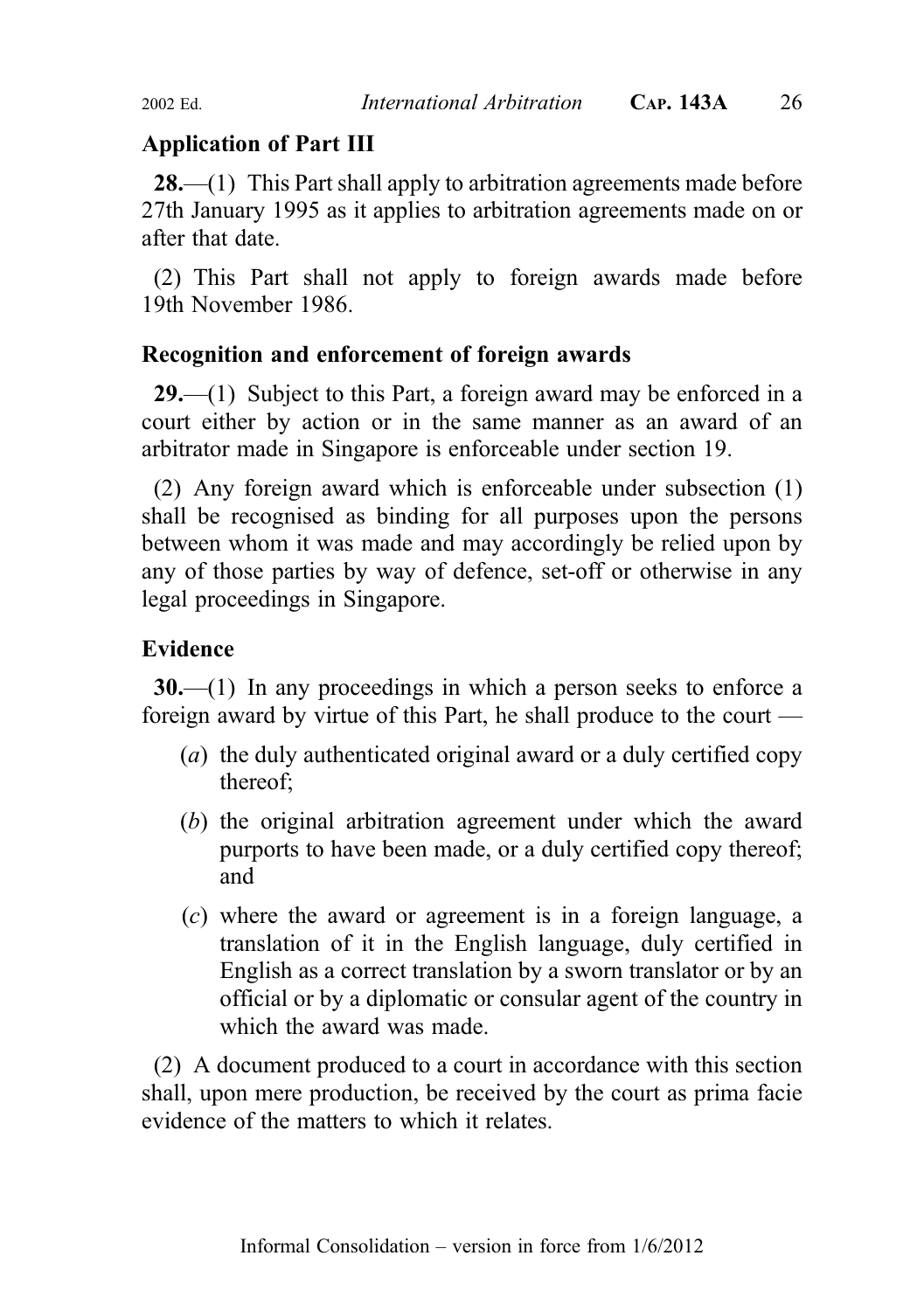### Application of Part III

28.—(1) This Part shall apply to arbitration agreements made before 27th January 1995 as it applies to arbitration agreements made on or after that date.

(2) This Part shall not apply to foreign awards made before 19th November 1986.

## Recognition and enforcement of foreign awards

**29.**—(1) Subject to this Part, a foreign award may be enforced in a court either by action or in the same manner as an award of an arbitrator made in Singapore is enforceable under section 19.

(2) Any foreign award which is enforceable under subsection (1) shall be recognised as binding for all purposes upon the persons between whom it was made and may accordingly be relied upon by any of those parties by way of defence, set-off or otherwise in any legal proceedings in Singapore.

## Evidence

 $30$ .—(1) In any proceedings in which a person seeks to enforce a foreign award by virtue of this Part, he shall produce to the court —

- (a) the duly authenticated original award or a duly certified copy thereof;
- (b) the original arbitration agreement under which the award purports to have been made, or a duly certified copy thereof; and
- (c) where the award or agreement is in a foreign language, a translation of it in the English language, duly certified in English as a correct translation by a sworn translator or by an official or by a diplomatic or consular agent of the country in which the award was made.

(2) A document produced to a court in accordance with this section shall, upon mere production, be received by the court as prima facie evidence of the matters to which it relates.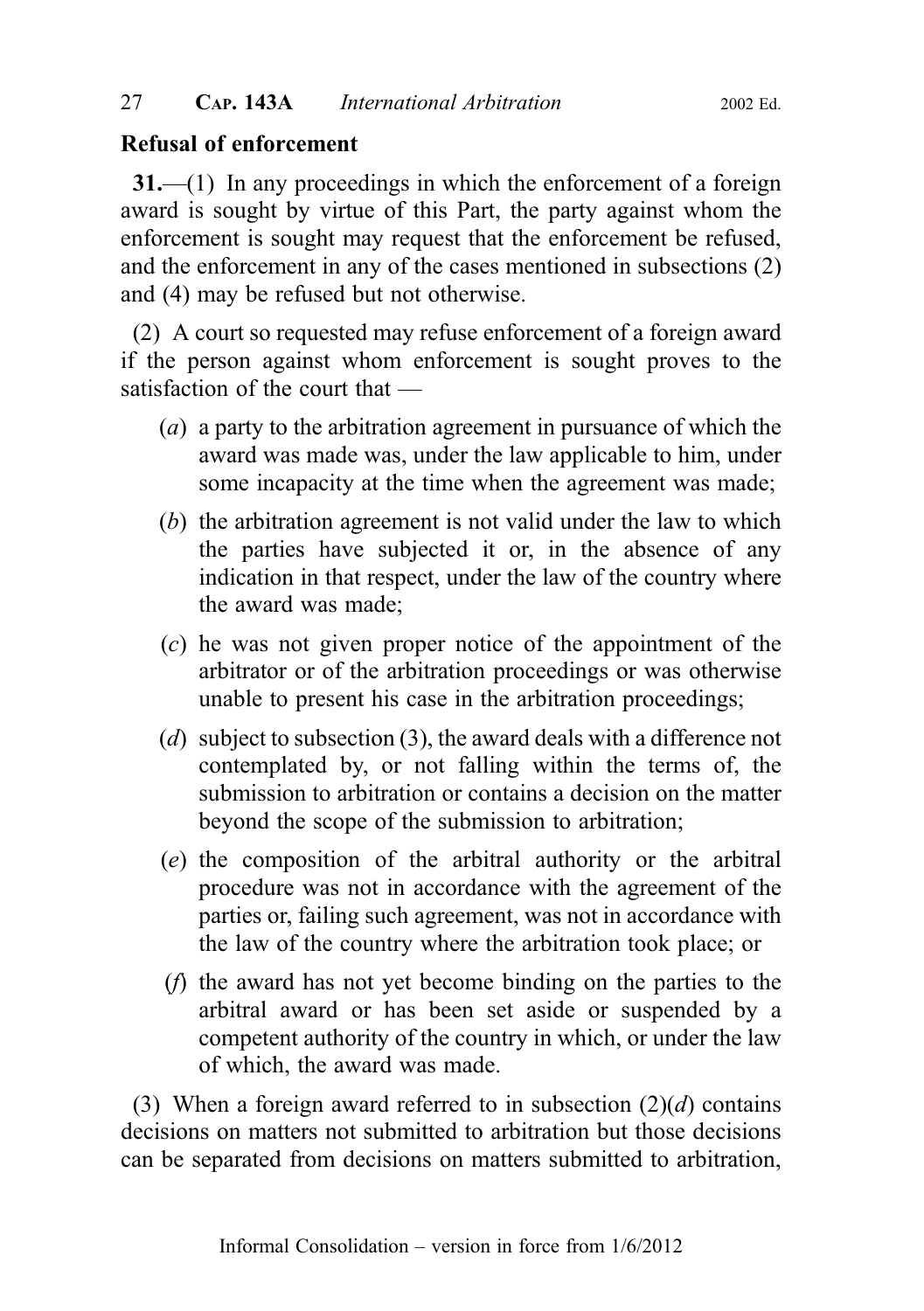## Refusal of enforcement

31.—(1) In any proceedings in which the enforcement of a foreign award is sought by virtue of this Part, the party against whom the enforcement is sought may request that the enforcement be refused, and the enforcement in any of the cases mentioned in subsections (2) and (4) may be refused but not otherwise.

(2) A court so requested may refuse enforcement of a foreign award if the person against whom enforcement is sought proves to the satisfaction of the court that —

- (a) a party to the arbitration agreement in pursuance of which the award was made was, under the law applicable to him, under some incapacity at the time when the agreement was made;
- (b) the arbitration agreement is not valid under the law to which the parties have subjected it or, in the absence of any indication in that respect, under the law of the country where the award was made;
- (c) he was not given proper notice of the appointment of the arbitrator or of the arbitration proceedings or was otherwise unable to present his case in the arbitration proceedings;
- (d) subject to subsection (3), the award deals with a difference not contemplated by, or not falling within the terms of, the submission to arbitration or contains a decision on the matter beyond the scope of the submission to arbitration;
- (e) the composition of the arbitral authority or the arbitral procedure was not in accordance with the agreement of the parties or, failing such agreement, was not in accordance with the law of the country where the arbitration took place; or
- (f) the award has not yet become binding on the parties to the arbitral award or has been set aside or suspended by a competent authority of the country in which, or under the law of which, the award was made.

(3) When a foreign award referred to in subsection  $(2)(d)$  contains decisions on matters not submitted to arbitration but those decisions can be separated from decisions on matters submitted to arbitration,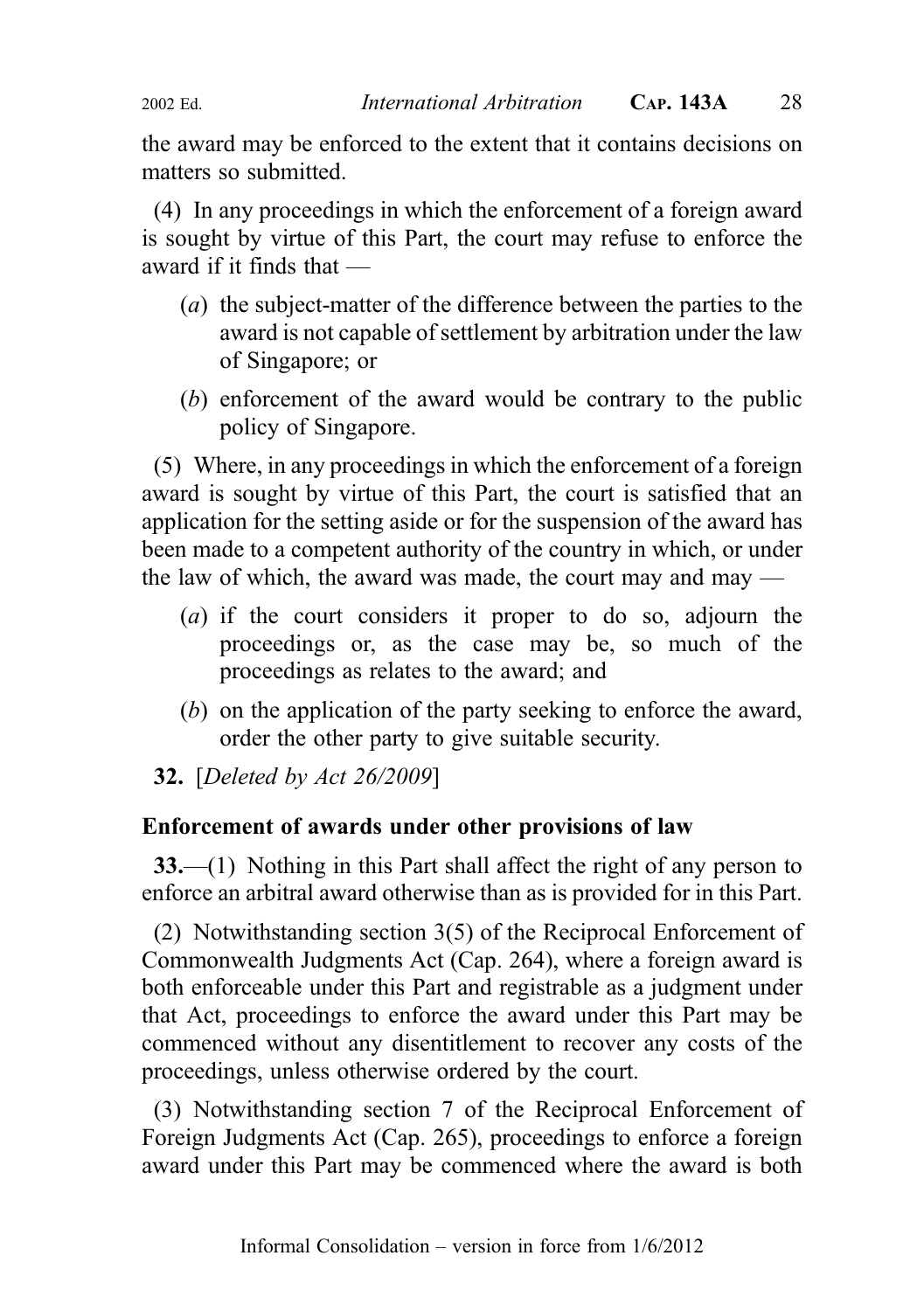the award may be enforced to the extent that it contains decisions on matters so submitted.

(4) In any proceedings in which the enforcement of a foreign award is sought by virtue of this Part, the court may refuse to enforce the award if it finds that —

- (a) the subject-matter of the difference between the parties to the award is not capable of settlement by arbitration under the law of Singapore; or
- (b) enforcement of the award would be contrary to the public policy of Singapore.

(5) Where, in any proceedings in which the enforcement of a foreign award is sought by virtue of this Part, the court is satisfied that an application for the setting aside or for the suspension of the award has been made to a competent authority of the country in which, or under the law of which, the award was made, the court may and may —

- (a) if the court considers it proper to do so, adjourn the proceedings or, as the case may be, so much of the proceedings as relates to the award; and
- (b) on the application of the party seeking to enforce the award, order the other party to give suitable security.
- 32. [Deleted by Act 26/2009]

### Enforcement of awards under other provisions of law

33.—(1) Nothing in this Part shall affect the right of any person to enforce an arbitral award otherwise than as is provided for in this Part.

(2) Notwithstanding section 3(5) of the Reciprocal Enforcement of Commonwealth Judgments Act (Cap. 264), where a foreign award is both enforceable under this Part and registrable as a judgment under that Act, proceedings to enforce the award under this Part may be commenced without any disentitlement to recover any costs of the proceedings, unless otherwise ordered by the court.

(3) Notwithstanding section 7 of the Reciprocal Enforcement of Foreign Judgments Act (Cap. 265), proceedings to enforce a foreign award under this Part may be commenced where the award is both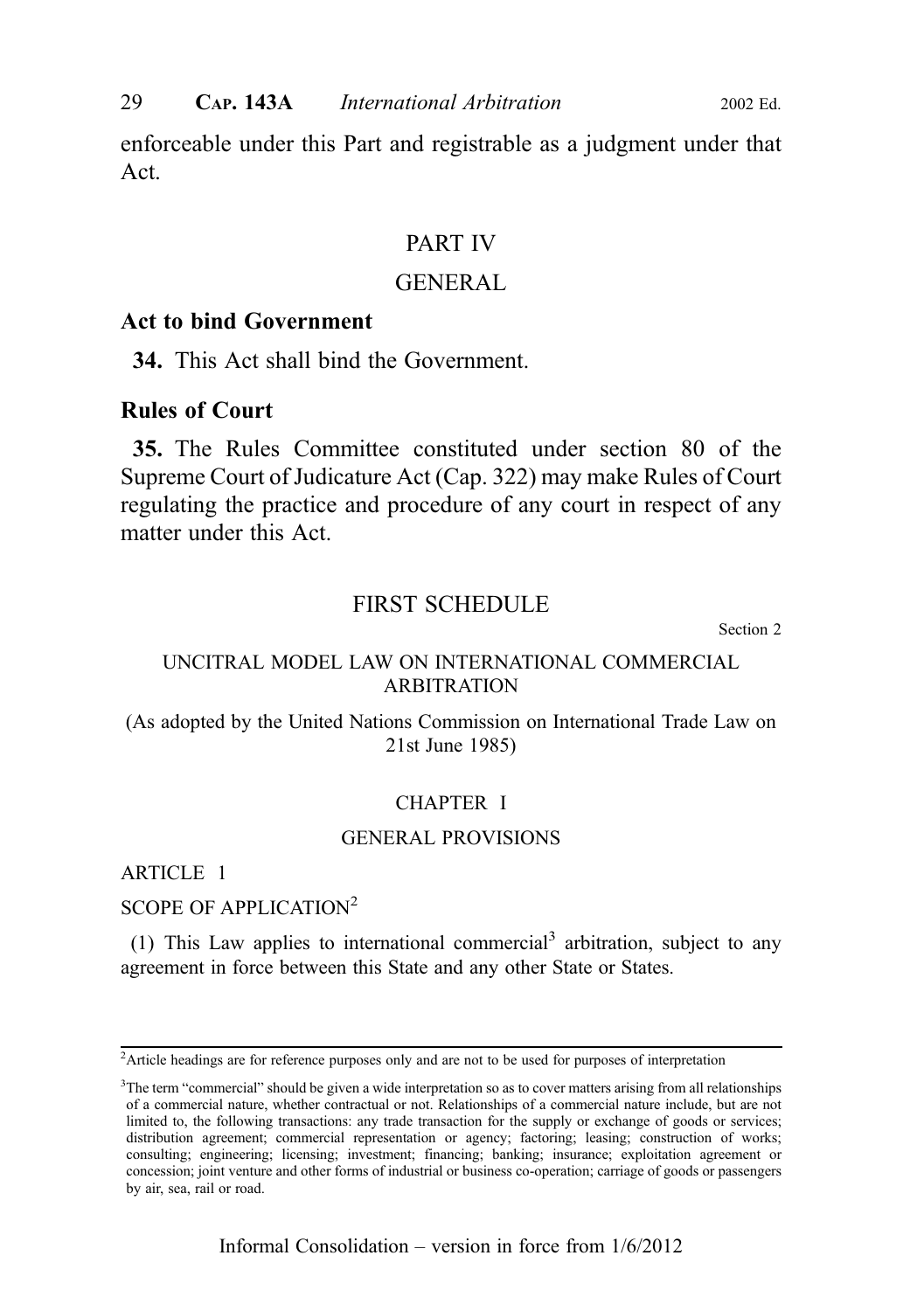enforceable under this Part and registrable as a judgment under that Act.

### PART IV

#### GENERAL

#### Act to bind Government

34. This Act shall bind the Government.

#### Rules of Court

35. The Rules Committee constituted under section 80 of the Supreme Court of Judicature Act (Cap. 322) may make Rules of Court regulating the practice and procedure of any court in respect of any matter under this Act.

### FIRST SCHEDULE

Section 2

#### UNCITRAL MODEL LAW ON INTERNATIONAL COMMERCIAL ARBITRATION

(As adopted by the United Nations Commission on International Trade Law on 21st June 1985)

#### CHAPTER I

#### GENERAL PROVISIONS

ARTICLE 1

SCOPE OF APPLICATION<sup>2</sup>

(1) This Law applies to international commercial<sup>3</sup> arbitration, subject to any agreement in force between this State and any other State or States.

<sup>&</sup>lt;sup>2</sup> Article headings are for reference purposes only and are not to be used for purposes of interpretation

<sup>&</sup>lt;sup>3</sup>The term "commercial" should be given a wide interpretation so as to cover matters arising from all relationships of a commercial nature, whether contractual or not. Relationships of a commercial nature include, but are not limited to, the following transactions: any trade transaction for the supply or exchange of goods or services; distribution agreement; commercial representation or agency; factoring; leasing; construction of works; consulting; engineering; licensing; investment; financing; banking; insurance; exploitation agreement or concession; joint venture and other forms of industrial or business co-operation; carriage of goods or passengers by air, sea, rail or road.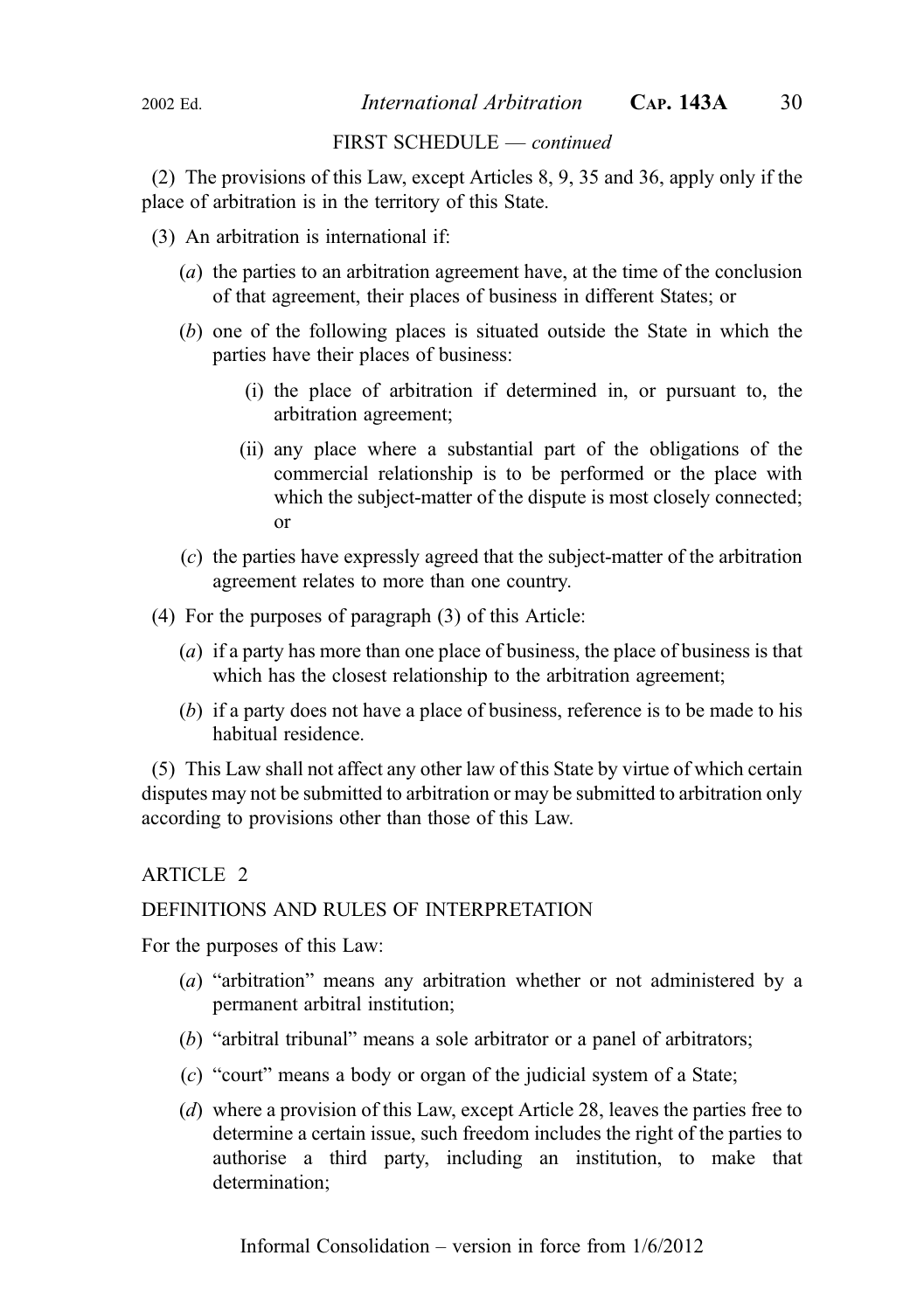(2) The provisions of this Law, except Articles 8, 9, 35 and 36, apply only if the place of arbitration is in the territory of this State.

(3) An arbitration is international if:

- (a) the parties to an arbitration agreement have, at the time of the conclusion of that agreement, their places of business in different States; or
- (b) one of the following places is situated outside the State in which the parties have their places of business:
	- (i) the place of arbitration if determined in, or pursuant to, the arbitration agreement;
	- (ii) any place where a substantial part of the obligations of the commercial relationship is to be performed or the place with which the subject-matter of the dispute is most closely connected; or
- (c) the parties have expressly agreed that the subject-matter of the arbitration agreement relates to more than one country.
- (4) For the purposes of paragraph (3) of this Article:
	- (a) if a party has more than one place of business, the place of business is that which has the closest relationship to the arbitration agreement;
	- (b) if a party does not have a place of business, reference is to be made to his habitual residence.

(5) This Law shall not affect any other law of this State by virtue of which certain disputes may not be submitted to arbitration or may be submitted to arbitration only according to provisions other than those of this Law.

### ARTICLE<sub>2</sub>

### DEFINITIONS AND RULES OF INTERPRETATION

For the purposes of this Law:

- (a) "arbitration" means any arbitration whether or not administered by a permanent arbitral institution;
- (b) "arbitral tribunal" means a sole arbitrator or a panel of arbitrators;
- (c) "court" means a body or organ of the judicial system of a State;
- (d) where a provision of this Law, except Article 28, leaves the parties free to determine a certain issue, such freedom includes the right of the parties to authorise a third party, including an institution, to make that determination;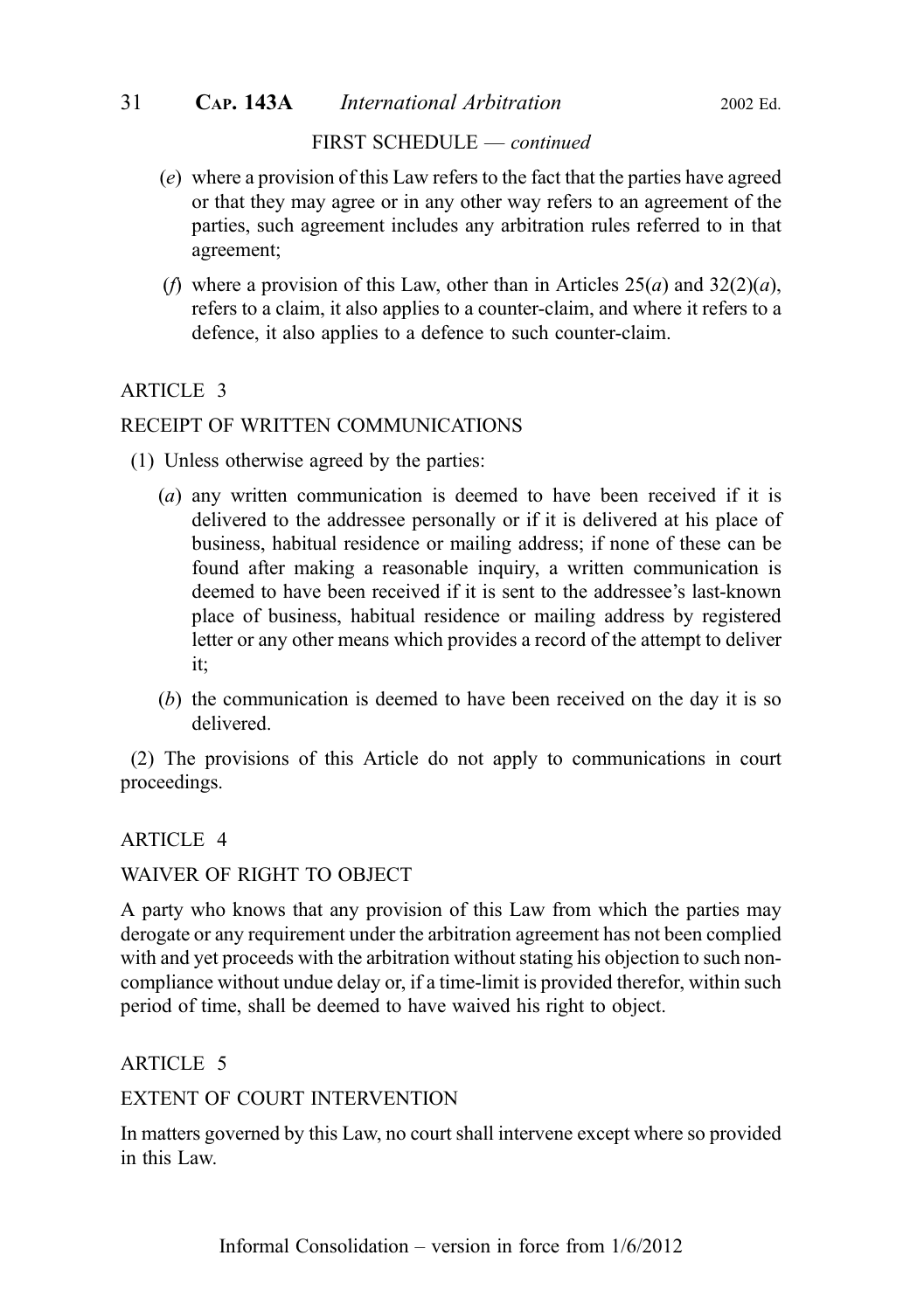### 31 CAP. 143A International Arbitration 2002 Ed.

#### FIRST SCHEDULE — continued

- (e) where a provision of this Law refers to the fact that the parties have agreed or that they may agree or in any other way refers to an agreement of the parties, such agreement includes any arbitration rules referred to in that agreement;
- (f) where a provision of this Law, other than in Articles  $25(a)$  and  $32(2)(a)$ , refers to a claim, it also applies to a counter-claim, and where it refers to a defence, it also applies to a defence to such counter-claim.

#### ARTICLE 3

#### RECEIPT OF WRITTEN COMMUNICATIONS

- (1) Unless otherwise agreed by the parties:
	- (a) any written communication is deemed to have been received if it is delivered to the addressee personally or if it is delivered at his place of business, habitual residence or mailing address; if none of these can be found after making a reasonable inquiry, a written communication is deemed to have been received if it is sent to the addressee's last-known place of business, habitual residence or mailing address by registered letter or any other means which provides a record of the attempt to deliver it;
	- (b) the communication is deemed to have been received on the day it is so delivered.

(2) The provisions of this Article do not apply to communications in court proceedings.

#### ARTICLE 4

#### WAIVER OF RIGHT TO OBJECT

A party who knows that any provision of this Law from which the parties may derogate or any requirement under the arbitration agreement has not been complied with and yet proceeds with the arbitration without stating his objection to such noncompliance without undue delay or, if a time-limit is provided therefor, within such period of time, shall be deemed to have waived his right to object.

#### ARTICLE<sub>5</sub>

#### EXTENT OF COURT INTERVENTION

In matters governed by this Law, no court shall intervene except where so provided in this Law.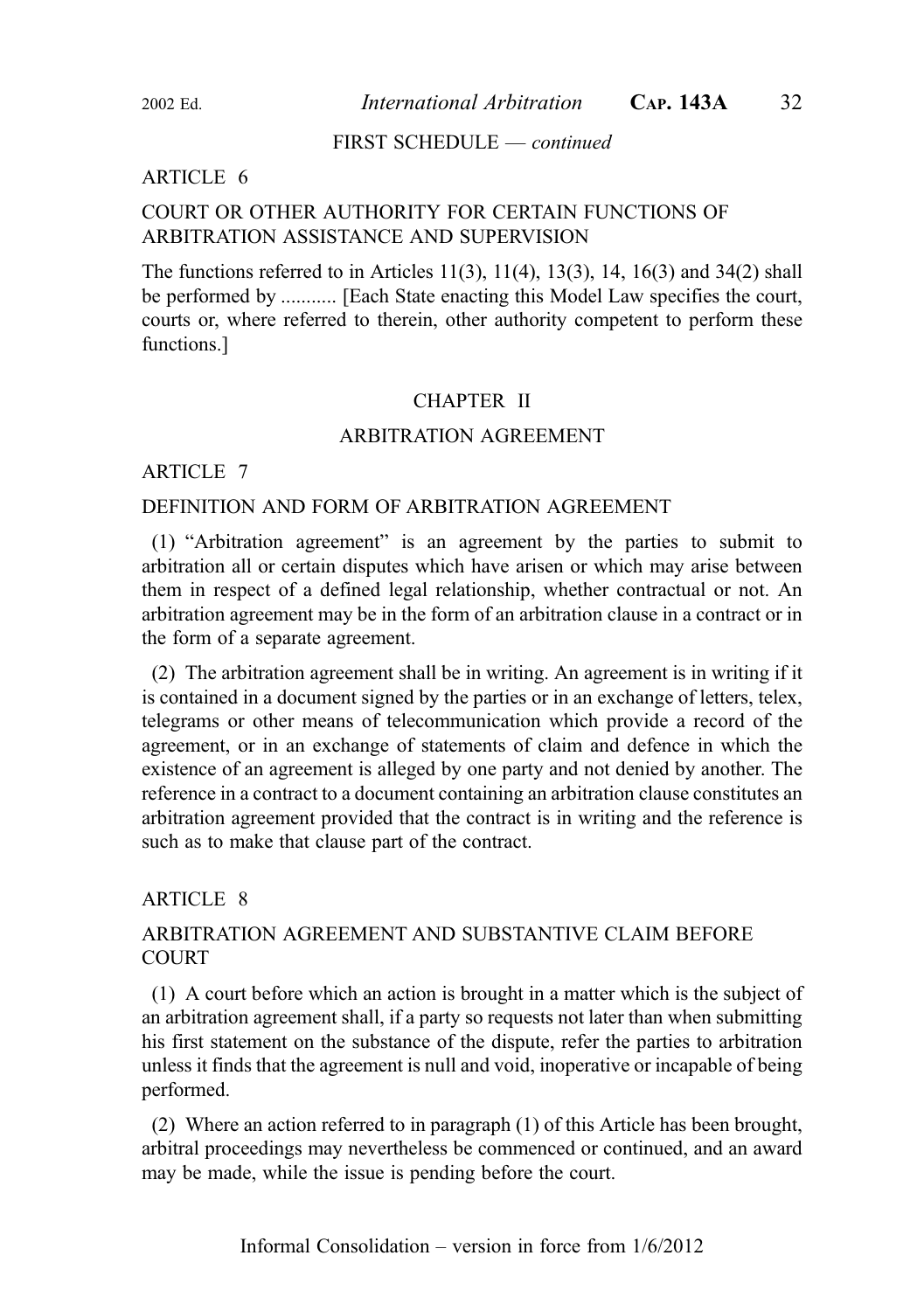#### ARTICLE 6

#### COURT OR OTHER AUTHORITY FOR CERTAIN FUNCTIONS OF ARBITRATION ASSISTANCE AND SUPERVISION

The functions referred to in Articles 11(3), 11(4), 13(3), 14, 16(3) and 34(2) shall be performed by ........... [Each State enacting this Model Law specifies the court, courts or, where referred to therein, other authority competent to perform these functions.]

#### CHAPTER II

### ARBITRATION AGREEMENT

#### ARTICLE 7

#### DEFINITION AND FORM OF ARBITRATION AGREEMENT

(1) "Arbitration agreement" is an agreement by the parties to submit to arbitration all or certain disputes which have arisen or which may arise between them in respect of a defined legal relationship, whether contractual or not. An arbitration agreement may be in the form of an arbitration clause in a contract or in the form of a separate agreement.

(2) The arbitration agreement shall be in writing. An agreement is in writing if it is contained in a document signed by the parties or in an exchange of letters, telex, telegrams or other means of telecommunication which provide a record of the agreement, or in an exchange of statements of claim and defence in which the existence of an agreement is alleged by one party and not denied by another. The reference in a contract to a document containing an arbitration clause constitutes an arbitration agreement provided that the contract is in writing and the reference is such as to make that clause part of the contract.

#### ARTICLE 8

#### ARBITRATION AGREEMENT AND SUBSTANTIVE CLAIM BEFORE **COURT**

(1) A court before which an action is brought in a matter which is the subject of an arbitration agreement shall, if a party so requests not later than when submitting his first statement on the substance of the dispute, refer the parties to arbitration unless it finds that the agreement is null and void, inoperative or incapable of being performed.

(2) Where an action referred to in paragraph (1) of this Article has been brought, arbitral proceedings may nevertheless be commenced or continued, and an award may be made, while the issue is pending before the court.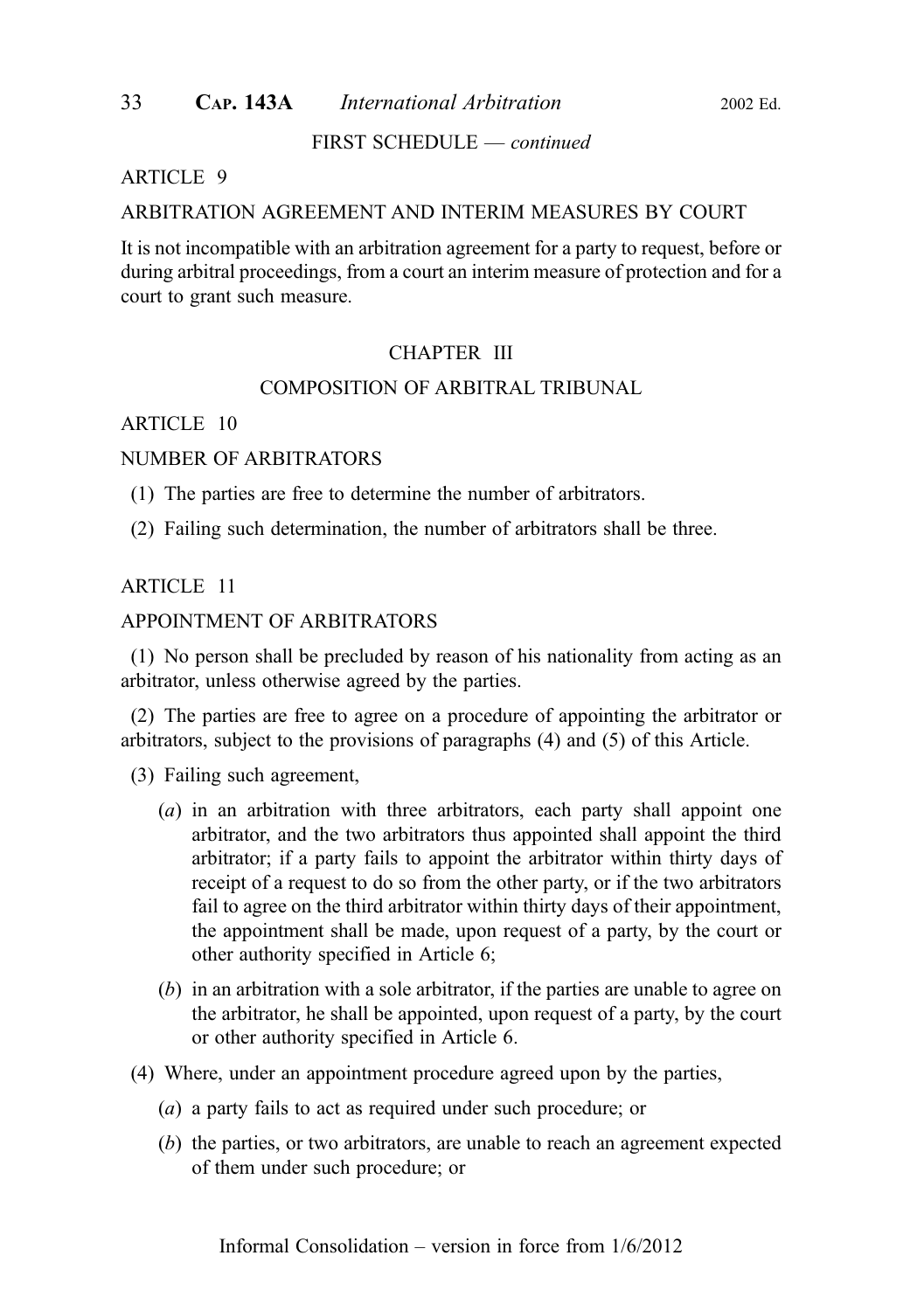### 33 CAP. 143A International Arbitration 2002 Ed.

#### FIRST SCHEDULE — continued

#### ARTICLE 9

#### ARBITRATION AGREEMENT AND INTERIM MEASURES BY COURT

It is not incompatible with an arbitration agreement for a party to request, before or during arbitral proceedings, from a court an interim measure of protection and for a court to grant such measure.

#### CHAPTER III

#### COMPOSITION OF ARBITRAL TRIBUNAL

#### ARTICLE 10

#### NUMBER OF ARBITRATORS

- (1) The parties are free to determine the number of arbitrators.
- (2) Failing such determination, the number of arbitrators shall be three.

#### ARTICLE 11

#### APPOINTMENT OF ARBITRATORS

(1) No person shall be precluded by reason of his nationality from acting as an arbitrator, unless otherwise agreed by the parties.

(2) The parties are free to agree on a procedure of appointing the arbitrator or arbitrators, subject to the provisions of paragraphs (4) and (5) of this Article.

- (3) Failing such agreement,
	- (a) in an arbitration with three arbitrators, each party shall appoint one arbitrator, and the two arbitrators thus appointed shall appoint the third arbitrator; if a party fails to appoint the arbitrator within thirty days of receipt of a request to do so from the other party, or if the two arbitrators fail to agree on the third arbitrator within thirty days of their appointment, the appointment shall be made, upon request of a party, by the court or other authority specified in Article 6;
	- (b) in an arbitration with a sole arbitrator, if the parties are unable to agree on the arbitrator, he shall be appointed, upon request of a party, by the court or other authority specified in Article 6.
- (4) Where, under an appointment procedure agreed upon by the parties,
	- (a) a party fails to act as required under such procedure; or
	- (b) the parties, or two arbitrators, are unable to reach an agreement expected of them under such procedure; or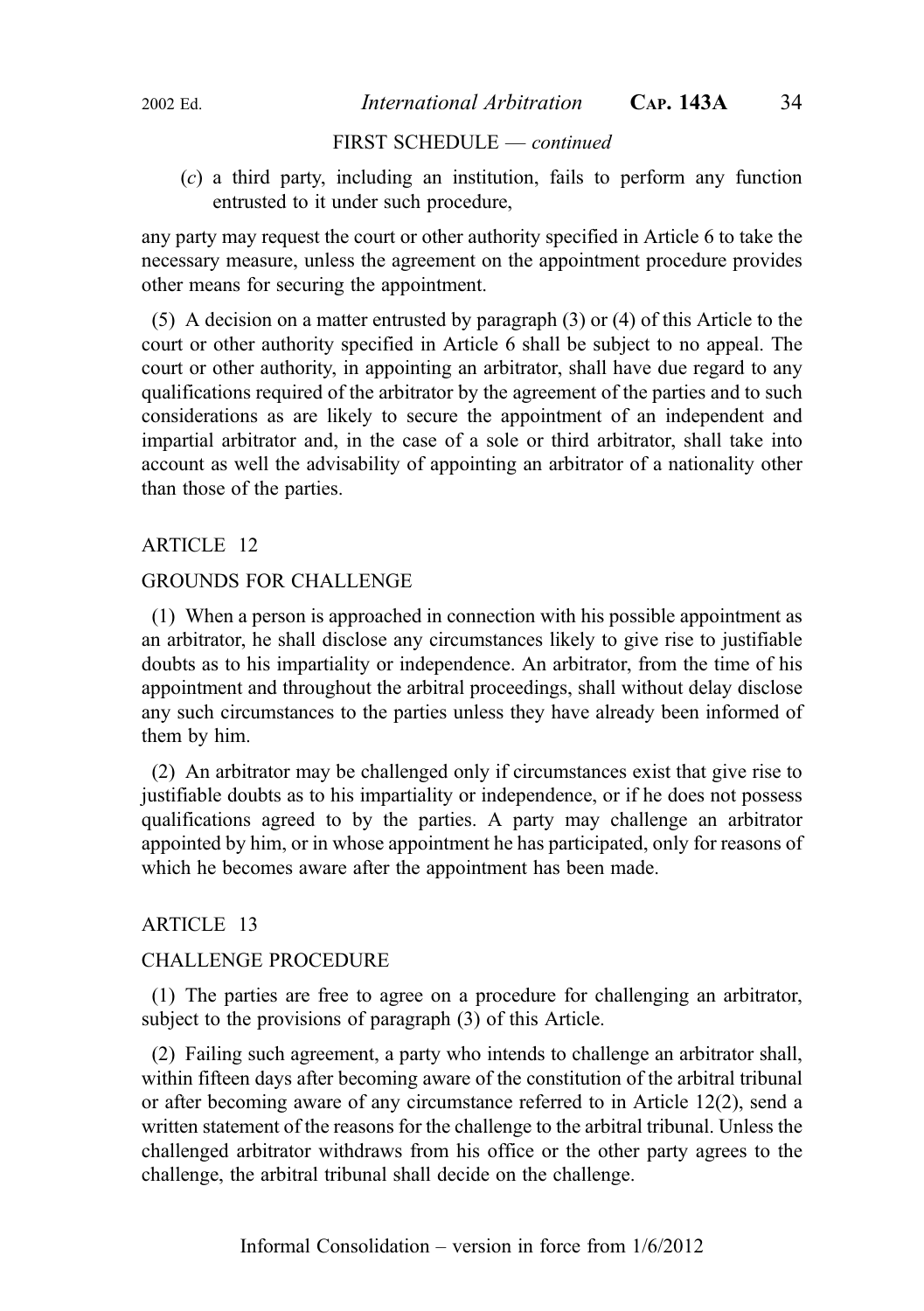(c) a third party, including an institution, fails to perform any function entrusted to it under such procedure,

any party may request the court or other authority specified in Article 6 to take the necessary measure, unless the agreement on the appointment procedure provides other means for securing the appointment.

(5) A decision on a matter entrusted by paragraph (3) or (4) of this Article to the court or other authority specified in Article 6 shall be subject to no appeal. The court or other authority, in appointing an arbitrator, shall have due regard to any qualifications required of the arbitrator by the agreement of the parties and to such considerations as are likely to secure the appointment of an independent and impartial arbitrator and, in the case of a sole or third arbitrator, shall take into account as well the advisability of appointing an arbitrator of a nationality other than those of the parties.

#### ARTICLE 12

#### GROUNDS FOR CHALLENGE

(1) When a person is approached in connection with his possible appointment as an arbitrator, he shall disclose any circumstances likely to give rise to justifiable doubts as to his impartiality or independence. An arbitrator, from the time of his appointment and throughout the arbitral proceedings, shall without delay disclose any such circumstances to the parties unless they have already been informed of them by him.

(2) An arbitrator may be challenged only if circumstances exist that give rise to justifiable doubts as to his impartiality or independence, or if he does not possess qualifications agreed to by the parties. A party may challenge an arbitrator appointed by him, or in whose appointment he has participated, only for reasons of which he becomes aware after the appointment has been made.

#### ARTICLE 13

#### CHALLENGE PROCEDURE

(1) The parties are free to agree on a procedure for challenging an arbitrator, subject to the provisions of paragraph (3) of this Article.

(2) Failing such agreement, a party who intends to challenge an arbitrator shall, within fifteen days after becoming aware of the constitution of the arbitral tribunal or after becoming aware of any circumstance referred to in Article 12(2), send a written statement of the reasons for the challenge to the arbitral tribunal. Unless the challenged arbitrator withdraws from his office or the other party agrees to the challenge, the arbitral tribunal shall decide on the challenge.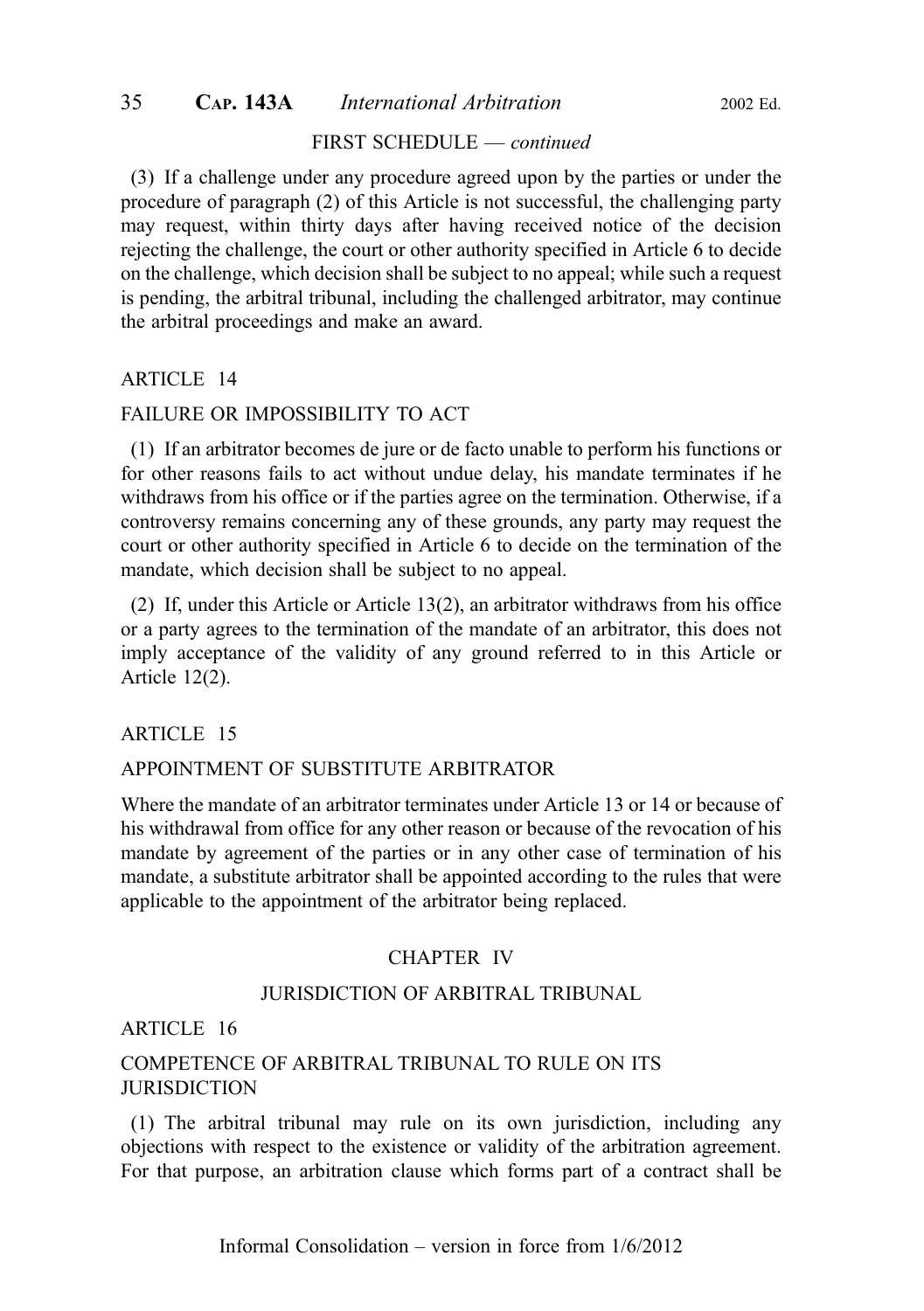#### 35 CAP. 143A International Arbitration 2002 Ed.

#### FIRST SCHEDULE — continued

(3) If a challenge under any procedure agreed upon by the parties or under the procedure of paragraph (2) of this Article is not successful, the challenging party may request, within thirty days after having received notice of the decision rejecting the challenge, the court or other authority specified in Article 6 to decide on the challenge, which decision shall be subject to no appeal; while such a request is pending, the arbitral tribunal, including the challenged arbitrator, may continue the arbitral proceedings and make an award.

#### ARTICLE 14

#### FAILURE OR IMPOSSIBILITY TO ACT

(1) If an arbitrator becomes de jure or de facto unable to perform his functions or for other reasons fails to act without undue delay, his mandate terminates if he withdraws from his office or if the parties agree on the termination. Otherwise, if a controversy remains concerning any of these grounds, any party may request the court or other authority specified in Article 6 to decide on the termination of the mandate, which decision shall be subject to no appeal.

(2) If, under this Article or Article 13(2), an arbitrator withdraws from his office or a party agrees to the termination of the mandate of an arbitrator, this does not imply acceptance of the validity of any ground referred to in this Article or Article 12(2).

#### ARTICLE 15

#### APPOINTMENT OF SUBSTITUTE ARBITRATOR

Where the mandate of an arbitrator terminates under Article 13 or 14 or because of his withdrawal from office for any other reason or because of the revocation of his mandate by agreement of the parties or in any other case of termination of his mandate, a substitute arbitrator shall be appointed according to the rules that were applicable to the appointment of the arbitrator being replaced.

#### CHAPTER IV

#### JURISDICTION OF ARBITRAL TRIBUNAL

#### ARTICLE 16

#### COMPETENCE OF ARBITRAL TRIBUNAL TO RULE ON ITS **JURISDICTION**

(1) The arbitral tribunal may rule on its own jurisdiction, including any objections with respect to the existence or validity of the arbitration agreement. For that purpose, an arbitration clause which forms part of a contract shall be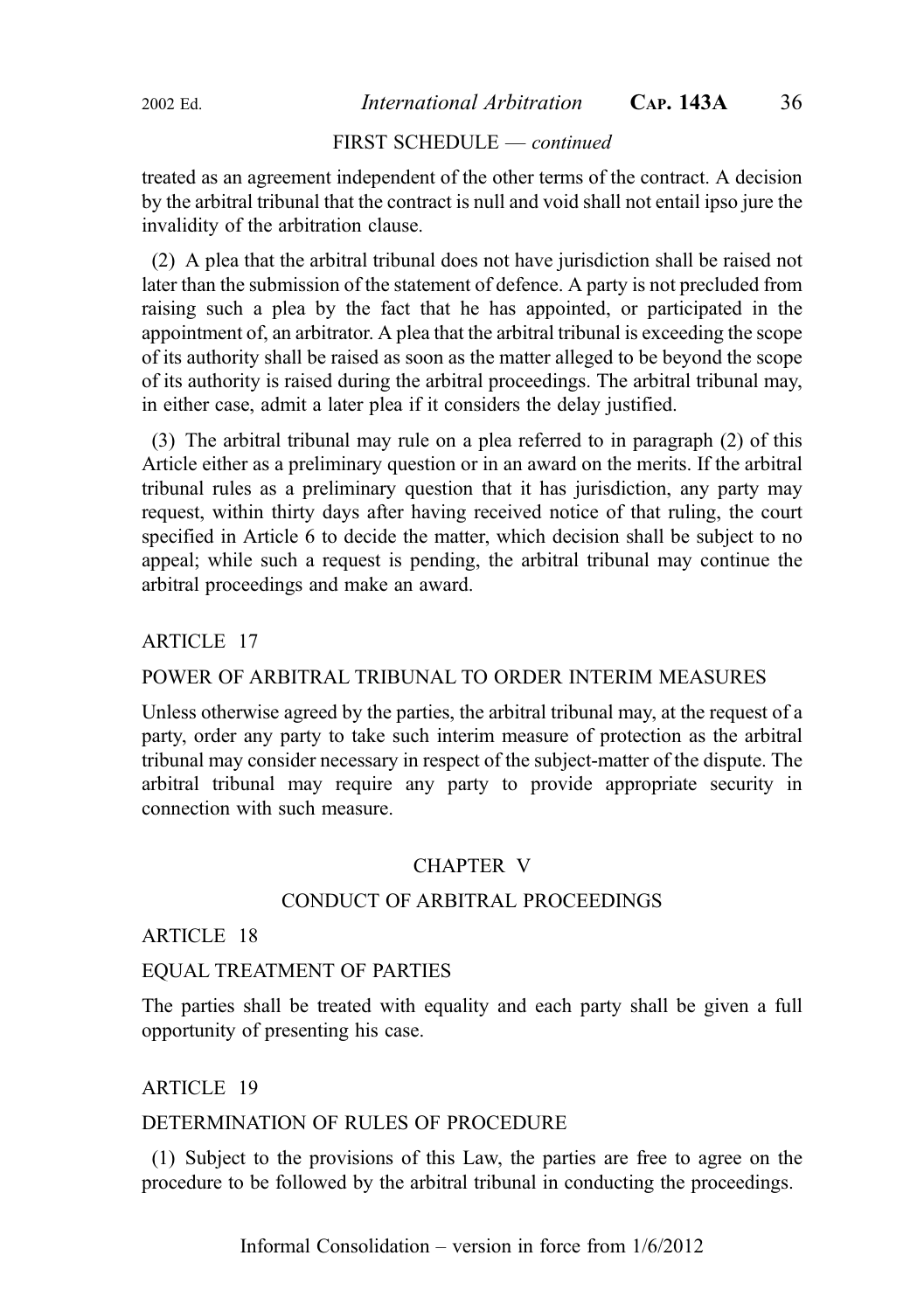treated as an agreement independent of the other terms of the contract. A decision by the arbitral tribunal that the contract is null and void shall not entail ipso jure the invalidity of the arbitration clause.

(2) A plea that the arbitral tribunal does not have jurisdiction shall be raised not later than the submission of the statement of defence. A party is not precluded from raising such a plea by the fact that he has appointed, or participated in the appointment of, an arbitrator. A plea that the arbitral tribunal is exceeding the scope of its authority shall be raised as soon as the matter alleged to be beyond the scope of its authority is raised during the arbitral proceedings. The arbitral tribunal may, in either case, admit a later plea if it considers the delay justified.

(3) The arbitral tribunal may rule on a plea referred to in paragraph (2) of this Article either as a preliminary question or in an award on the merits. If the arbitral tribunal rules as a preliminary question that it has jurisdiction, any party may request, within thirty days after having received notice of that ruling, the court specified in Article 6 to decide the matter, which decision shall be subject to no appeal; while such a request is pending, the arbitral tribunal may continue the arbitral proceedings and make an award.

### ARTICLE 17

#### POWER OF ARBITRAL TRIBUNAL TO ORDER INTERIM MEASURES

Unless otherwise agreed by the parties, the arbitral tribunal may, at the request of a party, order any party to take such interim measure of protection as the arbitral tribunal may consider necessary in respect of the subject-matter of the dispute. The arbitral tribunal may require any party to provide appropriate security in connection with such measure.

### CHAPTER V

#### CONDUCT OF ARBITRAL PROCEEDINGS

#### ARTICLE 18

#### EQUAL TREATMENT OF PARTIES

The parties shall be treated with equality and each party shall be given a full opportunity of presenting his case.

#### ARTICLE 19

#### DETERMINATION OF RULES OF PROCEDURE

(1) Subject to the provisions of this Law, the parties are free to agree on the procedure to be followed by the arbitral tribunal in conducting the proceedings.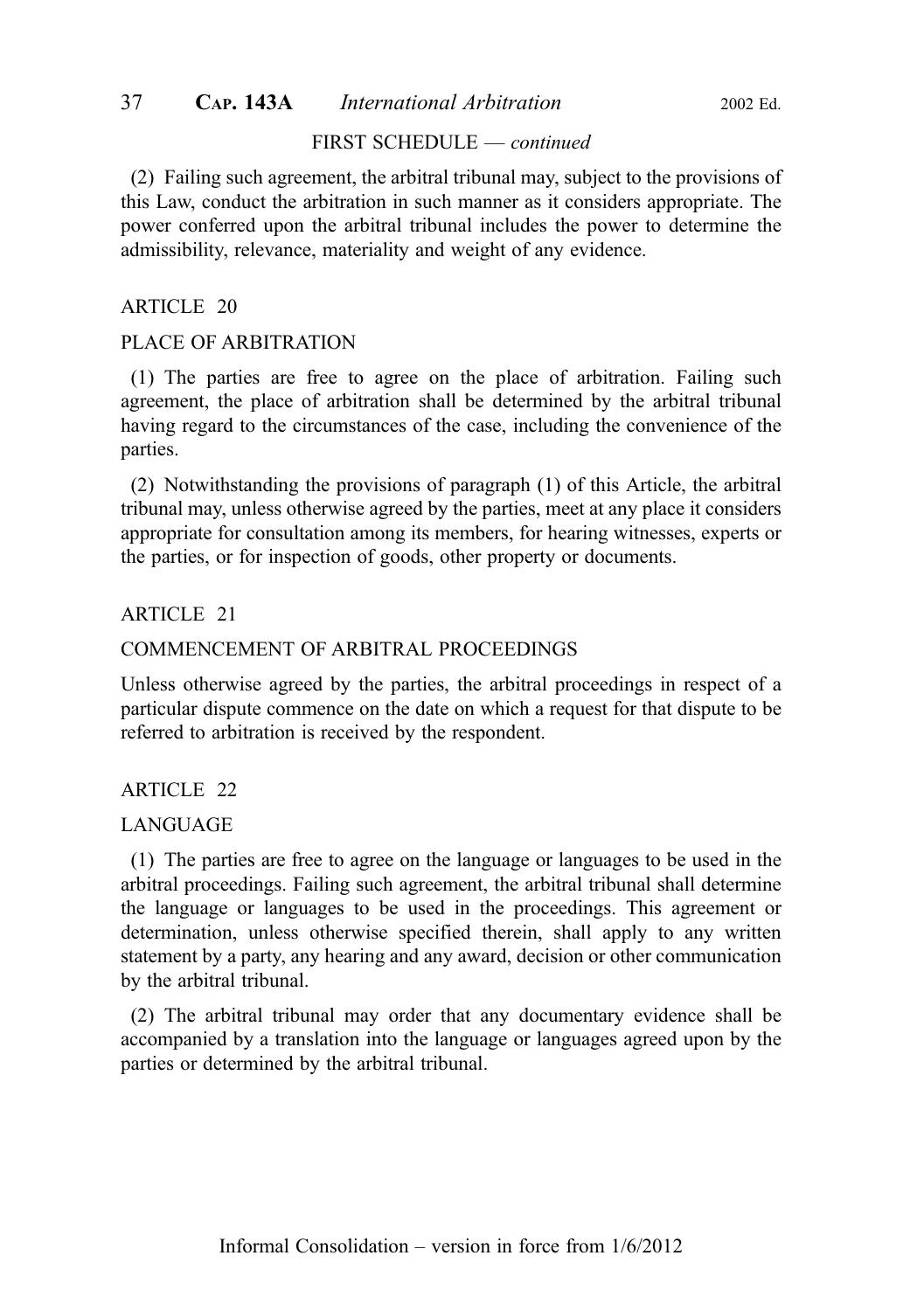### 37 CAP. 143A International Arbitration 2002 Ed.

#### FIRST SCHEDULE — continued

(2) Failing such agreement, the arbitral tribunal may, subject to the provisions of this Law, conduct the arbitration in such manner as it considers appropriate. The power conferred upon the arbitral tribunal includes the power to determine the admissibility, relevance, materiality and weight of any evidence.

#### ARTICLE 20

#### PLACE OF ARBITRATION

(1) The parties are free to agree on the place of arbitration. Failing such agreement, the place of arbitration shall be determined by the arbitral tribunal having regard to the circumstances of the case, including the convenience of the parties.

(2) Notwithstanding the provisions of paragraph (1) of this Article, the arbitral tribunal may, unless otherwise agreed by the parties, meet at any place it considers appropriate for consultation among its members, for hearing witnesses, experts or the parties, or for inspection of goods, other property or documents.

ARTICLE 21

#### COMMENCEMENT OF ARBITRAL PROCEEDINGS

Unless otherwise agreed by the parties, the arbitral proceedings in respect of a particular dispute commence on the date on which a request for that dispute to be referred to arbitration is received by the respondent.

#### ARTICLE 22

### LANGUAGE

(1) The parties are free to agree on the language or languages to be used in the arbitral proceedings. Failing such agreement, the arbitral tribunal shall determine the language or languages to be used in the proceedings. This agreement or determination, unless otherwise specified therein, shall apply to any written statement by a party, any hearing and any award, decision or other communication by the arbitral tribunal.

(2) The arbitral tribunal may order that any documentary evidence shall be accompanied by a translation into the language or languages agreed upon by the parties or determined by the arbitral tribunal.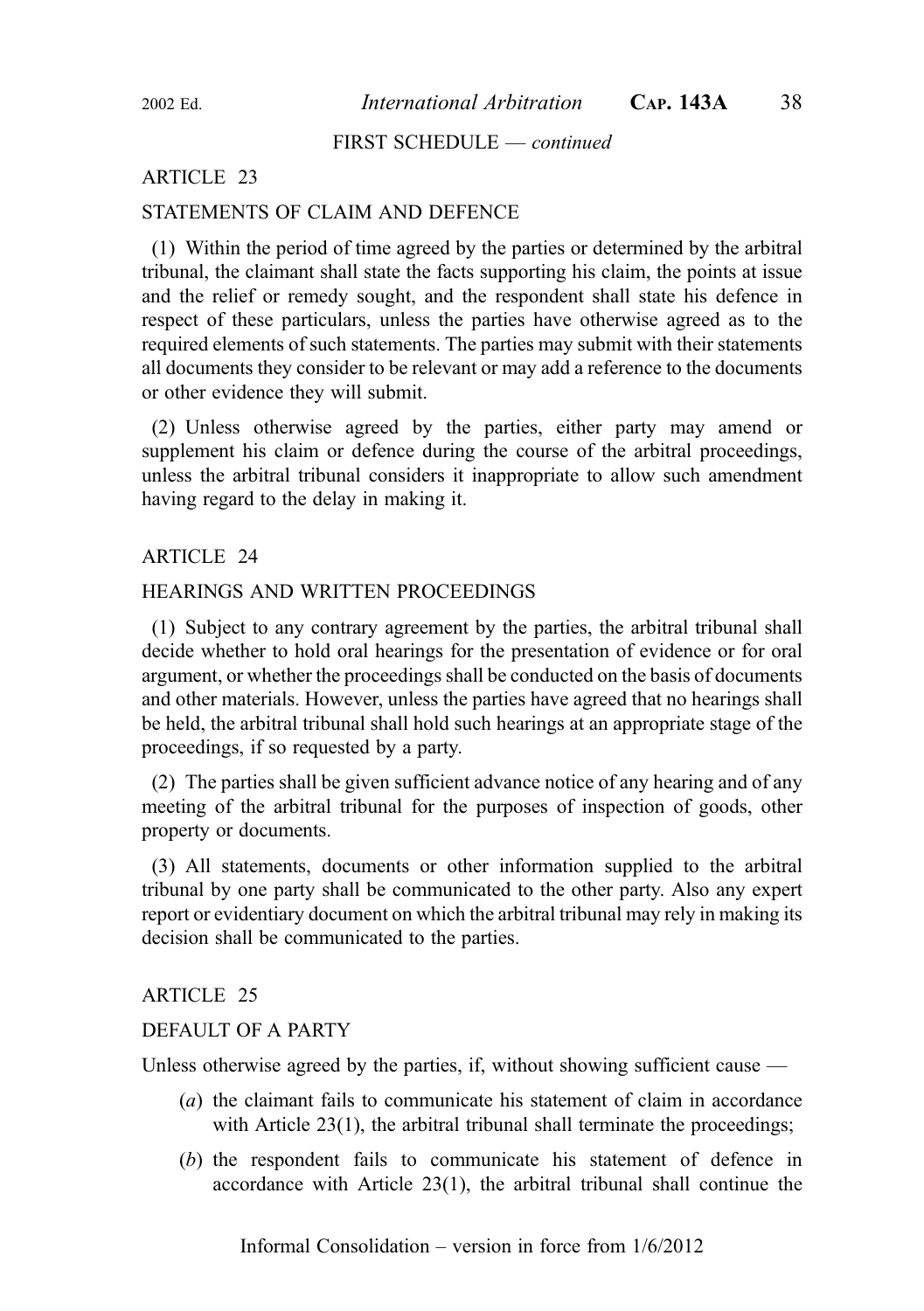#### ARTICLE 23

#### STATEMENTS OF CLAIM AND DEFENCE

(1) Within the period of time agreed by the parties or determined by the arbitral tribunal, the claimant shall state the facts supporting his claim, the points at issue and the relief or remedy sought, and the respondent shall state his defence in respect of these particulars, unless the parties have otherwise agreed as to the required elements of such statements. The parties may submit with their statements all documents they consider to be relevant or may add a reference to the documents or other evidence they will submit.

(2) Unless otherwise agreed by the parties, either party may amend or supplement his claim or defence during the course of the arbitral proceedings, unless the arbitral tribunal considers it inappropriate to allow such amendment having regard to the delay in making it.

#### ARTICLE 24

#### HEARINGS AND WRITTEN PROCEEDINGS

(1) Subject to any contrary agreement by the parties, the arbitral tribunal shall decide whether to hold oral hearings for the presentation of evidence or for oral argument, or whether the proceedings shall be conducted on the basis of documents and other materials. However, unless the parties have agreed that no hearings shall be held, the arbitral tribunal shall hold such hearings at an appropriate stage of the proceedings, if so requested by a party.

(2) The parties shall be given sufficient advance notice of any hearing and of any meeting of the arbitral tribunal for the purposes of inspection of goods, other property or documents.

(3) All statements, documents or other information supplied to the arbitral tribunal by one party shall be communicated to the other party. Also any expert report or evidentiary document on which the arbitral tribunal may rely in making its decision shall be communicated to the parties.

#### ARTICLE 25

#### DEFAULT OF A PARTY

Unless otherwise agreed by the parties, if, without showing sufficient cause —

- (a) the claimant fails to communicate his statement of claim in accordance with Article 23(1), the arbitral tribunal shall terminate the proceedings;
- (b) the respondent fails to communicate his statement of defence in accordance with Article 23(1), the arbitral tribunal shall continue the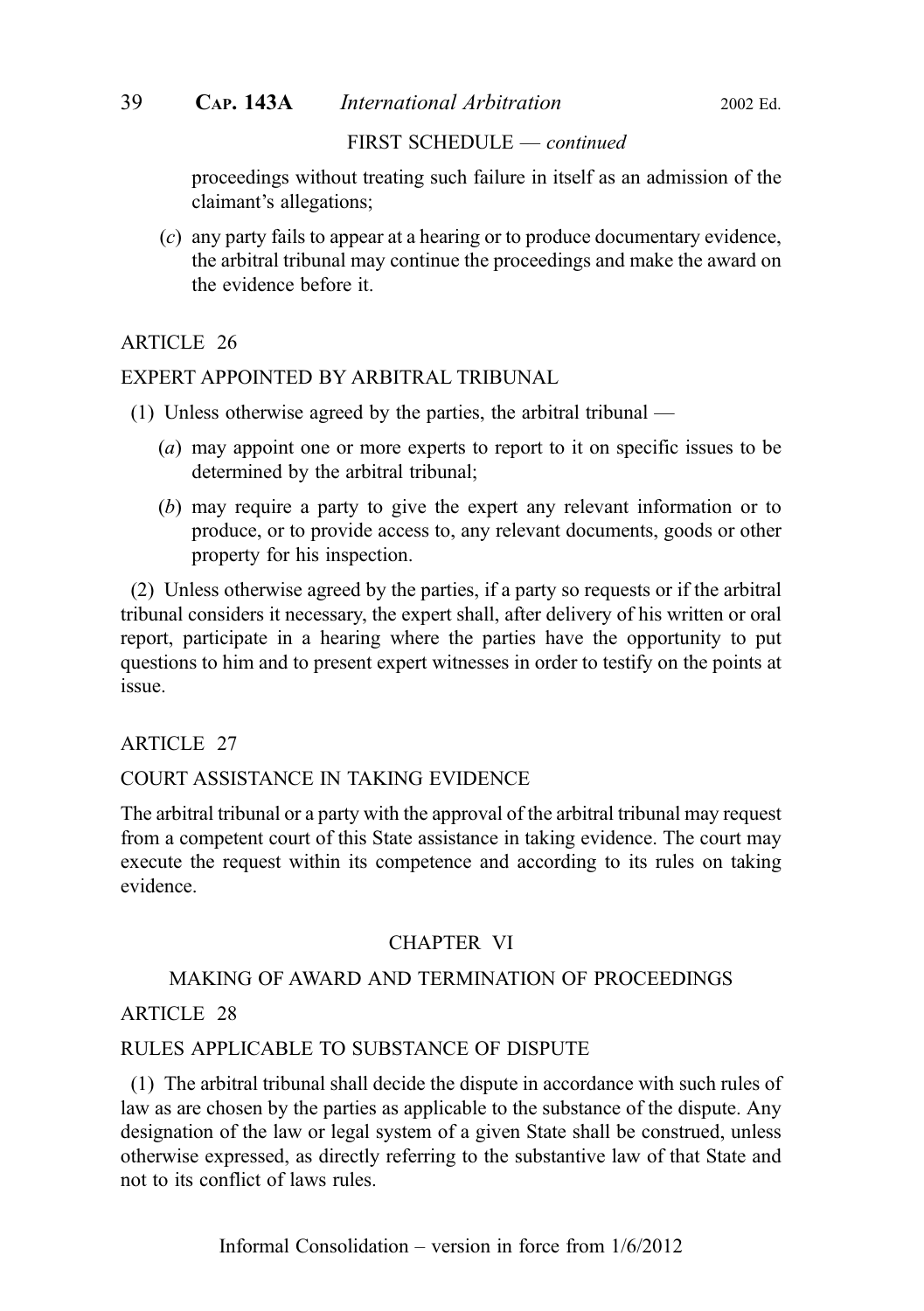proceedings without treating such failure in itself as an admission of the claimant's allegations;

(c) any party fails to appear at a hearing or to produce documentary evidence, the arbitral tribunal may continue the proceedings and make the award on the evidence before it.

#### ARTICLE 26

#### EXPERT APPOINTED BY ARBITRAL TRIBUNAL

- (1) Unless otherwise agreed by the parties, the arbitral tribunal
	- (a) may appoint one or more experts to report to it on specific issues to be determined by the arbitral tribunal;
	- (b) may require a party to give the expert any relevant information or to produce, or to provide access to, any relevant documents, goods or other property for his inspection.

(2) Unless otherwise agreed by the parties, if a party so requests or if the arbitral tribunal considers it necessary, the expert shall, after delivery of his written or oral report, participate in a hearing where the parties have the opportunity to put questions to him and to present expert witnesses in order to testify on the points at issue.

#### ARTICLE 27

#### COURT ASSISTANCE IN TAKING EVIDENCE

The arbitral tribunal or a party with the approval of the arbitral tribunal may request from a competent court of this State assistance in taking evidence. The court may execute the request within its competence and according to its rules on taking evidence.

#### CHAPTER VI

#### MAKING OF AWARD AND TERMINATION OF PROCEEDINGS

#### ARTICLE 28

#### RULES APPLICABLE TO SUBSTANCE OF DISPUTE

(1) The arbitral tribunal shall decide the dispute in accordance with such rules of law as are chosen by the parties as applicable to the substance of the dispute. Any designation of the law or legal system of a given State shall be construed, unless otherwise expressed, as directly referring to the substantive law of that State and not to its conflict of laws rules.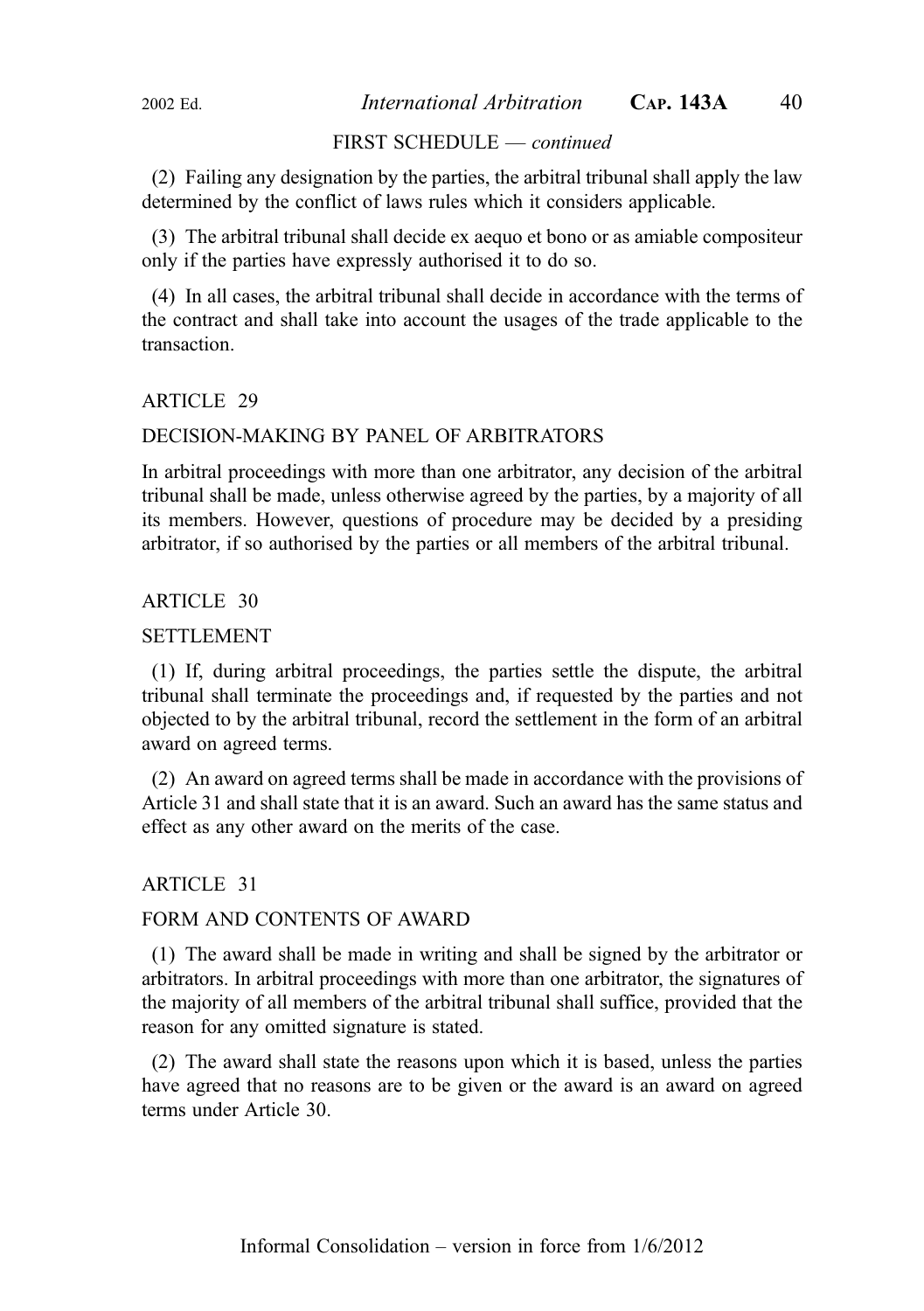(2) Failing any designation by the parties, the arbitral tribunal shall apply the law determined by the conflict of laws rules which it considers applicable.

(3) The arbitral tribunal shall decide ex aequo et bono or as amiable compositeur only if the parties have expressly authorised it to do so.

(4) In all cases, the arbitral tribunal shall decide in accordance with the terms of the contract and shall take into account the usages of the trade applicable to the transaction.

### ARTICLE 29

### DECISION-MAKING BY PANEL OF ARBITRATORS

In arbitral proceedings with more than one arbitrator, any decision of the arbitral tribunal shall be made, unless otherwise agreed by the parties, by a majority of all its members. However, questions of procedure may be decided by a presiding arbitrator, if so authorised by the parties or all members of the arbitral tribunal.

#### ARTICLE 30

#### SETTLEMENT

(1) If, during arbitral proceedings, the parties settle the dispute, the arbitral tribunal shall terminate the proceedings and, if requested by the parties and not objected to by the arbitral tribunal, record the settlement in the form of an arbitral award on agreed terms.

(2) An award on agreed terms shall be made in accordance with the provisions of Article 31 and shall state that it is an award. Such an award has the same status and effect as any other award on the merits of the case.

### ARTICLE 31

### FORM AND CONTENTS OF AWARD

(1) The award shall be made in writing and shall be signed by the arbitrator or arbitrators. In arbitral proceedings with more than one arbitrator, the signatures of the majority of all members of the arbitral tribunal shall suffice, provided that the reason for any omitted signature is stated.

(2) The award shall state the reasons upon which it is based, unless the parties have agreed that no reasons are to be given or the award is an award on agreed terms under Article 30.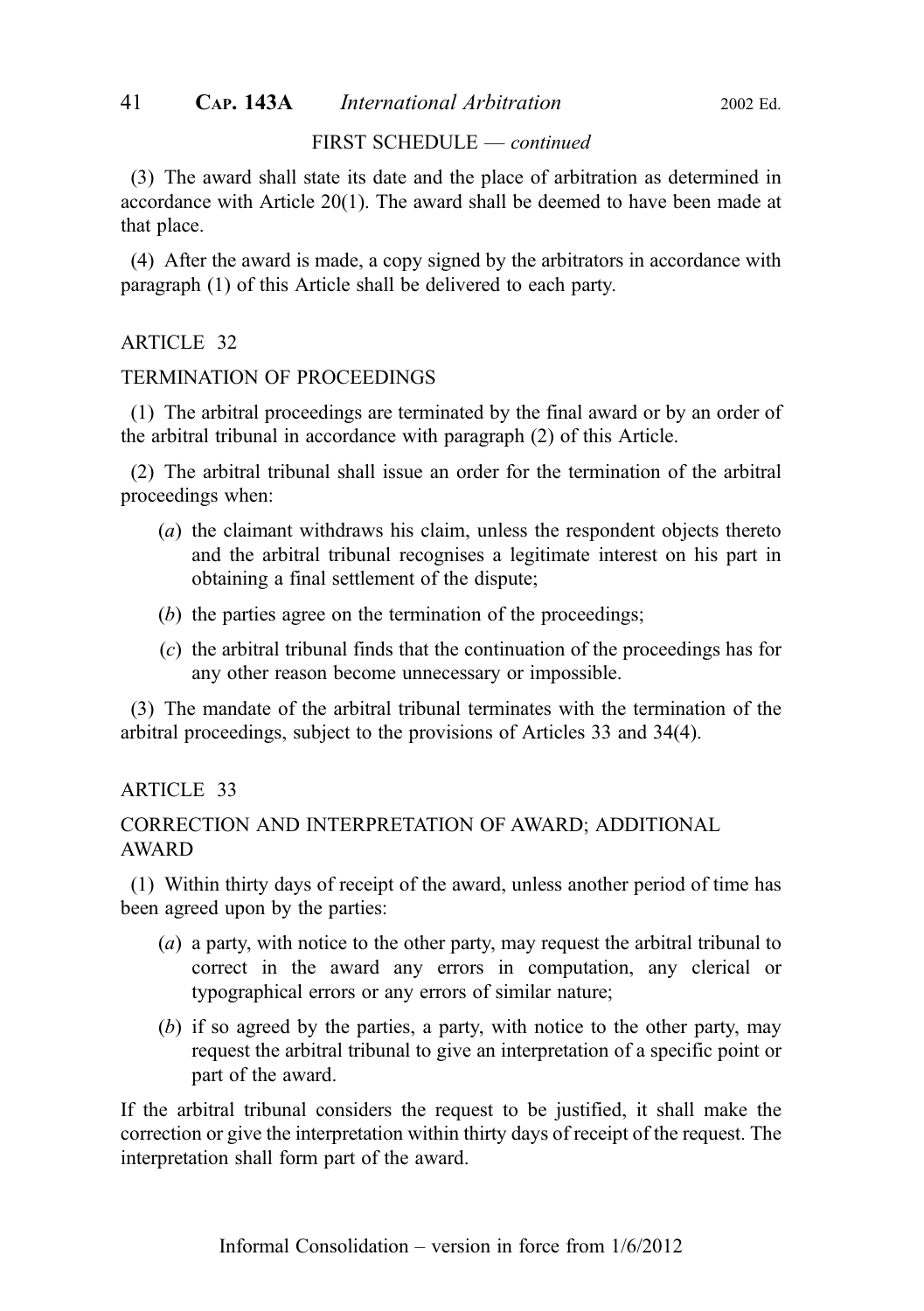### 41 CAP. 143A International Arbitration 2002 Ed.

#### FIRST SCHEDULE — continued

(3) The award shall state its date and the place of arbitration as determined in accordance with Article 20(1). The award shall be deemed to have been made at that place.

(4) After the award is made, a copy signed by the arbitrators in accordance with paragraph (1) of this Article shall be delivered to each party.

#### ARTICLE 32

#### TERMINATION OF PROCEEDINGS

(1) The arbitral proceedings are terminated by the final award or by an order of the arbitral tribunal in accordance with paragraph (2) of this Article.

(2) The arbitral tribunal shall issue an order for the termination of the arbitral proceedings when:

- (a) the claimant withdraws his claim, unless the respondent objects thereto and the arbitral tribunal recognises a legitimate interest on his part in obtaining a final settlement of the dispute;
- (b) the parties agree on the termination of the proceedings;
- (c) the arbitral tribunal finds that the continuation of the proceedings has for any other reason become unnecessary or impossible.

(3) The mandate of the arbitral tribunal terminates with the termination of the arbitral proceedings, subject to the provisions of Articles 33 and 34(4).

### ARTICLE 33

### CORRECTION AND INTERPRETATION OF AWARD; ADDITIONAL AWARD

(1) Within thirty days of receipt of the award, unless another period of time has been agreed upon by the parties:

- (a) a party, with notice to the other party, may request the arbitral tribunal to correct in the award any errors in computation, any clerical or typographical errors or any errors of similar nature;
- (b) if so agreed by the parties, a party, with notice to the other party, may request the arbitral tribunal to give an interpretation of a specific point or part of the award.

If the arbitral tribunal considers the request to be justified, it shall make the correction or give the interpretation within thirty days of receipt of the request. The interpretation shall form part of the award.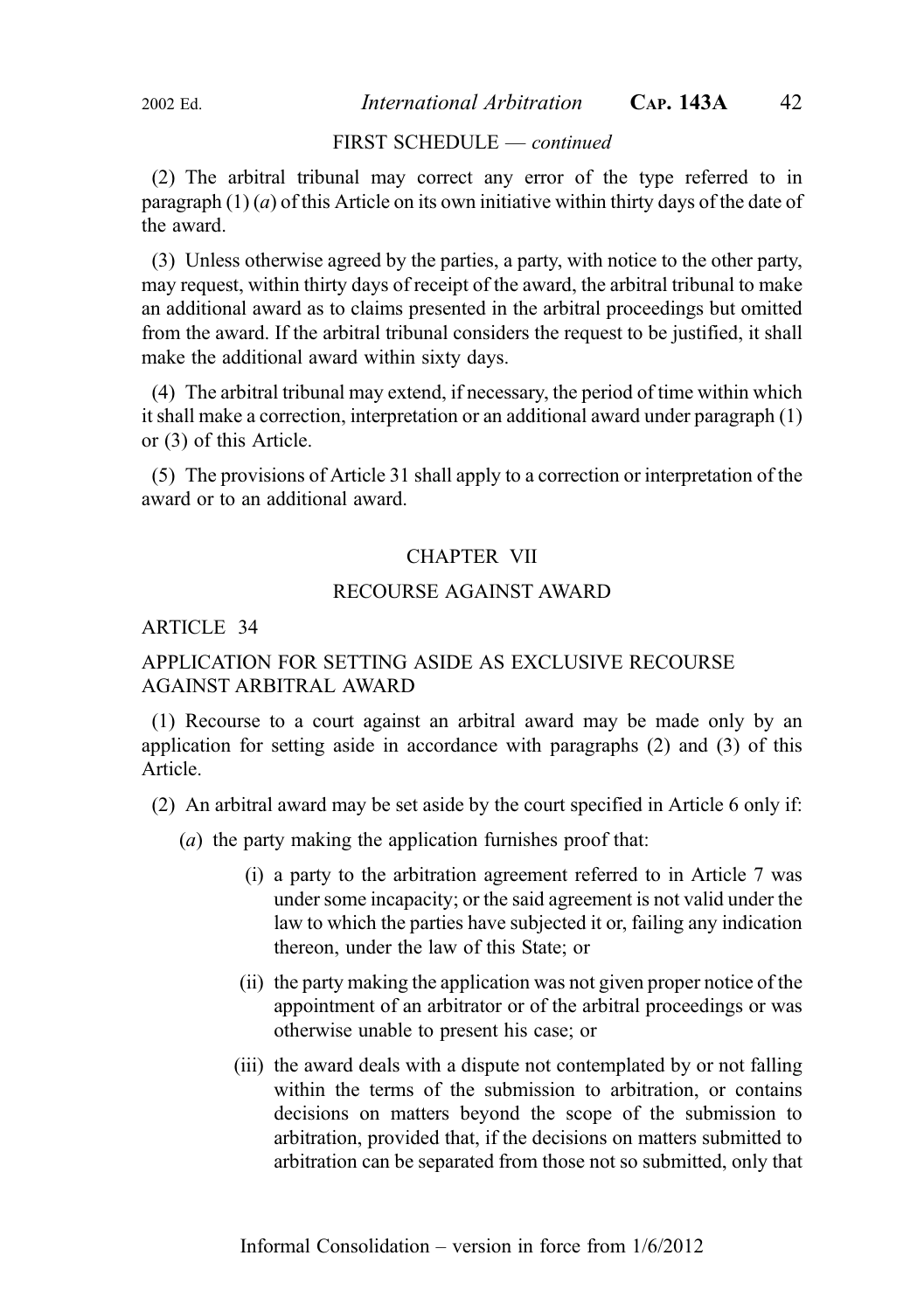(2) The arbitral tribunal may correct any error of the type referred to in paragraph  $(1)(a)$  of this Article on its own initiative within thirty days of the date of the award.

(3) Unless otherwise agreed by the parties, a party, with notice to the other party, may request, within thirty days of receipt of the award, the arbitral tribunal to make an additional award as to claims presented in the arbitral proceedings but omitted from the award. If the arbitral tribunal considers the request to be justified, it shall make the additional award within sixty days.

(4) The arbitral tribunal may extend, if necessary, the period of time within which it shall make a correction, interpretation or an additional award under paragraph (1) or (3) of this Article.

(5) The provisions of Article 31 shall apply to a correction or interpretation of the award or to an additional award.

#### CHAPTER VII

#### RECOURSE AGAINST AWARD

#### ARTICLE 34

### APPLICATION FOR SETTING ASIDE AS EXCLUSIVE RECOURSE AGAINST ARBITRAL AWARD

(1) Recourse to a court against an arbitral award may be made only by an application for setting aside in accordance with paragraphs (2) and (3) of this Article.

(2) An arbitral award may be set aside by the court specified in Article 6 only if:

- (a) the party making the application furnishes proof that:
	- (i) a party to the arbitration agreement referred to in Article 7 was under some incapacity; or the said agreement is not valid under the law to which the parties have subjected it or, failing any indication thereon, under the law of this State; or
	- (ii) the party making the application was not given proper notice of the appointment of an arbitrator or of the arbitral proceedings or was otherwise unable to present his case; or
	- (iii) the award deals with a dispute not contemplated by or not falling within the terms of the submission to arbitration, or contains decisions on matters beyond the scope of the submission to arbitration, provided that, if the decisions on matters submitted to arbitration can be separated from those not so submitted, only that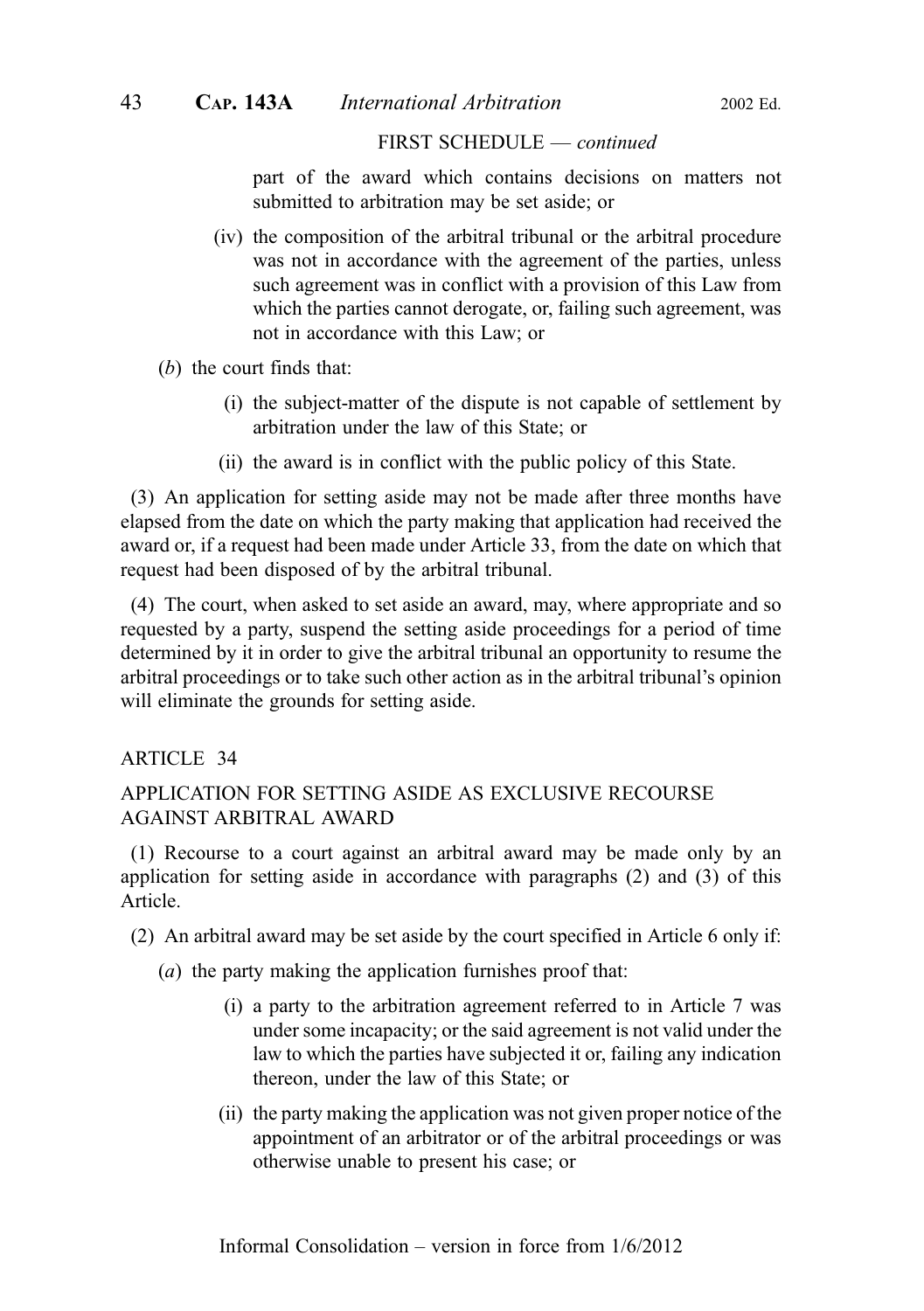part of the award which contains decisions on matters not submitted to arbitration may be set aside; or

- (iv) the composition of the arbitral tribunal or the arbitral procedure was not in accordance with the agreement of the parties, unless such agreement was in conflict with a provision of this Law from which the parties cannot derogate, or, failing such agreement, was not in accordance with this Law; or
- (b) the court finds that:
	- (i) the subject-matter of the dispute is not capable of settlement by arbitration under the law of this State; or
	- (ii) the award is in conflict with the public policy of this State.

(3) An application for setting aside may not be made after three months have elapsed from the date on which the party making that application had received the award or, if a request had been made under Article 33, from the date on which that request had been disposed of by the arbitral tribunal.

(4) The court, when asked to set aside an award, may, where appropriate and so requested by a party, suspend the setting aside proceedings for a period of time determined by it in order to give the arbitral tribunal an opportunity to resume the arbitral proceedings or to take such other action as in the arbitral tribunal's opinion will eliminate the grounds for setting aside.

#### ARTICLE 34

#### APPLICATION FOR SETTING ASIDE AS EXCLUSIVE RECOURSE AGAINST ARBITRAL AWARD

(1) Recourse to a court against an arbitral award may be made only by an application for setting aside in accordance with paragraphs (2) and (3) of this Article.

(2) An arbitral award may be set aside by the court specified in Article 6 only if:

- (a) the party making the application furnishes proof that:
	- (i) a party to the arbitration agreement referred to in Article 7 was under some incapacity; or the said agreement is not valid under the law to which the parties have subjected it or, failing any indication thereon, under the law of this State; or
	- (ii) the party making the application was not given proper notice of the appointment of an arbitrator or of the arbitral proceedings or was otherwise unable to present his case; or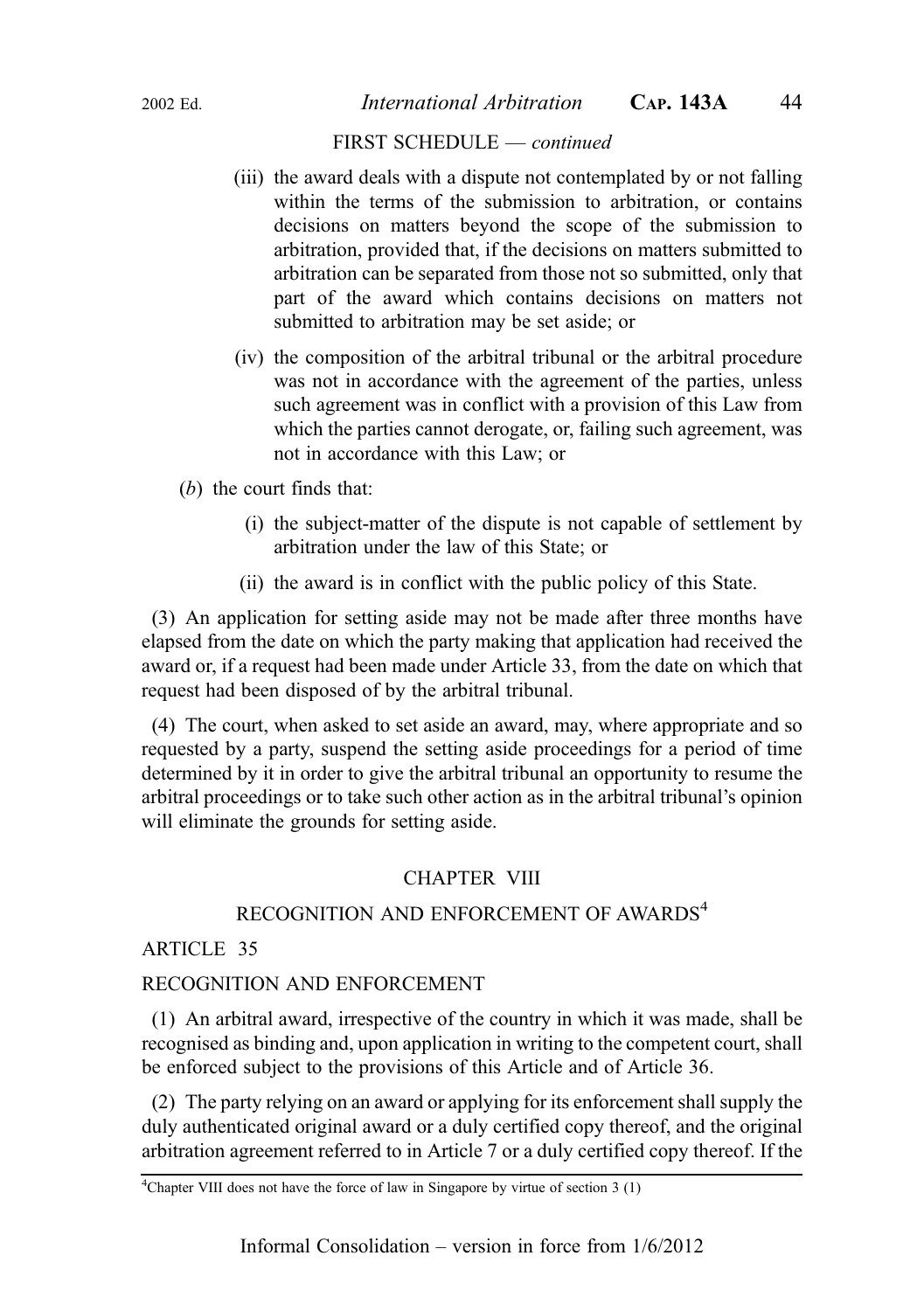- (iii) the award deals with a dispute not contemplated by or not falling within the terms of the submission to arbitration, or contains decisions on matters beyond the scope of the submission to arbitration, provided that, if the decisions on matters submitted to arbitration can be separated from those not so submitted, only that part of the award which contains decisions on matters not submitted to arbitration may be set aside; or
- (iv) the composition of the arbitral tribunal or the arbitral procedure was not in accordance with the agreement of the parties, unless such agreement was in conflict with a provision of this Law from which the parties cannot derogate, or, failing such agreement, was not in accordance with this Law; or

(b) the court finds that:

- (i) the subject-matter of the dispute is not capable of settlement by arbitration under the law of this State; or
- (ii) the award is in conflict with the public policy of this State.

(3) An application for setting aside may not be made after three months have elapsed from the date on which the party making that application had received the award or, if a request had been made under Article 33, from the date on which that request had been disposed of by the arbitral tribunal.

(4) The court, when asked to set aside an award, may, where appropriate and so requested by a party, suspend the setting aside proceedings for a period of time determined by it in order to give the arbitral tribunal an opportunity to resume the arbitral proceedings or to take such other action as in the arbitral tribunal's opinion will eliminate the grounds for setting aside.

### CHAPTER VIII

#### RECOGNITION AND ENFORCEMENT OF AWARDS<sup>4</sup>

#### ARTICLE 35

#### RECOGNITION AND ENFORCEMENT

(1) An arbitral award, irrespective of the country in which it was made, shall be recognised as binding and, upon application in writing to the competent court, shall be enforced subject to the provisions of this Article and of Article 36.

(2) The party relying on an award or applying for its enforcement shall supply the duly authenticated original award or a duly certified copy thereof, and the original arbitration agreement referred to in Article 7 or a duly certified copy thereof. If the

<sup>&</sup>lt;sup>4</sup>Chapter VIII does not have the force of law in Singapore by virtue of section 3 (1)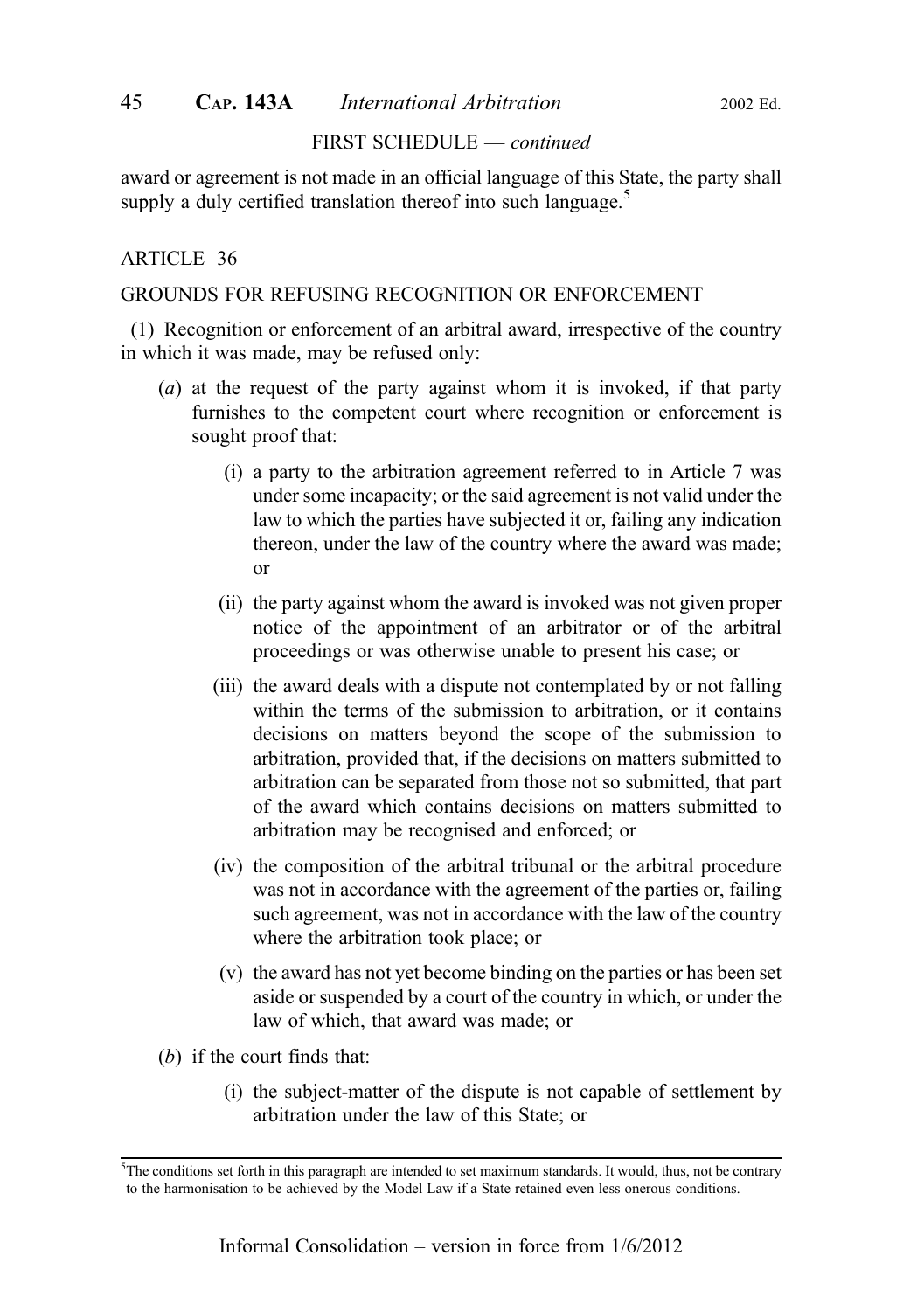award or agreement is not made in an official language of this State, the party shall supply a duly certified translation thereof into such language.<sup>5</sup>

#### ARTICLE 36

#### GROUNDS FOR REFUSING RECOGNITION OR ENFORCEMENT

(1) Recognition or enforcement of an arbitral award, irrespective of the country in which it was made, may be refused only:

- (a) at the request of the party against whom it is invoked, if that party furnishes to the competent court where recognition or enforcement is sought proof that:
	- (i) a party to the arbitration agreement referred to in Article 7 was under some incapacity; or the said agreement is not valid under the law to which the parties have subjected it or, failing any indication thereon, under the law of the country where the award was made; or
	- (ii) the party against whom the award is invoked was not given proper notice of the appointment of an arbitrator or of the arbitral proceedings or was otherwise unable to present his case; or
	- (iii) the award deals with a dispute not contemplated by or not falling within the terms of the submission to arbitration, or it contains decisions on matters beyond the scope of the submission to arbitration, provided that, if the decisions on matters submitted to arbitration can be separated from those not so submitted, that part of the award which contains decisions on matters submitted to arbitration may be recognised and enforced; or
	- (iv) the composition of the arbitral tribunal or the arbitral procedure was not in accordance with the agreement of the parties or, failing such agreement, was not in accordance with the law of the country where the arbitration took place; or
	- (v) the award has not yet become binding on the parties or has been set aside or suspended by a court of the country in which, or under the law of which, that award was made; or
- (b) if the court finds that:
	- (i) the subject-matter of the dispute is not capable of settlement by arbitration under the law of this State; or

 $5$ The conditions set forth in this paragraph are intended to set maximum standards. It would, thus, not be contrary to the harmonisation to be achieved by the Model Law if a State retained even less onerous conditions.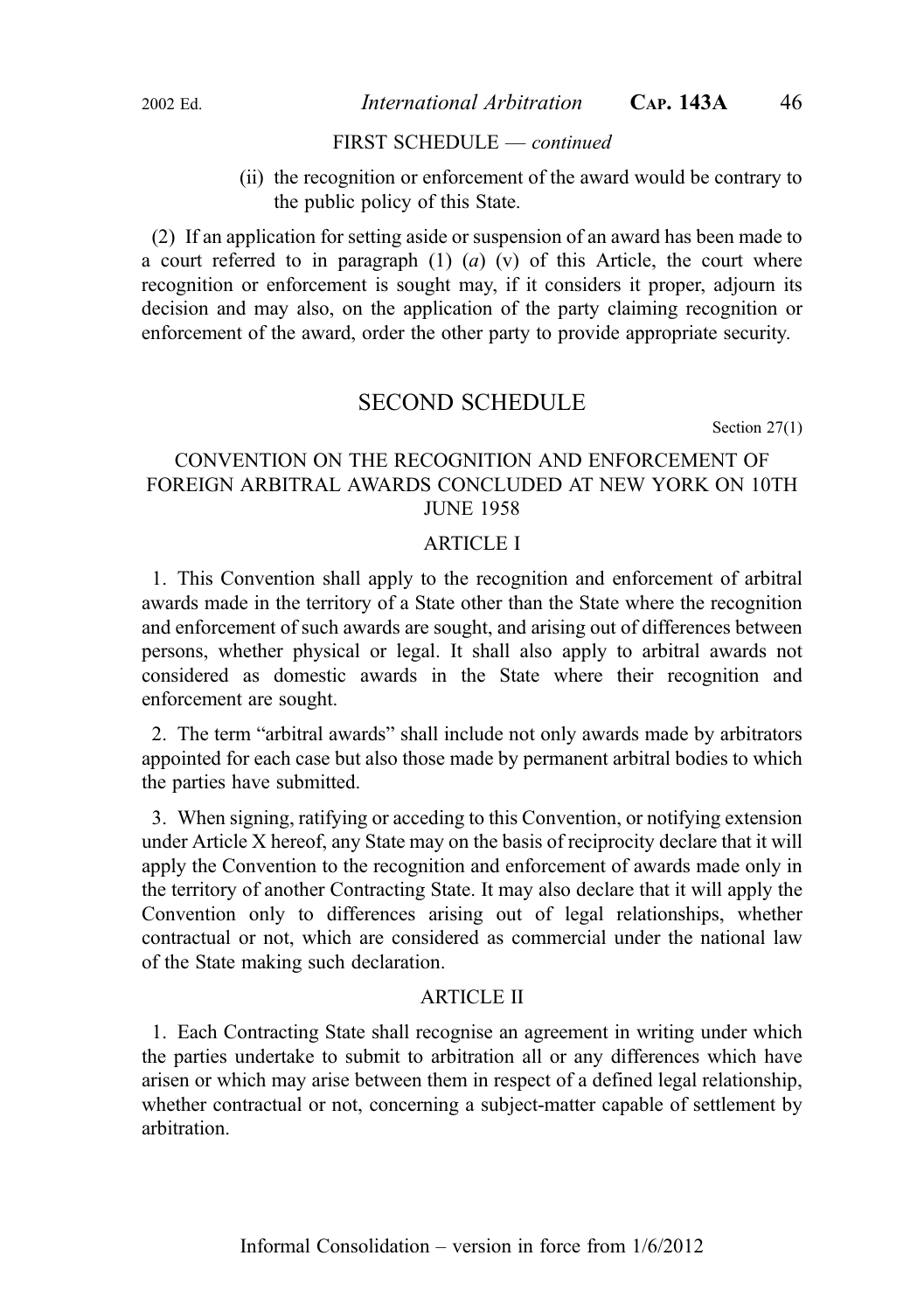(ii) the recognition or enforcement of the award would be contrary to the public policy of this State.

(2) If an application for setting aside or suspension of an award has been made to a court referred to in paragraph  $(1)$   $(a)$   $(v)$  of this Article, the court where recognition or enforcement is sought may, if it considers it proper, adjourn its decision and may also, on the application of the party claiming recognition or enforcement of the award, order the other party to provide appropriate security.

### SECOND SCHEDULE

Section 27(1)

#### CONVENTION ON THE RECOGNITION AND ENFORCEMENT OF FOREIGN ARBITRAL AWARDS CONCLUDED AT NEW YORK ON 10TH JUNE 1958

#### ARTICLE I

1. This Convention shall apply to the recognition and enforcement of arbitral awards made in the territory of a State other than the State where the recognition and enforcement of such awards are sought, and arising out of differences between persons, whether physical or legal. It shall also apply to arbitral awards not considered as domestic awards in the State where their recognition and enforcement are sought.

2. The term "arbitral awards" shall include not only awards made by arbitrators appointed for each case but also those made by permanent arbitral bodies to which the parties have submitted.

3. When signing, ratifying or acceding to this Convention, or notifying extension under Article X hereof, any State may on the basis of reciprocity declare that it will apply the Convention to the recognition and enforcement of awards made only in the territory of another Contracting State. It may also declare that it will apply the Convention only to differences arising out of legal relationships, whether contractual or not, which are considered as commercial under the national law of the State making such declaration.

#### ARTICLE II

1. Each Contracting State shall recognise an agreement in writing under which the parties undertake to submit to arbitration all or any differences which have arisen or which may arise between them in respect of a defined legal relationship, whether contractual or not, concerning a subject-matter capable of settlement by arbitration.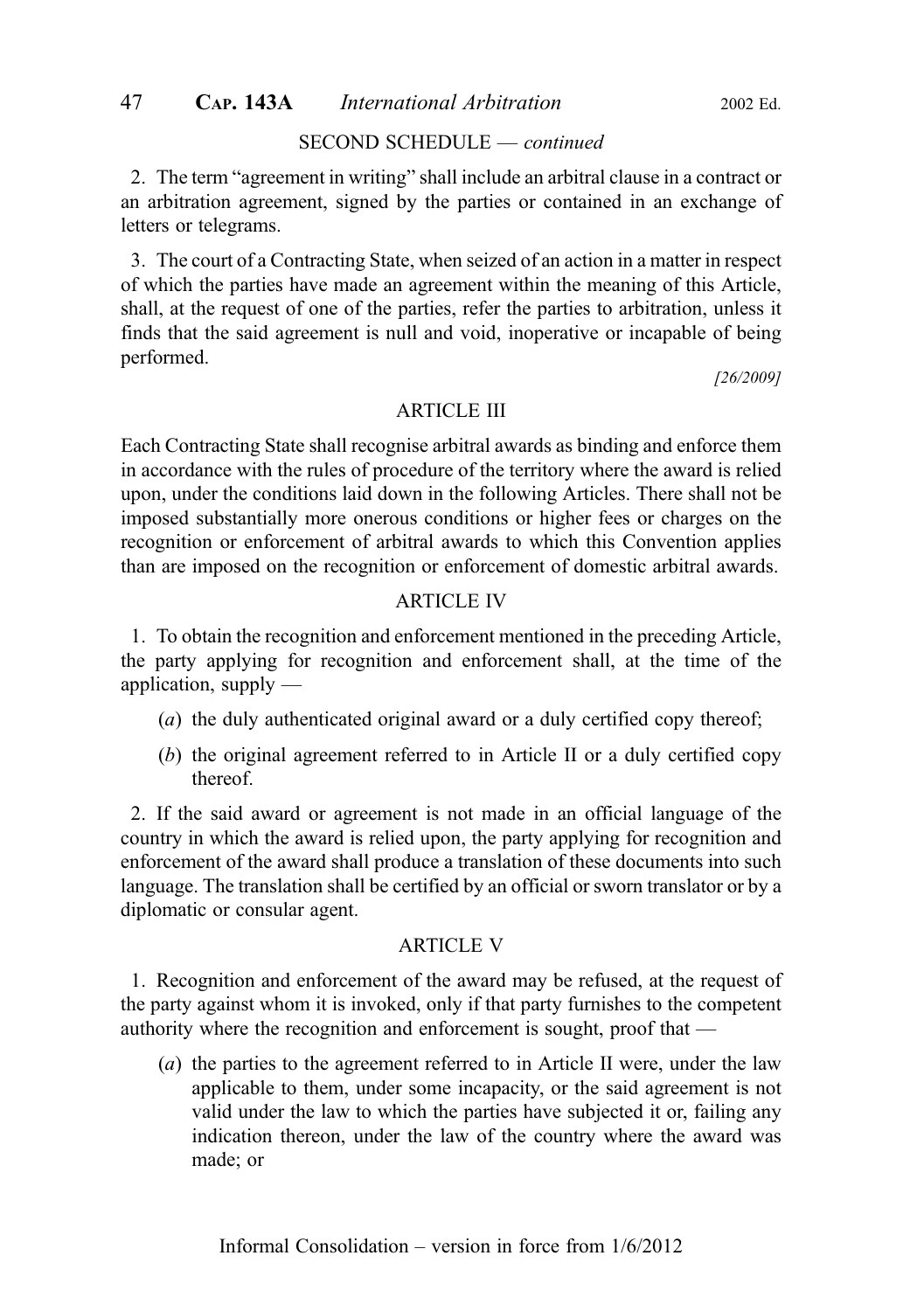2. The term "agreement in writing" shall include an arbitral clause in a contract or an arbitration agreement, signed by the parties or contained in an exchange of letters or telegrams.

3. The court of a Contracting State, when seized of an action in a matter in respect of which the parties have made an agreement within the meaning of this Article, shall, at the request of one of the parties, refer the parties to arbitration, unless it finds that the said agreement is null and void, inoperative or incapable of being performed.

[26/2009]

#### ARTICLE III

Each Contracting State shall recognise arbitral awards as binding and enforce them in accordance with the rules of procedure of the territory where the award is relied upon, under the conditions laid down in the following Articles. There shall not be imposed substantially more onerous conditions or higher fees or charges on the recognition or enforcement of arbitral awards to which this Convention applies than are imposed on the recognition or enforcement of domestic arbitral awards.

#### ARTICLE IV

1. To obtain the recognition and enforcement mentioned in the preceding Article, the party applying for recognition and enforcement shall, at the time of the application, supply —

- (a) the duly authenticated original award or a duly certified copy thereof;
- (b) the original agreement referred to in Article II or a duly certified copy thereof.

2. If the said award or agreement is not made in an official language of the country in which the award is relied upon, the party applying for recognition and enforcement of the award shall produce a translation of these documents into such language. The translation shall be certified by an official or sworn translator or by a diplomatic or consular agent.

#### **ARTICLE V**

1. Recognition and enforcement of the award may be refused, at the request of the party against whom it is invoked, only if that party furnishes to the competent authority where the recognition and enforcement is sought, proof that —

(a) the parties to the agreement referred to in Article II were, under the law applicable to them, under some incapacity, or the said agreement is not valid under the law to which the parties have subjected it or, failing any indication thereon, under the law of the country where the award was made; or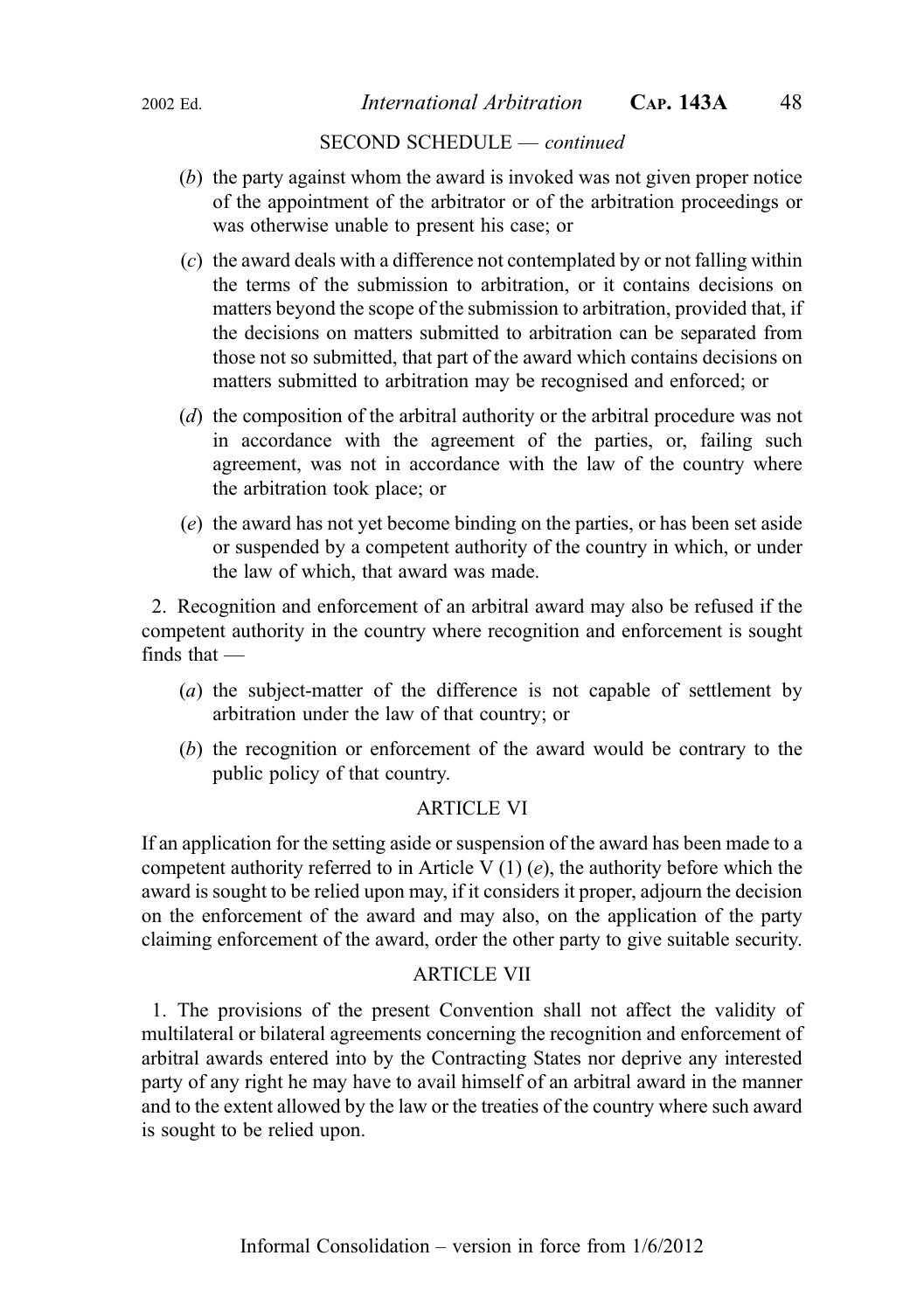- (b) the party against whom the award is invoked was not given proper notice of the appointment of the arbitrator or of the arbitration proceedings or was otherwise unable to present his case; or
- (c) the award deals with a difference not contemplated by or not falling within the terms of the submission to arbitration, or it contains decisions on matters beyond the scope of the submission to arbitration, provided that, if the decisions on matters submitted to arbitration can be separated from those not so submitted, that part of the award which contains decisions on matters submitted to arbitration may be recognised and enforced; or
- (d) the composition of the arbitral authority or the arbitral procedure was not in accordance with the agreement of the parties, or, failing such agreement, was not in accordance with the law of the country where the arbitration took place; or
- (e) the award has not yet become binding on the parties, or has been set aside or suspended by a competent authority of the country in which, or under the law of which, that award was made.

2. Recognition and enforcement of an arbitral award may also be refused if the competent authority in the country where recognition and enforcement is sought finds that  $-$ 

- (a) the subject-matter of the difference is not capable of settlement by arbitration under the law of that country; or
- (b) the recognition or enforcement of the award would be contrary to the public policy of that country.

#### ARTICLE VI

If an application for the setting aside or suspension of the award has been made to a competent authority referred to in Article V  $(1)$   $(e)$ , the authority before which the award is sought to be relied upon may, if it considers it proper, adjourn the decision on the enforcement of the award and may also, on the application of the party claiming enforcement of the award, order the other party to give suitable security.

#### ARTICLE VII

1. The provisions of the present Convention shall not affect the validity of multilateral or bilateral agreements concerning the recognition and enforcement of arbitral awards entered into by the Contracting States nor deprive any interested party of any right he may have to avail himself of an arbitral award in the manner and to the extent allowed by the law or the treaties of the country where such award is sought to be relied upon.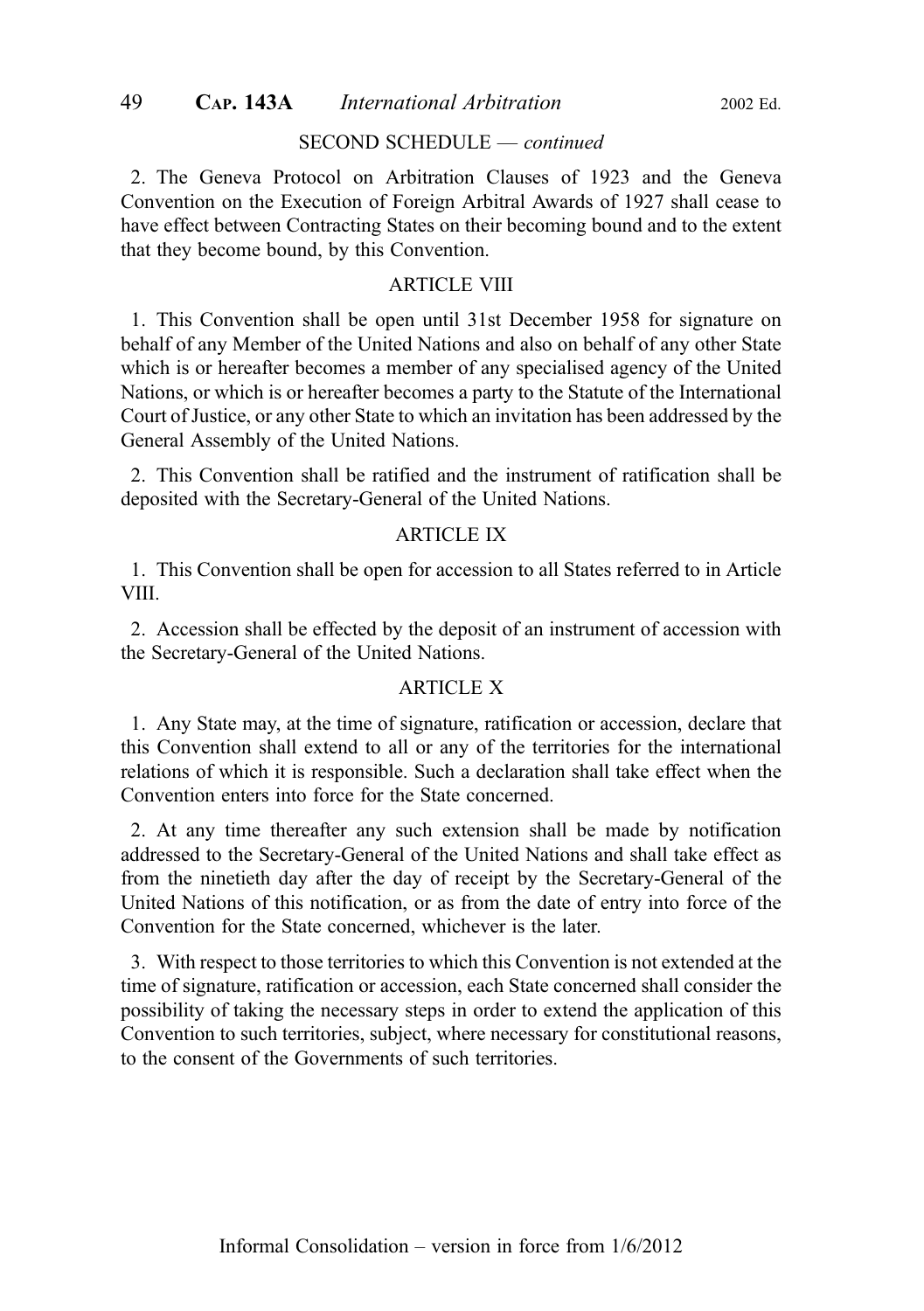2. The Geneva Protocol on Arbitration Clauses of 1923 and the Geneva Convention on the Execution of Foreign Arbitral Awards of 1927 shall cease to have effect between Contracting States on their becoming bound and to the extent that they become bound, by this Convention.

#### ARTICLE VIII

1. This Convention shall be open until 31st December 1958 for signature on behalf of any Member of the United Nations and also on behalf of any other State which is or hereafter becomes a member of any specialised agency of the United Nations, or which is or hereafter becomes a party to the Statute of the International Court of Justice, or any other State to which an invitation has been addressed by the General Assembly of the United Nations.

2. This Convention shall be ratified and the instrument of ratification shall be deposited with the Secretary-General of the United Nations.

#### ARTICLE IX

1. This Convention shall be open for accession to all States referred to in Article VIII.

2. Accession shall be effected by the deposit of an instrument of accession with the Secretary-General of the United Nations.

#### ARTICLE X

1. Any State may, at the time of signature, ratification or accession, declare that this Convention shall extend to all or any of the territories for the international relations of which it is responsible. Such a declaration shall take effect when the Convention enters into force for the State concerned.

2. At any time thereafter any such extension shall be made by notification addressed to the Secretary-General of the United Nations and shall take effect as from the ninetieth day after the day of receipt by the Secretary-General of the United Nations of this notification, or as from the date of entry into force of the Convention for the State concerned, whichever is the later.

3. With respect to those territories to which this Convention is not extended at the time of signature, ratification or accession, each State concerned shall consider the possibility of taking the necessary steps in order to extend the application of this Convention to such territories, subject, where necessary for constitutional reasons, to the consent of the Governments of such territories.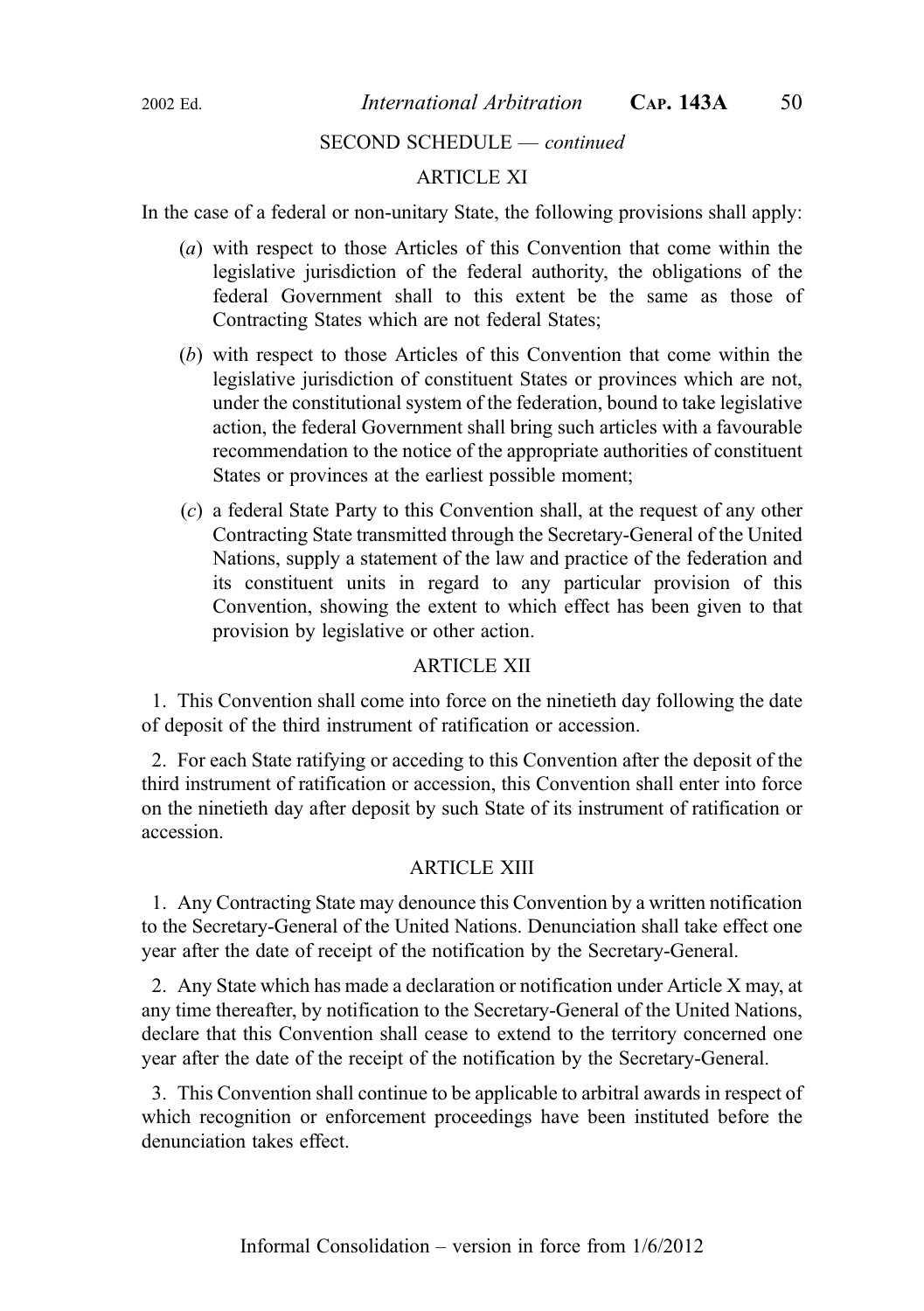#### ARTICLE XI

In the case of a federal or non-unitary State, the following provisions shall apply:

- (a) with respect to those Articles of this Convention that come within the legislative jurisdiction of the federal authority, the obligations of the federal Government shall to this extent be the same as those of Contracting States which are not federal States;
- (b) with respect to those Articles of this Convention that come within the legislative jurisdiction of constituent States or provinces which are not, under the constitutional system of the federation, bound to take legislative action, the federal Government shall bring such articles with a favourable recommendation to the notice of the appropriate authorities of constituent States or provinces at the earliest possible moment;
- (c) a federal State Party to this Convention shall, at the request of any other Contracting State transmitted through the Secretary-General of the United Nations, supply a statement of the law and practice of the federation and its constituent units in regard to any particular provision of this Convention, showing the extent to which effect has been given to that provision by legislative or other action.

#### ARTICLE XII

1. This Convention shall come into force on the ninetieth day following the date of deposit of the third instrument of ratification or accession.

2. For each State ratifying or acceding to this Convention after the deposit of the third instrument of ratification or accession, this Convention shall enter into force on the ninetieth day after deposit by such State of its instrument of ratification or accession.

#### ARTICLE XIII

1. Any Contracting State may denounce this Convention by a written notification to the Secretary-General of the United Nations. Denunciation shall take effect one year after the date of receipt of the notification by the Secretary-General.

2. Any State which has made a declaration or notification under Article X may, at any time thereafter, by notification to the Secretary-General of the United Nations, declare that this Convention shall cease to extend to the territory concerned one year after the date of the receipt of the notification by the Secretary-General.

3. This Convention shall continue to be applicable to arbitral awards in respect of which recognition or enforcement proceedings have been instituted before the denunciation takes effect.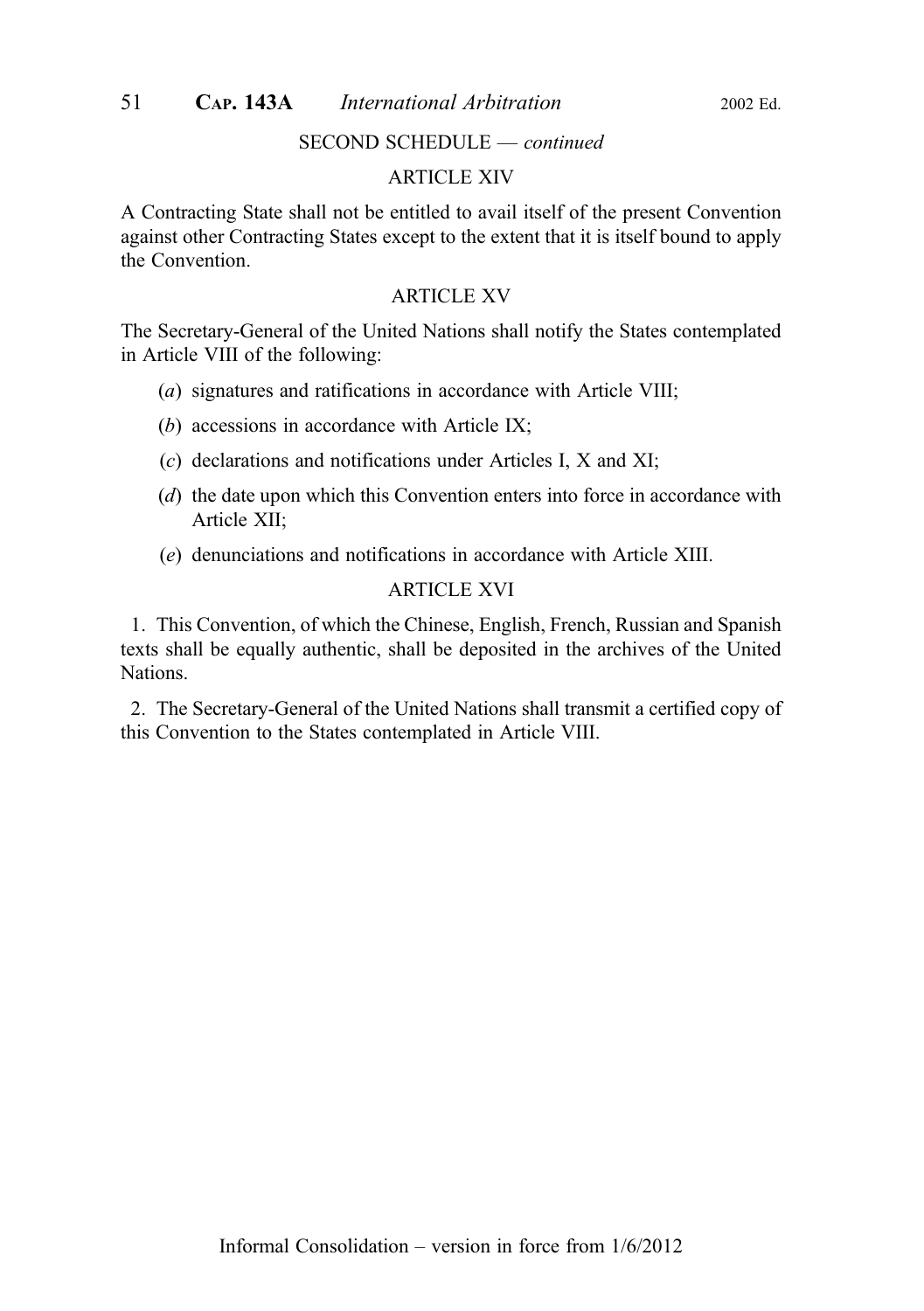#### ARTICLE XIV

A Contracting State shall not be entitled to avail itself of the present Convention against other Contracting States except to the extent that it is itself bound to apply the Convention.

#### ARTICLE XV

The Secretary-General of the United Nations shall notify the States contemplated in Article VIII of the following:

- (a) signatures and ratifications in accordance with Article VIII;
- (b) accessions in accordance with Article IX;
- (c) declarations and notifications under Articles I, X and XI;
- (d) the date upon which this Convention enters into force in accordance with Article XII;
- (e) denunciations and notifications in accordance with Article XIII.

#### ARTICLE XVI

1. This Convention, of which the Chinese, English, French, Russian and Spanish texts shall be equally authentic, shall be deposited in the archives of the United **Nations** 

2. The Secretary-General of the United Nations shall transmit a certified copy of this Convention to the States contemplated in Article VIII.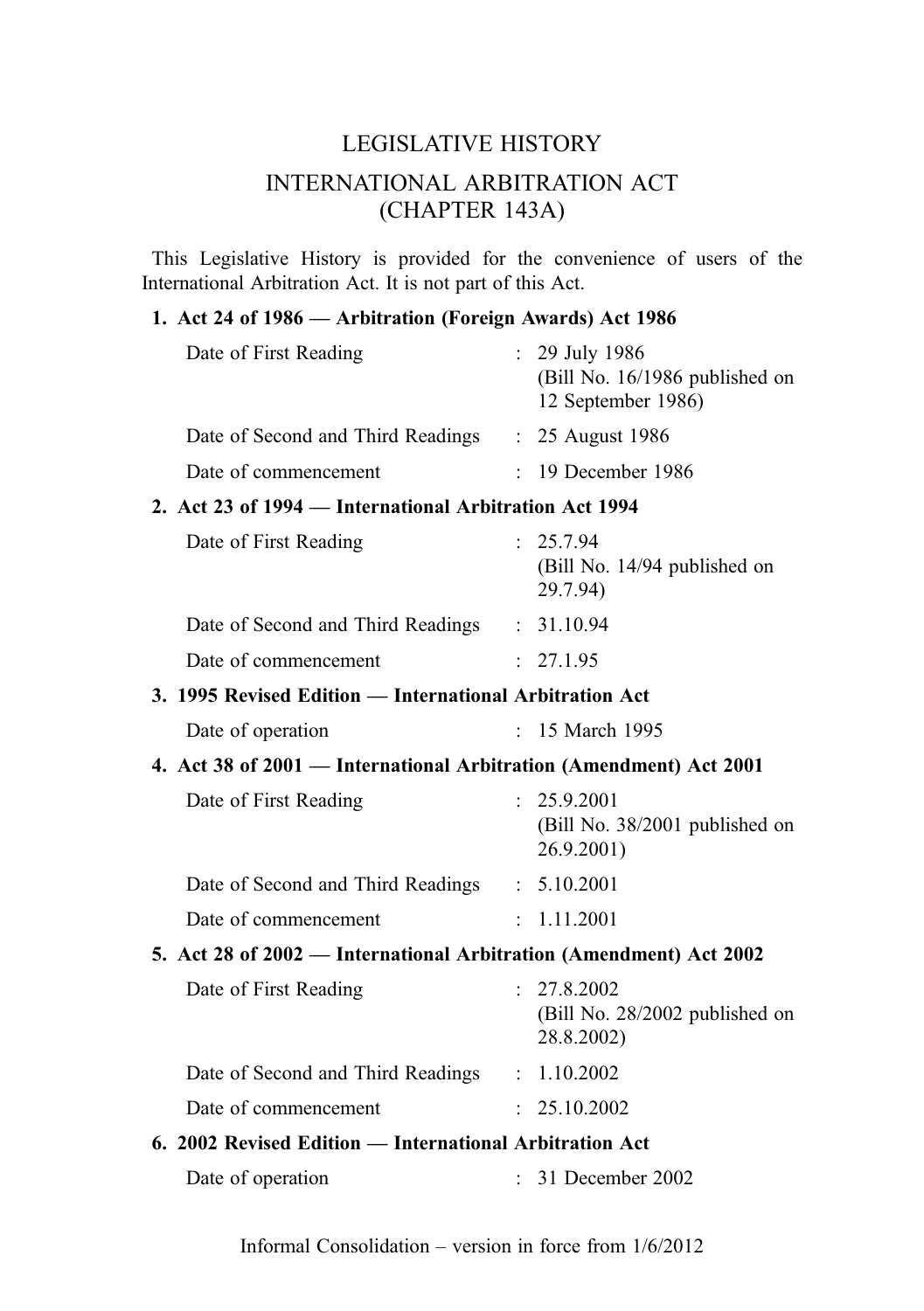# LEGISLATIVE HISTORY INTERNATIONAL ARBITRATION ACT (CHAPTER 143A)

This Legislative History is provided for the convenience of users of the International Arbitration Act. It is not part of this Act.

### 1. Act 24 of 1986 — Arbitration (Foreign Awards) Act 1986

| Date of First Reading                                              |                                                         |              | : 29 July 1986<br>(Bill No. 16/1986 published on<br>12 September 1986) |
|--------------------------------------------------------------------|---------------------------------------------------------|--------------|------------------------------------------------------------------------|
|                                                                    | Date of Second and Third Readings : 25 August 1986      |              |                                                                        |
| Date of commencement                                               |                                                         |              | : 19 December 1986                                                     |
|                                                                    | 2. Act 23 of 1994 — International Arbitration Act 1994  |              |                                                                        |
| Date of First Reading                                              |                                                         |              | : 25.7.94<br>(Bill No. 14/94 published on<br>29.7.94)                  |
|                                                                    | Date of Second and Third Readings : 31.10.94            |              |                                                                        |
| Date of commencement                                               |                                                         |              | : 27.1.95                                                              |
|                                                                    | 3. 1995 Revised Edition - International Arbitration Act |              |                                                                        |
| Date of operation                                                  |                                                         |              | : 15 March 1995                                                        |
| 4. Act 38 of 2001 - International Arbitration (Amendment) Act 2001 |                                                         |              |                                                                        |
| Date of First Reading                                              |                                                         |              | : 25.9.2001<br>(Bill No. 38/2001 published on<br>26.9.2001)            |
|                                                                    | Date of Second and Third Readings : 5.10.2001           |              |                                                                        |
| Date of commencement                                               |                                                         |              | : 1.11.2001                                                            |
|                                                                    |                                                         |              | 5. Act 28 of 2002 - International Arbitration (Amendment) Act 2002     |
| Date of First Reading                                              |                                                         |              | : 27.8.2002<br>(Bill No. 28/2002 published on<br>28.8.2002)            |
|                                                                    | Date of Second and Third Readings : 1.10.2002           |              |                                                                        |
| Date of commencement                                               |                                                         |              | : 25.10.2002                                                           |
|                                                                    | 6. 2002 Revised Edition - International Arbitration Act |              |                                                                        |
| Date of operation                                                  |                                                         | $\mathbf{r}$ | 31 December 2002                                                       |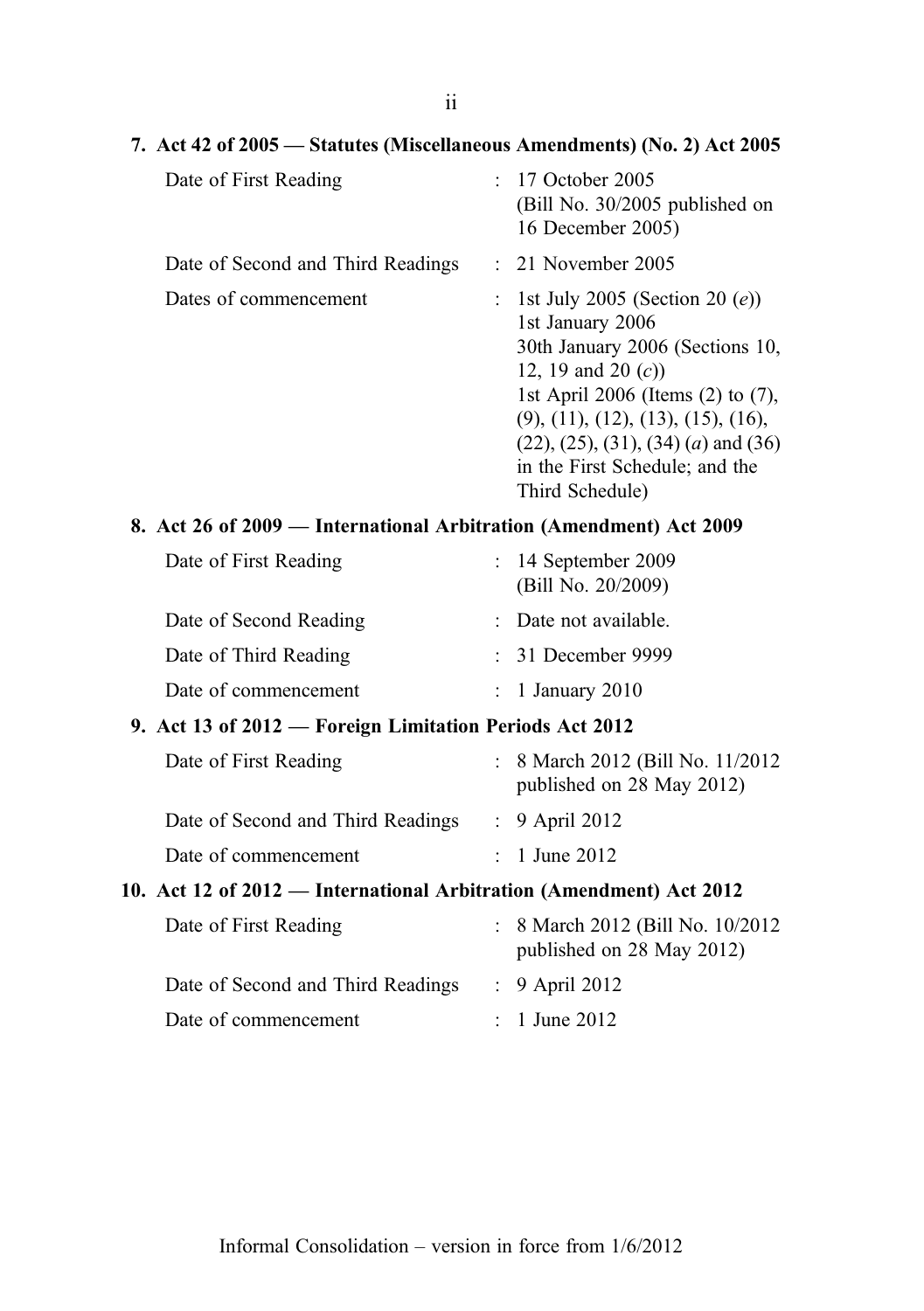### 7. Act 42 of 2005 — Statutes (Miscellaneous Amendments) (No. 2) Act 2005

| Date of First Reading             | $: 17$ October 2005<br>(Bill No. 30/2005 published on<br>16 December 2005)                                                                                                                                                                                                                                              |
|-----------------------------------|-------------------------------------------------------------------------------------------------------------------------------------------------------------------------------------------------------------------------------------------------------------------------------------------------------------------------|
| Date of Second and Third Readings | $: 21$ November 2005                                                                                                                                                                                                                                                                                                    |
| Dates of commencement             | : 1st July 2005 (Section 20 $(e)$ )<br>1st January 2006<br>30th January 2006 (Sections 10,<br>12, 19 and 20 $(c)$ )<br>1st April 2006 (Items (2) to (7),<br>$(9)$ , $(11)$ , $(12)$ , $(13)$ , $(15)$ , $(16)$ ,<br>$(22), (25), (31), (34)$ ( <i>a</i> ) and (36)<br>in the First Schedule; and the<br>Third Schedule) |
|                                   |                                                                                                                                                                                                                                                                                                                         |

### 8. Act 26 of 2009 — International Arbitration (Amendment) Act 2009

| Date of First Reading  | $: 14$ September 2009<br>(Bill No. 20/2009) |
|------------------------|---------------------------------------------|
| Date of Second Reading | : Date not available.                       |
| Date of Third Reading  | $\therefore$ 31 December 9999               |
| Date of commencement   | $\therefore$ 1 January 2010                 |

### 9. Act 13 of 2012 — Foreign Limitation Periods Act 2012

| Date of First Reading             | : 8 March 2012 (Bill No. 11/2012)<br>published on 28 May 2012) |
|-----------------------------------|----------------------------------------------------------------|
| Date of Second and Third Readings | $\therefore$ 9 April 2012                                      |
| Date of commencement              | : 1 June 2012                                                  |

### 10. Act 12 of 2012 — International Arbitration (Amendment) Act 2012

| Date of First Reading             | : 8 March 2012 (Bill No. $10/2012$<br>published on 28 May 2012) |
|-----------------------------------|-----------------------------------------------------------------|
| Date of Second and Third Readings | $\therefore$ 9 April 2012                                       |
| Date of commencement              | $: 1$ June 2012                                                 |